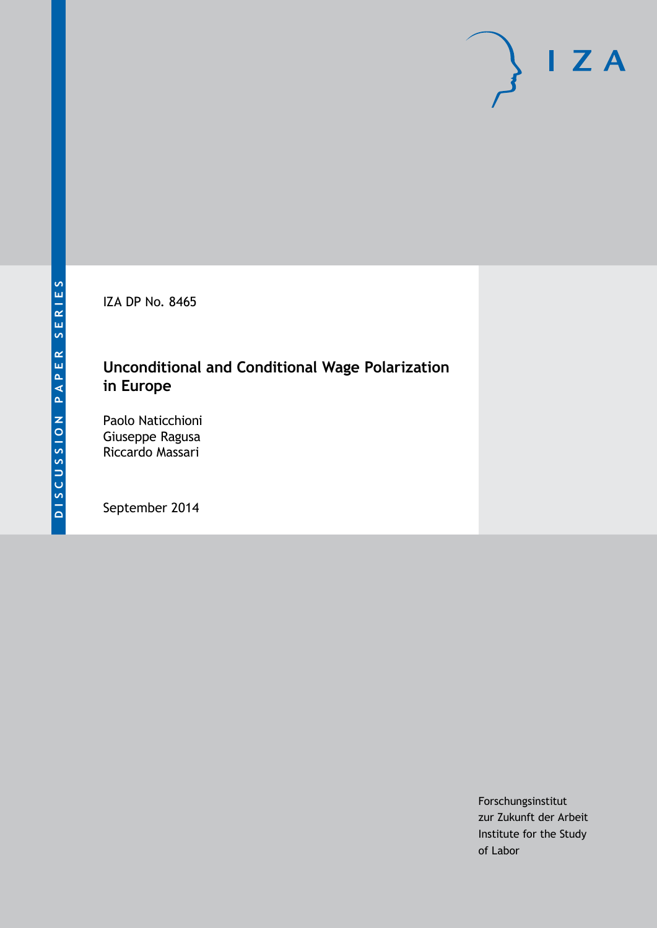IZA DP No. 8465

# **Unconditional and Conditional Wage Polarization in Europe**

Paolo Naticchioni Giuseppe Ragusa Riccardo Massari

September 2014

Forschungsinstitut zur Zukunft der Arbeit Institute for the Study of Labor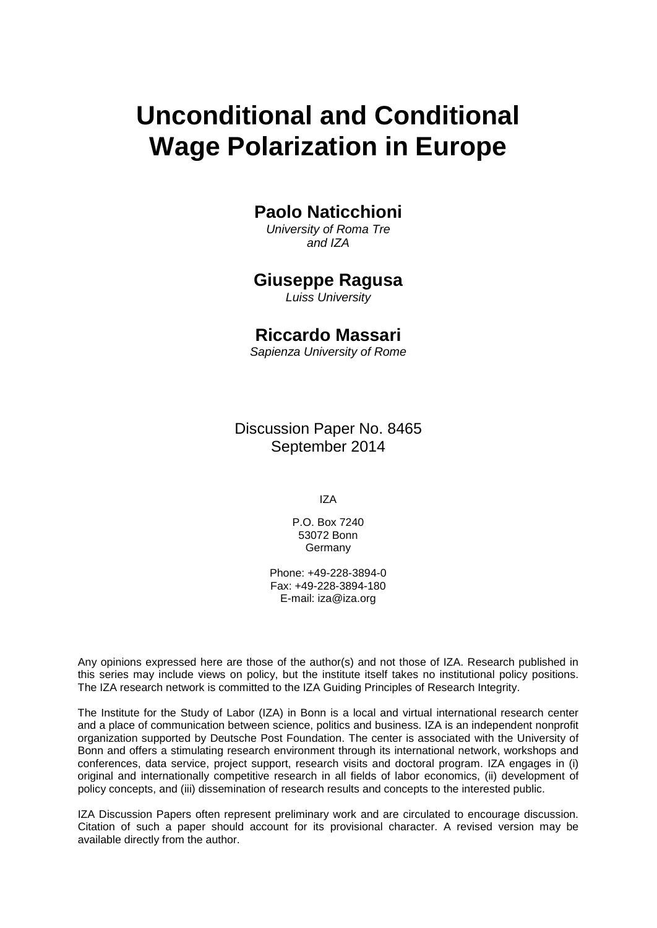# **Unconditional and Conditional Wage Polarization in Europe**

# **Paolo Naticchioni**

*University of Roma Tre and IZA*

### **Giuseppe Ragusa**

*Luiss University*

### **Riccardo Massari**

*Sapienza University of Rome*

Discussion Paper No. 8465 September 2014

IZA

P.O. Box 7240 53072 Bonn **Germany** 

Phone: +49-228-3894-0 Fax: +49-228-3894-180 E-mail: [iza@iza.org](mailto:iza@iza.org)

Any opinions expressed here are those of the author(s) and not those of IZA. Research published in this series may include views on policy, but the institute itself takes no institutional policy positions. The IZA research network is committed to the IZA Guiding Principles of Research Integrity.

The Institute for the Study of Labor (IZA) in Bonn is a local and virtual international research center and a place of communication between science, politics and business. IZA is an independent nonprofit organization supported by Deutsche Post Foundation. The center is associated with the University of Bonn and offers a stimulating research environment through its international network, workshops and conferences, data service, project support, research visits and doctoral program. IZA engages in (i) original and internationally competitive research in all fields of labor economics, (ii) development of policy concepts, and (iii) dissemination of research results and concepts to the interested public.

<span id="page-1-0"></span>IZA Discussion Papers often represent preliminary work and are circulated to encourage discussion. Citation of such a paper should account for its provisional character. A revised version may be available directly from the author.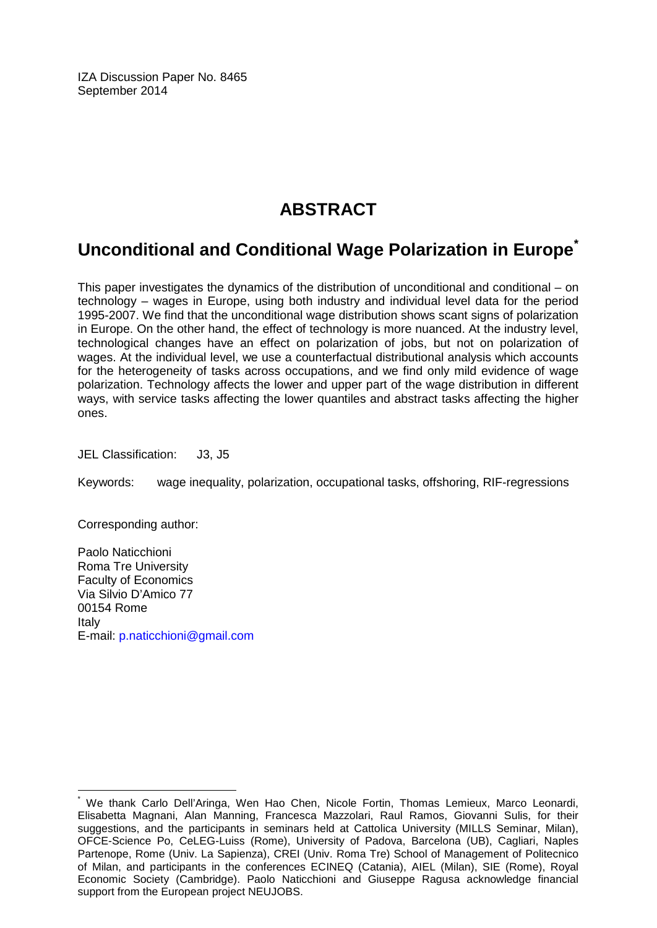IZA Discussion Paper No. 8465 September 2014

# **ABSTRACT**

# **Unconditional and Conditional Wage Polarization in Europe[\\*](#page-1-0)**

This paper investigates the dynamics of the distribution of unconditional and conditional – on technology – wages in Europe, using both industry and individual level data for the period 1995-2007. We find that the unconditional wage distribution shows scant signs of polarization in Europe. On the other hand, the effect of technology is more nuanced. At the industry level, technological changes have an effect on polarization of jobs, but not on polarization of wages. At the individual level, we use a counterfactual distributional analysis which accounts for the heterogeneity of tasks across occupations, and we find only mild evidence of wage polarization. Technology affects the lower and upper part of the wage distribution in different ways, with service tasks affecting the lower quantiles and abstract tasks affecting the higher ones.

JEL Classification: J3, J5

Keywords: wage inequality, polarization, occupational tasks, offshoring, RIF-regressions

Corresponding author:

Paolo Naticchioni Roma Tre University Faculty of Economics Via Silvio D'Amico 77 00154 Rome Italy E-mail: [p.naticchioni@gmail.com](mailto:p.naticchioni@gmail.com)

We thank Carlo Dell'Aringa, Wen Hao Chen, Nicole Fortin, Thomas Lemieux, Marco Leonardi, Elisabetta Magnani, Alan Manning, Francesca Mazzolari, Raul Ramos, Giovanni Sulis, for their suggestions, and the participants in seminars held at Cattolica University (MILLS Seminar, Milan), OFCE-Science Po, CeLEG-Luiss (Rome), University of Padova, Barcelona (UB), Cagliari, Naples Partenope, Rome (Univ. La Sapienza), CREI (Univ. Roma Tre) School of Management of Politecnico of Milan, and participants in the conferences ECINEQ (Catania), AIEL (Milan), SIE (Rome), Royal Economic Society (Cambridge). Paolo Naticchioni and Giuseppe Ragusa acknowledge financial support from the European project NEUJOBS.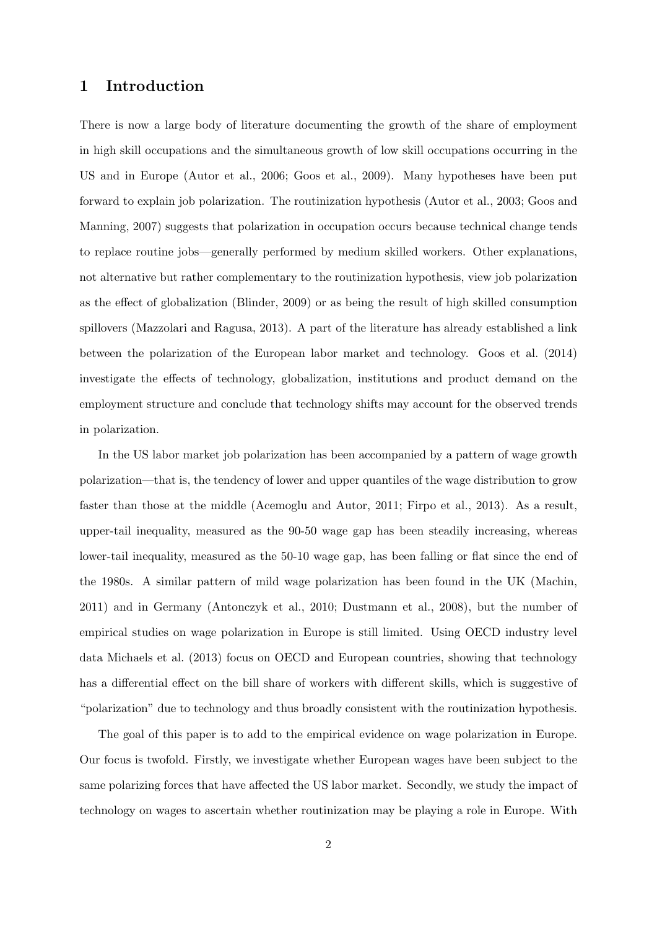### 1 Introduction

There is now a large body of literature documenting the growth of the share of employment in high skill occupations and the simultaneous growth of low skill occupations occurring in the US and in Europe [\(Autor et al.,](#page-28-0) [2006;](#page-28-0) [Goos et al.,](#page-30-0) [2009\)](#page-30-0). Many hypotheses have been put forward to explain job polarization. The routinization hypothesis [\(Autor et al.,](#page-28-1) [2003;](#page-28-1) [Goos and](#page-29-0) [Manning,](#page-29-0) [2007\)](#page-29-0) suggests that polarization in occupation occurs because technical change tends to replace routine jobs—generally performed by medium skilled workers. Other explanations, not alternative but rather complementary to the routinization hypothesis, view job polarization as the effect of globalization [\(Blinder,](#page-28-2) [2009\)](#page-28-2) or as being the result of high skilled consumption spillovers [\(Mazzolari and Ragusa,](#page-30-1) [2013\)](#page-30-1). A part of the literature has already established a link between the polarization of the European labor market and technology. [Goos et al.](#page-30-2) [\(2014\)](#page-30-2) investigate the effects of technology, globalization, institutions and product demand on the employment structure and conclude that technology shifts may account for the observed trends in polarization.

In the US labor market job polarization has been accompanied by a pattern of wage growth polarization—that is, the tendency of lower and upper quantiles of the wage distribution to grow faster than those at the middle [\(Acemoglu and Autor,](#page-28-3) [2011;](#page-28-3) [Firpo et al.,](#page-29-1) [2013\)](#page-29-1). As a result, upper-tail inequality, measured as the 90-50 wage gap has been steadily increasing, whereas lower-tail inequality, measured as the 50-10 wage gap, has been falling or flat since the end of the 1980s. A similar pattern of mild wage polarization has been found in the UK [\(Machin,](#page-30-3) [2011\)](#page-30-3) and in Germany [\(Antonczyk et al.,](#page-28-4) [2010;](#page-28-4) [Dustmann et al.,](#page-29-2) [2008\)](#page-29-2), but the number of empirical studies on wage polarization in Europe is still limited. Using OECD industry level data [Michaels et al.](#page-30-4) [\(2013\)](#page-30-4) focus on OECD and European countries, showing that technology has a differential effect on the bill share of workers with different skills, which is suggestive of "polarization" due to technology and thus broadly consistent with the routinization hypothesis.

The goal of this paper is to add to the empirical evidence on wage polarization in Europe. Our focus is twofold. Firstly, we investigate whether European wages have been subject to the same polarizing forces that have affected the US labor market. Secondly, we study the impact of technology on wages to ascertain whether routinization may be playing a role in Europe. With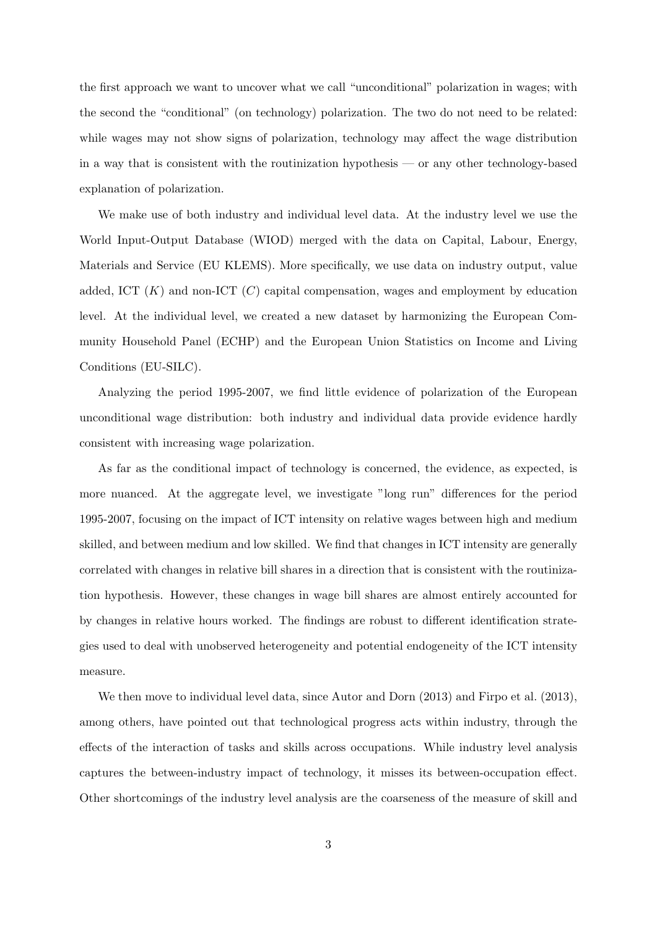the first approach we want to uncover what we call "unconditional" polarization in wages; with the second the "conditional" (on technology) polarization. The two do not need to be related: while wages may not show signs of polarization, technology may affect the wage distribution in a way that is consistent with the routinization hypothesis — or any other technology-based explanation of polarization.

We make use of both industry and individual level data. At the industry level we use the World Input-Output Database (WIOD) merged with the data on Capital, Labour, Energy, Materials and Service (EU KLEMS). More specifically, we use data on industry output, value added, ICT  $(K)$  and non-ICT  $(C)$  capital compensation, wages and employment by education level. At the individual level, we created a new dataset by harmonizing the European Community Household Panel (ECHP) and the European Union Statistics on Income and Living Conditions (EU-SILC).

Analyzing the period 1995-2007, we find little evidence of polarization of the European unconditional wage distribution: both industry and individual data provide evidence hardly consistent with increasing wage polarization.

As far as the conditional impact of technology is concerned, the evidence, as expected, is more nuanced. At the aggregate level, we investigate "long run" differences for the period 1995-2007, focusing on the impact of ICT intensity on relative wages between high and medium skilled, and between medium and low skilled. We find that changes in ICT intensity are generally correlated with changes in relative bill shares in a direction that is consistent with the routinization hypothesis. However, these changes in wage bill shares are almost entirely accounted for by changes in relative hours worked. The findings are robust to different identification strategies used to deal with unobserved heterogeneity and potential endogeneity of the ICT intensity measure.

We then move to individual level data, since [Autor and Dorn](#page-28-5)  $(2013)$  and [Firpo et al.](#page-29-1)  $(2013)$ , among others, have pointed out that technological progress acts within industry, through the effects of the interaction of tasks and skills across occupations. While industry level analysis captures the between-industry impact of technology, it misses its between-occupation effect. Other shortcomings of the industry level analysis are the coarseness of the measure of skill and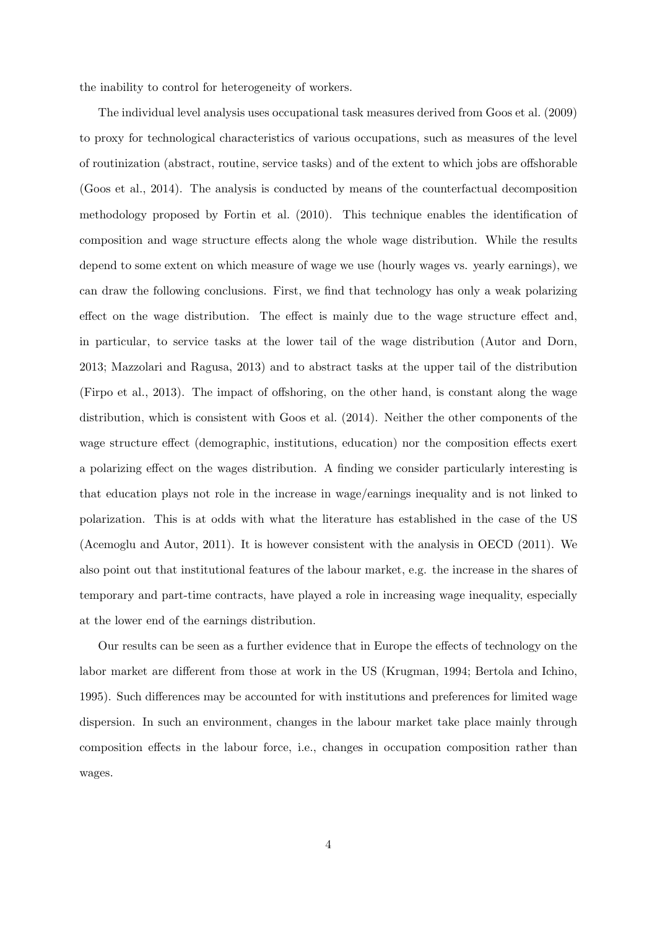the inability to control for heterogeneity of workers.

The individual level analysis uses occupational task measures derived from [Goos et al.](#page-30-0) [\(2009\)](#page-30-0) to proxy for technological characteristics of various occupations, such as measures of the level of routinization (abstract, routine, service tasks) and of the extent to which jobs are offshorable [\(Goos et al.,](#page-30-2) [2014\)](#page-30-2). The analysis is conducted by means of the counterfactual decomposition methodology proposed by [Fortin et al.](#page-29-3) [\(2010\)](#page-29-3). This technique enables the identification of composition and wage structure effects along the whole wage distribution. While the results depend to some extent on which measure of wage we use (hourly wages vs. yearly earnings), we can draw the following conclusions. First, we find that technology has only a weak polarizing effect on the wage distribution. The effect is mainly due to the wage structure effect and, in particular, to service tasks at the lower tail of the wage distribution [\(Autor and Dorn,](#page-28-5) [2013;](#page-28-5) [Mazzolari and Ragusa,](#page-30-1) [2013\)](#page-30-1) and to abstract tasks at the upper tail of the distribution [\(Firpo et al.,](#page-29-1) [2013\)](#page-29-1). The impact of offshoring, on the other hand, is constant along the wage distribution, which is consistent with [Goos et al.](#page-30-2) [\(2014\)](#page-30-2). Neither the other components of the wage structure effect (demographic, institutions, education) nor the composition effects exert a polarizing effect on the wages distribution. A finding we consider particularly interesting is that education plays not role in the increase in wage/earnings inequality and is not linked to polarization. This is at odds with what the literature has established in the case of the US [\(Acemoglu and Autor,](#page-28-3) [2011\)](#page-28-3). It is however consistent with the analysis in [OECD](#page-31-0) [\(2011\)](#page-31-0). We also point out that institutional features of the labour market, e.g. the increase in the shares of temporary and part-time contracts, have played a role in increasing wage inequality, especially at the lower end of the earnings distribution.

Our results can be seen as a further evidence that in Europe the effects of technology on the labor market are different from those at work in the US [\(Krugman,](#page-30-5) [1994;](#page-30-5) [Bertola and Ichino,](#page-28-6) [1995\)](#page-28-6). Such differences may be accounted for with institutions and preferences for limited wage dispersion. In such an environment, changes in the labour market take place mainly through composition effects in the labour force, i.e., changes in occupation composition rather than wages.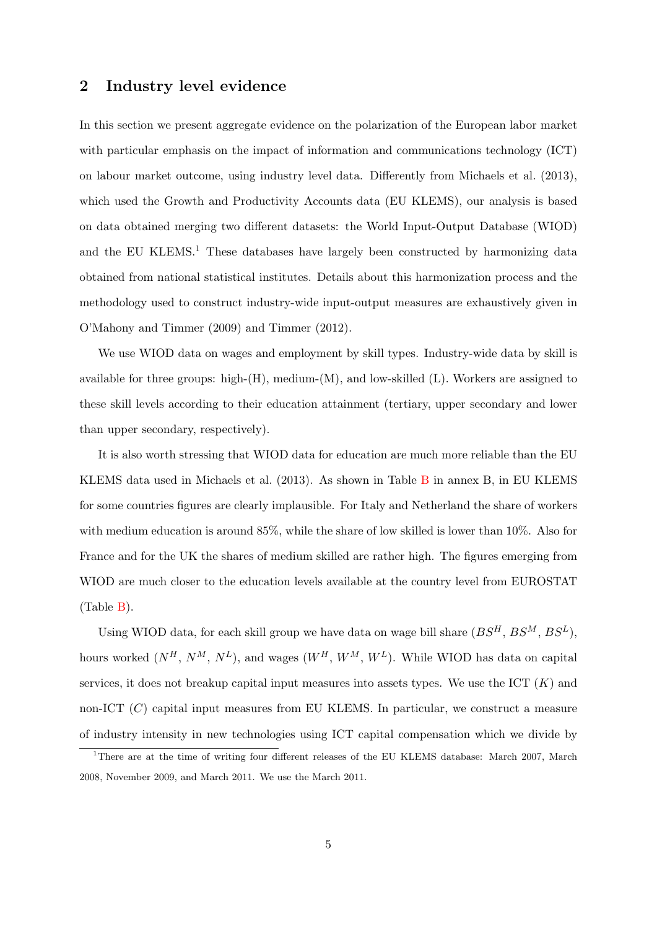### 2 Industry level evidence

In this section we present aggregate evidence on the polarization of the European labor market with particular emphasis on the impact of information and communications technology (ICT) on labour market outcome, using industry level data. Differently from [Michaels et al.](#page-30-4) [\(2013\)](#page-30-4), which used the Growth and Productivity Accounts data (EU KLEMS), our analysis is based on data obtained merging two different datasets: the World Input-Output Database (WIOD) and the EU KLEMS.<sup>1</sup> These databases have largely been constructed by harmonizing data obtained from national statistical institutes. Details about this harmonization process and the methodology used to construct industry-wide input-output measures are exhaustively given in [O'Mahony and Timmer](#page-31-1) [\(2009\)](#page-31-1) and [Timmer](#page-31-2) [\(2012\)](#page-31-2).

We use WIOD data on wages and employment by skill types. Industry-wide data by skill is available for three groups: high- $(H)$ , medium- $(M)$ , and low-skilled  $(L)$ . Workers are assigned to these skill levels according to their education attainment (tertiary, upper secondary and lower than upper secondary, respectively).

It is also worth stressing that WIOD data for education are much more reliable than the EU KLEMS data used in [Michaels et al.](#page-30-4) [\(2013\)](#page-30-4). As shown in Table [B](#page-58-0) in annex B, in EU KLEMS for some countries figures are clearly implausible. For Italy and Netherland the share of workers with medium education is around 85%, while the share of low skilled is lower than 10%. Also for France and for the UK the shares of medium skilled are rather high. The figures emerging from WIOD are much closer to the education levels available at the country level from EUROSTAT (Table [B\)](#page-58-0).

Using WIOD data, for each skill group we have data on wage bill share  $(BS<sup>H</sup>, BS<sup>M</sup>, BS<sup>L</sup>)$ , hours worked  $(N^H, N^M, N^L)$ , and wages  $(W^H, W^M, W^L)$ . While WIOD has data on capital services, it does not breakup capital input measures into assets types. We use the ICT  $(K)$  and non-ICT  $(C)$  capital input measures from EU KLEMS. In particular, we construct a measure of industry intensity in new technologies using ICT capital compensation which we divide by

<sup>1</sup>There are at the time of writing four different releases of the EU KLEMS database: March 2007, March 2008, November 2009, and March 2011. We use the March 2011.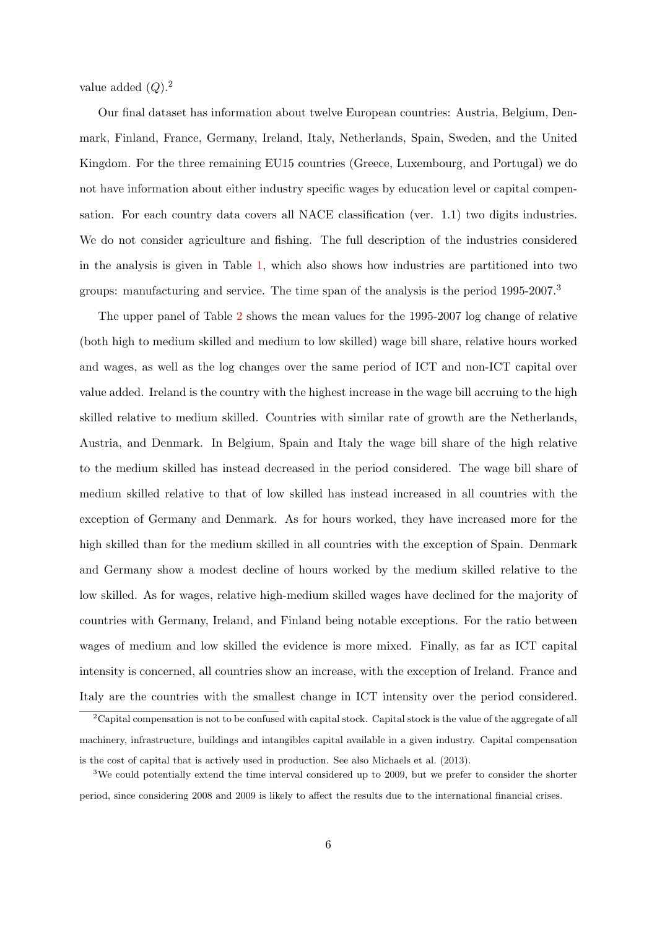value added  $(Q).<sup>2</sup>$ 

Our final dataset has information about twelve European countries: Austria, Belgium, Denmark, Finland, France, Germany, Ireland, Italy, Netherlands, Spain, Sweden, and the United Kingdom. For the three remaining EU15 countries (Greece, Luxembourg, and Portugal) we do not have information about either industry specific wages by education level or capital compensation. For each country data covers all NACE classification (ver. 1.1) two digits industries. We do not consider agriculture and fishing. The full description of the industries considered in the analysis is given in Table [1,](#page-43-0) which also shows how industries are partitioned into two groups: manufacturing and service. The time span of the analysis is the period 1995-2007.<sup>3</sup>

The upper panel of Table [2](#page-44-0) shows the mean values for the 1995-2007 log change of relative (both high to medium skilled and medium to low skilled) wage bill share, relative hours worked and wages, as well as the log changes over the same period of ICT and non-ICT capital over value added. Ireland is the country with the highest increase in the wage bill accruing to the high skilled relative to medium skilled. Countries with similar rate of growth are the Netherlands, Austria, and Denmark. In Belgium, Spain and Italy the wage bill share of the high relative to the medium skilled has instead decreased in the period considered. The wage bill share of medium skilled relative to that of low skilled has instead increased in all countries with the exception of Germany and Denmark. As for hours worked, they have increased more for the high skilled than for the medium skilled in all countries with the exception of Spain. Denmark and Germany show a modest decline of hours worked by the medium skilled relative to the low skilled. As for wages, relative high-medium skilled wages have declined for the majority of countries with Germany, Ireland, and Finland being notable exceptions. For the ratio between wages of medium and low skilled the evidence is more mixed. Finally, as far as ICT capital intensity is concerned, all countries show an increase, with the exception of Ireland. France and Italy are the countries with the smallest change in ICT intensity over the period considered.

<sup>&</sup>lt;sup>2</sup>Capital compensation is not to be confused with capital stock. Capital stock is the value of the aggregate of all machinery, infrastructure, buildings and intangibles capital available in a given industry. Capital compensation is the cost of capital that is actively used in production. See also [Michaels et al.](#page-30-4) [\(2013\)](#page-30-4).

<sup>&</sup>lt;sup>3</sup>We could potentially extend the time interval considered up to 2009, but we prefer to consider the shorter period, since considering 2008 and 2009 is likely to affect the results due to the international financial crises.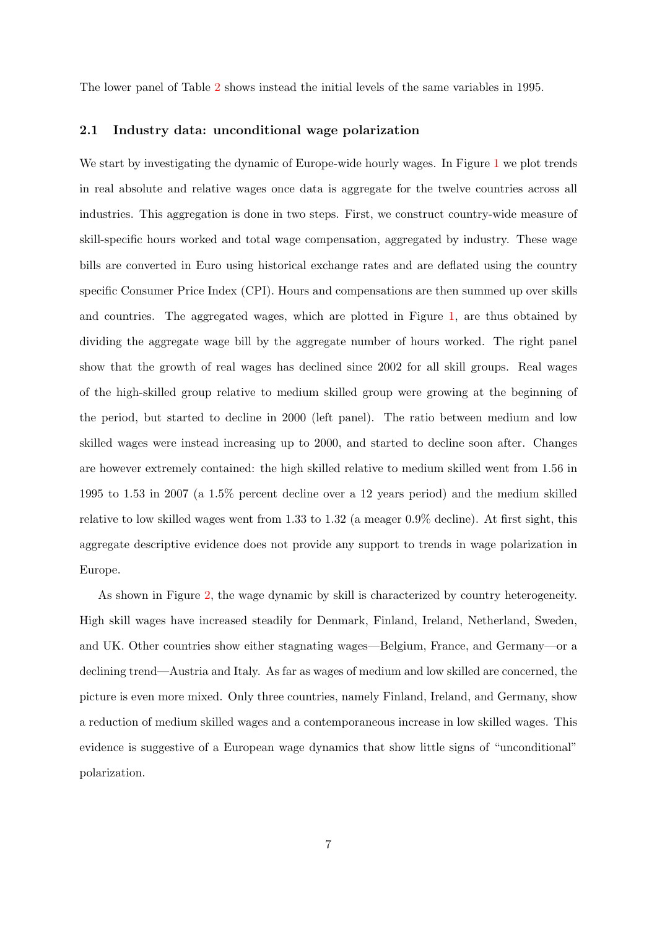The lower panel of Table [2](#page-44-0) shows instead the initial levels of the same variables in 1995.

#### 2.1 Industry data: unconditional wage polarization

We start by investigating the dynamic of Europe-wide hourly wages. In Figure [1](#page-32-0) we plot trends in real absolute and relative wages once data is aggregate for the twelve countries across all industries. This aggregation is done in two steps. First, we construct country-wide measure of skill-specific hours worked and total wage compensation, aggregated by industry. These wage bills are converted in Euro using historical exchange rates and are deflated using the country specific Consumer Price Index (CPI). Hours and compensations are then summed up over skills and countries. The aggregated wages, which are plotted in Figure [1,](#page-32-0) are thus obtained by dividing the aggregate wage bill by the aggregate number of hours worked. The right panel show that the growth of real wages has declined since 2002 for all skill groups. Real wages of the high-skilled group relative to medium skilled group were growing at the beginning of the period, but started to decline in 2000 (left panel). The ratio between medium and low skilled wages were instead increasing up to 2000, and started to decline soon after. Changes are however extremely contained: the high skilled relative to medium skilled went from 1.56 in 1995 to 1.53 in 2007 (a 1.5% percent decline over a 12 years period) and the medium skilled relative to low skilled wages went from 1.33 to 1.32 (a meager 0.9% decline). At first sight, this aggregate descriptive evidence does not provide any support to trends in wage polarization in Europe.

As shown in Figure [2,](#page-33-0) the wage dynamic by skill is characterized by country heterogeneity. High skill wages have increased steadily for Denmark, Finland, Ireland, Netherland, Sweden, and UK. Other countries show either stagnating wages—Belgium, France, and Germany—or a declining trend—Austria and Italy. As far as wages of medium and low skilled are concerned, the picture is even more mixed. Only three countries, namely Finland, Ireland, and Germany, show a reduction of medium skilled wages and a contemporaneous increase in low skilled wages. This evidence is suggestive of a European wage dynamics that show little signs of "unconditional" polarization.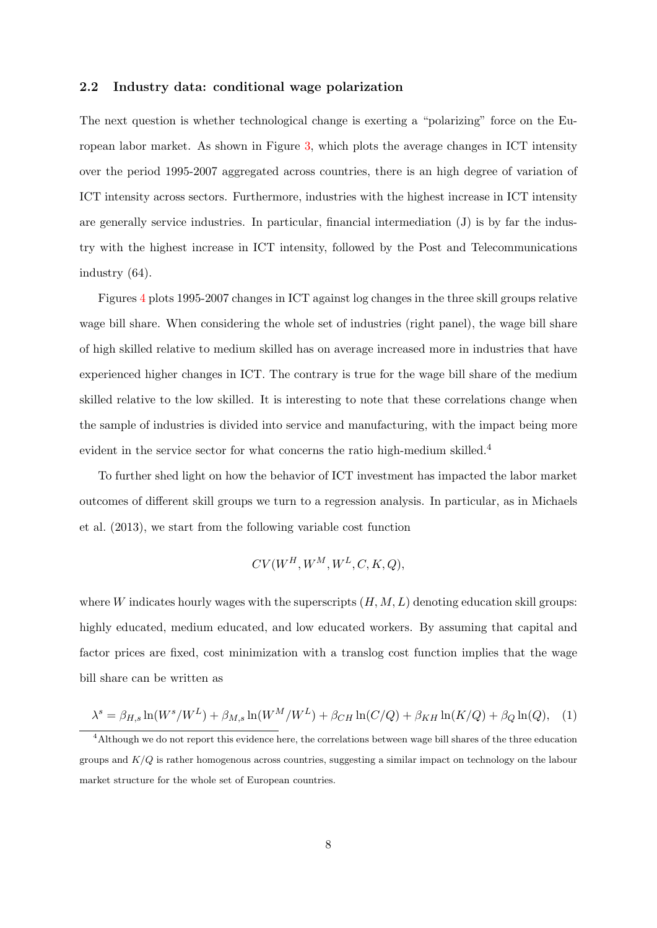#### 2.2 Industry data: conditional wage polarization

The next question is whether technological change is exerting a "polarizing" force on the European labor market. As shown in Figure [3,](#page-34-0) which plots the average changes in ICT intensity over the period 1995-2007 aggregated across countries, there is an high degree of variation of ICT intensity across sectors. Furthermore, industries with the highest increase in ICT intensity are generally service industries. In particular, financial intermediation (J) is by far the industry with the highest increase in ICT intensity, followed by the Post and Telecommunications industry (64).

Figures [4](#page-35-0) plots 1995-2007 changes in ICT against log changes in the three skill groups relative wage bill share. When considering the whole set of industries (right panel), the wage bill share of high skilled relative to medium skilled has on average increased more in industries that have experienced higher changes in ICT. The contrary is true for the wage bill share of the medium skilled relative to the low skilled. It is interesting to note that these correlations change when the sample of industries is divided into service and manufacturing, with the impact being more evident in the service sector for what concerns the ratio high-medium skilled.<sup>4</sup>

To further shed light on how the behavior of ICT investment has impacted the labor market outcomes of different skill groups we turn to a regression analysis. In particular, as in [Michaels](#page-30-4) [et al.](#page-30-4) [\(2013\)](#page-30-4), we start from the following variable cost function

<span id="page-9-0"></span>
$$
CV(W^H, W^M, W^L, C, K, Q),
$$

where W indicates hourly wages with the superscripts  $(H, M, L)$  denoting education skill groups: highly educated, medium educated, and low educated workers. By assuming that capital and factor prices are fixed, cost minimization with a translog cost function implies that the wage bill share can be written as

$$
\lambda^s = \beta_{H,s} \ln(W^s/W^L) + \beta_{M,s} \ln(W^M/W^L) + \beta_{CH} \ln(C/Q) + \beta_{KH} \ln(K/Q) + \beta_Q \ln(Q), \quad (1)
$$

<sup>4</sup>Although we do not report this evidence here, the correlations between wage bill shares of the three education groups and  $K/Q$  is rather homogenous across countries, suggesting a similar impact on technology on the labour market structure for the whole set of European countries.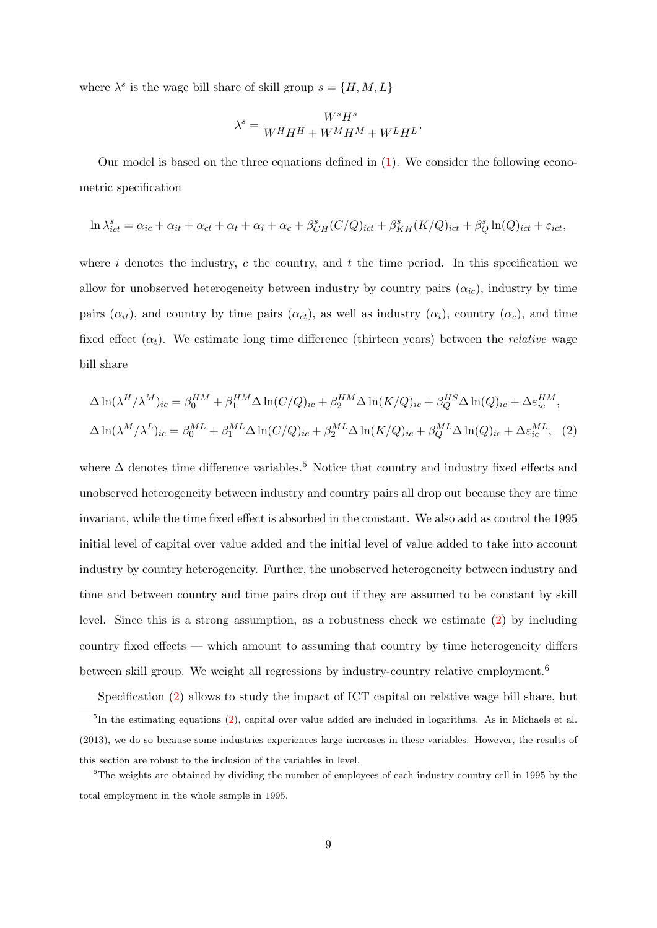where  $\lambda^s$  is the wage bill share of skill group  $s = \{H, M, L\}$ 

<span id="page-10-0"></span>
$$
\lambda^s = \frac{W^s H^s}{W^H H^H + W^M H^M + W^L H^L}.
$$

Our model is based on the three equations defined in [\(1\)](#page-9-0). We consider the following econometric specification

$$
\ln \lambda_{ict}^s = \alpha_{ic} + \alpha_{it} + \alpha_{ct} + \alpha_t + \alpha_t + \alpha_c + \beta_{CH}^s(C/Q)_{ict} + \beta_{KH}^s(K/Q)_{ict} + \beta_Q^s \ln(Q)_{ict} + \varepsilon_{ict},
$$

where  $i$  denotes the industry,  $c$  the country, and  $t$  the time period. In this specification we allow for unobserved heterogeneity between industry by country pairs  $(\alpha_{ic})$ , industry by time pairs  $(\alpha_{it})$ , and country by time pairs  $(\alpha_{ct})$ , as well as industry  $(\alpha_i)$ , country  $(\alpha_c)$ , and time fixed effect  $(\alpha_t)$ . We estimate long time difference (thirteen years) between the *relative* wage bill share

$$
\Delta \ln(\lambda^H/\lambda^M)_{ic} = \beta_0^{HM} + \beta_1^{HM} \Delta \ln(C/Q)_{ic} + \beta_2^{HM} \Delta \ln(K/Q)_{ic} + \beta_Q^{HS} \Delta \ln(Q)_{ic} + \Delta \varepsilon_{ic}^{HM},
$$
  

$$
\Delta \ln(\lambda^M/\lambda^L)_{ic} = \beta_0^{ML} + \beta_1^{ML} \Delta \ln(C/Q)_{ic} + \beta_2^{ML} \Delta \ln(K/Q)_{ic} + \beta_Q^{ML} \Delta \ln(Q)_{ic} + \Delta \varepsilon_{ic}^{ML},
$$
 (2)

where  $\Delta$  denotes time difference variables.<sup>5</sup> Notice that country and industry fixed effects and unobserved heterogeneity between industry and country pairs all drop out because they are time invariant, while the time fixed effect is absorbed in the constant. We also add as control the 1995 initial level of capital over value added and the initial level of value added to take into account industry by country heterogeneity. Further, the unobserved heterogeneity between industry and time and between country and time pairs drop out if they are assumed to be constant by skill level. Since this is a strong assumption, as a robustness check we estimate [\(2\)](#page-10-0) by including country fixed effects — which amount to assuming that country by time heterogeneity differs between skill group. We weight all regressions by industry-country relative employment.<sup>6</sup>

Specification [\(2\)](#page-10-0) allows to study the impact of ICT capital on relative wage bill share, but <sup>5</sup>In the estimating equations [\(2\)](#page-10-0), capital over value added are included in logarithms. As in [Michaels et al.](#page-30-4) [\(2013\)](#page-30-4), we do so because some industries experiences large increases in these variables. However, the results of this section are robust to the inclusion of the variables in level.

<sup>&</sup>lt;sup>6</sup>The weights are obtained by dividing the number of employees of each industry-country cell in 1995 by the total employment in the whole sample in 1995.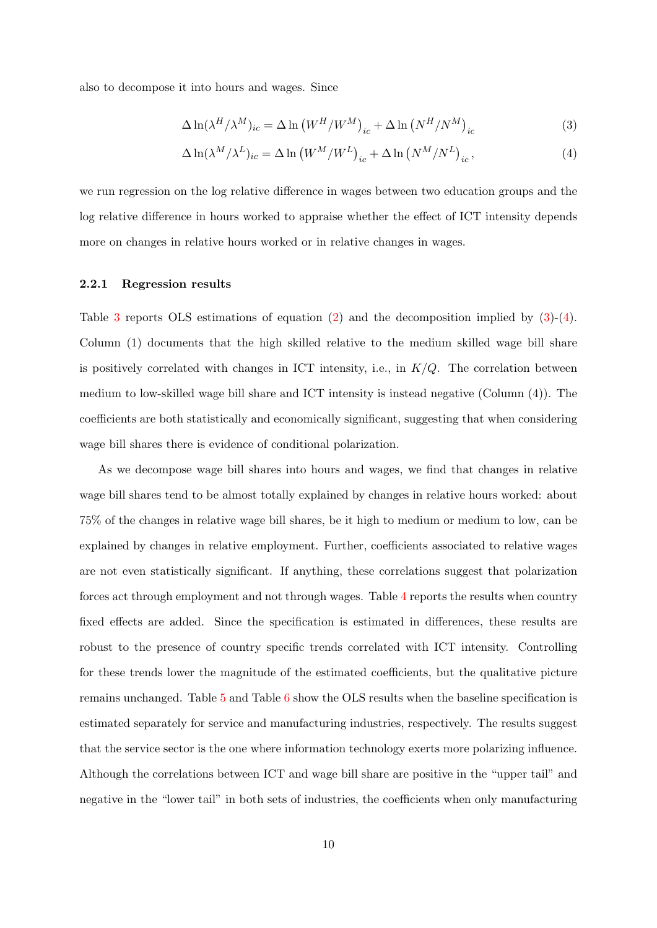also to decompose it into hours and wages. Since

<span id="page-11-0"></span>
$$
\Delta \ln(\lambda^H / \lambda^M)_{ic} = \Delta \ln (W^H / W^M)_{ic} + \Delta \ln (N^H / N^M)_{ic}
$$
\n(3)

<span id="page-11-1"></span>
$$
\Delta \ln(\lambda^M/\lambda^L)_{ic} = \Delta \ln (W^M/W^L)_{ic} + \Delta \ln (N^M/N^L)_{ic},\tag{4}
$$

we run regression on the log relative difference in wages between two education groups and the log relative difference in hours worked to appraise whether the effect of ICT intensity depends more on changes in relative hours worked or in relative changes in wages.

#### 2.2.1 Regression results

Table [3](#page-45-0) reports OLS estimations of equation  $(2)$  and the decomposition implied by  $(3)-(4)$  $(3)-(4)$  $(3)-(4)$ . Column (1) documents that the high skilled relative to the medium skilled wage bill share is positively correlated with changes in ICT intensity, i.e., in  $K/Q$ . The correlation between medium to low-skilled wage bill share and ICT intensity is instead negative (Column (4)). The coefficients are both statistically and economically significant, suggesting that when considering wage bill shares there is evidence of conditional polarization.

As we decompose wage bill shares into hours and wages, we find that changes in relative wage bill shares tend to be almost totally explained by changes in relative hours worked: about 75% of the changes in relative wage bill shares, be it high to medium or medium to low, can be explained by changes in relative employment. Further, coefficients associated to relative wages are not even statistically significant. If anything, these correlations suggest that polarization forces act through employment and not through wages. Table [4](#page-46-0) reports the results when country fixed effects are added. Since the specification is estimated in differences, these results are robust to the presence of country specific trends correlated with ICT intensity. Controlling for these trends lower the magnitude of the estimated coefficients, but the qualitative picture remains unchanged. Table [5](#page-47-0) and Table [6](#page-48-0) show the OLS results when the baseline specification is estimated separately for service and manufacturing industries, respectively. The results suggest that the service sector is the one where information technology exerts more polarizing influence. Although the correlations between ICT and wage bill share are positive in the "upper tail" and negative in the "lower tail" in both sets of industries, the coefficients when only manufacturing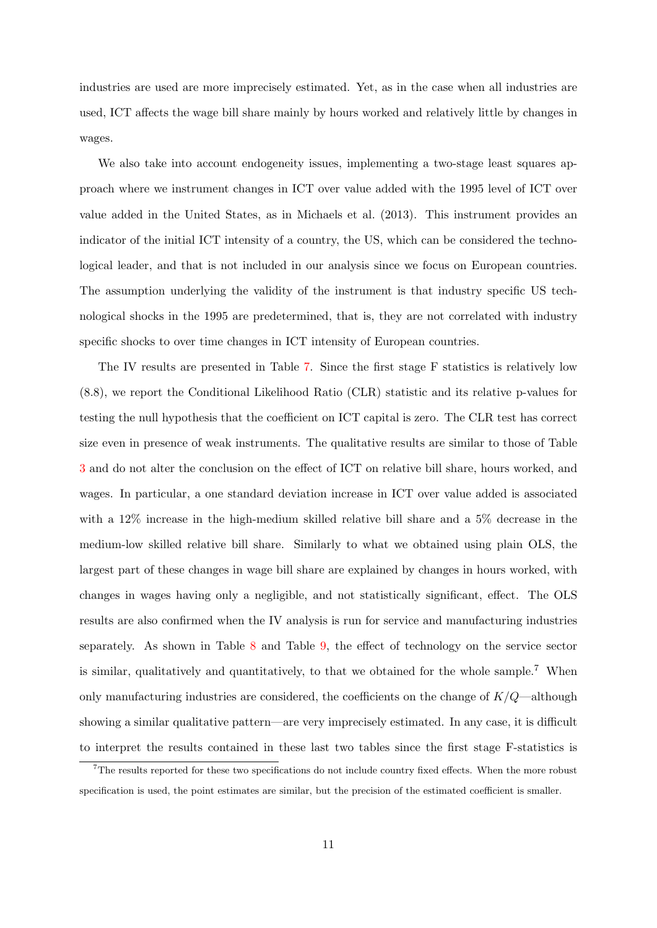industries are used are more imprecisely estimated. Yet, as in the case when all industries are used, ICT affects the wage bill share mainly by hours worked and relatively little by changes in wages.

We also take into account endogeneity issues, implementing a two-stage least squares approach where we instrument changes in ICT over value added with the 1995 level of ICT over value added in the United States, as in [Michaels et al.](#page-30-4) [\(2013\)](#page-30-4). This instrument provides an indicator of the initial ICT intensity of a country, the US, which can be considered the technological leader, and that is not included in our analysis since we focus on European countries. The assumption underlying the validity of the instrument is that industry specific US technological shocks in the 1995 are predetermined, that is, they are not correlated with industry specific shocks to over time changes in ICT intensity of European countries.

The IV results are presented in Table [7.](#page-49-0) Since the first stage F statistics is relatively low (8.8), we report the Conditional Likelihood Ratio (CLR) statistic and its relative p-values for testing the null hypothesis that the coefficient on ICT capital is zero. The CLR test has correct size even in presence of weak instruments. The qualitative results are similar to those of Table [3](#page-45-0) and do not alter the conclusion on the effect of ICT on relative bill share, hours worked, and wages. In particular, a one standard deviation increase in ICT over value added is associated with a 12% increase in the high-medium skilled relative bill share and a 5% decrease in the medium-low skilled relative bill share. Similarly to what we obtained using plain OLS, the largest part of these changes in wage bill share are explained by changes in hours worked, with changes in wages having only a negligible, and not statistically significant, effect. The OLS results are also confirmed when the IV analysis is run for service and manufacturing industries separately. As shown in Table [8](#page-50-0) and Table [9,](#page-51-0) the effect of technology on the service sector is similar, qualitatively and quantitatively, to that we obtained for the whole sample.<sup>7</sup> When only manufacturing industries are considered, the coefficients on the change of  $K/Q$ —although showing a similar qualitative pattern—are very imprecisely estimated. In any case, it is difficult to interpret the results contained in these last two tables since the first stage F-statistics is

<sup>7</sup>The results reported for these two specifications do not include country fixed effects. When the more robust specification is used, the point estimates are similar, but the precision of the estimated coefficient is smaller.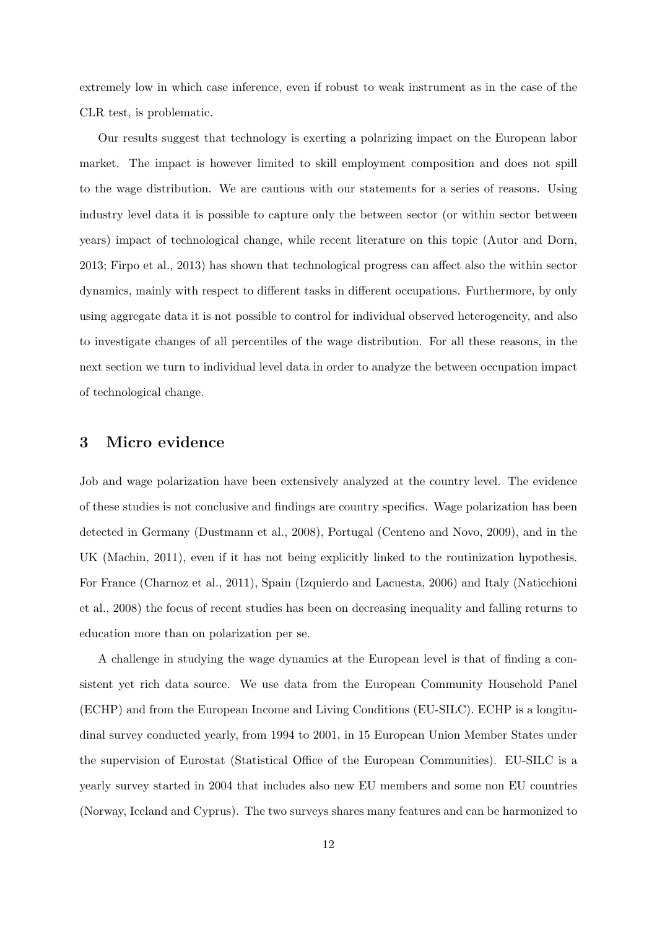extremely low in which case inference, even if robust to weak instrument as in the case of the CLR test, is problematic.

Our results suggest that technology is exerting a polarizing impact on the European labor market. The impact is however limited to skill employment composition and does not spill to the wage distribution. We are cautious with our statements for a series of reasons. Using industry level data it is possible to capture only the between sector (or within sector between years) impact of technological change, while recent literature on this topic [\(Autor and Dorn,](#page-28-5) [2013;](#page-28-5) [Firpo et al.,](#page-29-1) [2013\)](#page-29-1) has shown that technological progress can affect also the within sector dynamics, mainly with respect to different tasks in different occupations. Furthermore, by only using aggregate data it is not possible to control for individual observed heterogeneity, and also to investigate changes of all percentiles of the wage distribution. For all these reasons, in the next section we turn to individual level data in order to analyze the between occupation impact of technological change.

### <span id="page-13-0"></span>3 Micro evidence

Job and wage polarization have been extensively analyzed at the country level. The evidence of these studies is not conclusive and findings are country specifics. Wage polarization has been detected in Germany [\(Dustmann et al.,](#page-29-2) [2008\)](#page-29-2), Portugal [\(Centeno and Novo,](#page-28-7) [2009\)](#page-28-7), and in the UK [\(Machin,](#page-30-3) [2011\)](#page-30-3), even if it has not being explicitly linked to the routinization hypothesis. For France [\(Charnoz et al.,](#page-29-4) [2011\)](#page-29-4), Spain [\(Izquierdo and Lacuesta,](#page-30-6) [2006\)](#page-30-6) and Italy [\(Naticchioni](#page-30-7) [et al.,](#page-30-7) [2008\)](#page-30-7) the focus of recent studies has been on decreasing inequality and falling returns to education more than on polarization per se.

A challenge in studying the wage dynamics at the European level is that of finding a consistent yet rich data source. We use data from the European Community Household Panel (ECHP) and from the European Income and Living Conditions (EU-SILC). ECHP is a longitudinal survey conducted yearly, from 1994 to 2001, in 15 European Union Member States under the supervision of Eurostat (Statistical Office of the European Communities). EU-SILC is a yearly survey started in 2004 that includes also new EU members and some non EU countries (Norway, Iceland and Cyprus). The two surveys shares many features and can be harmonized to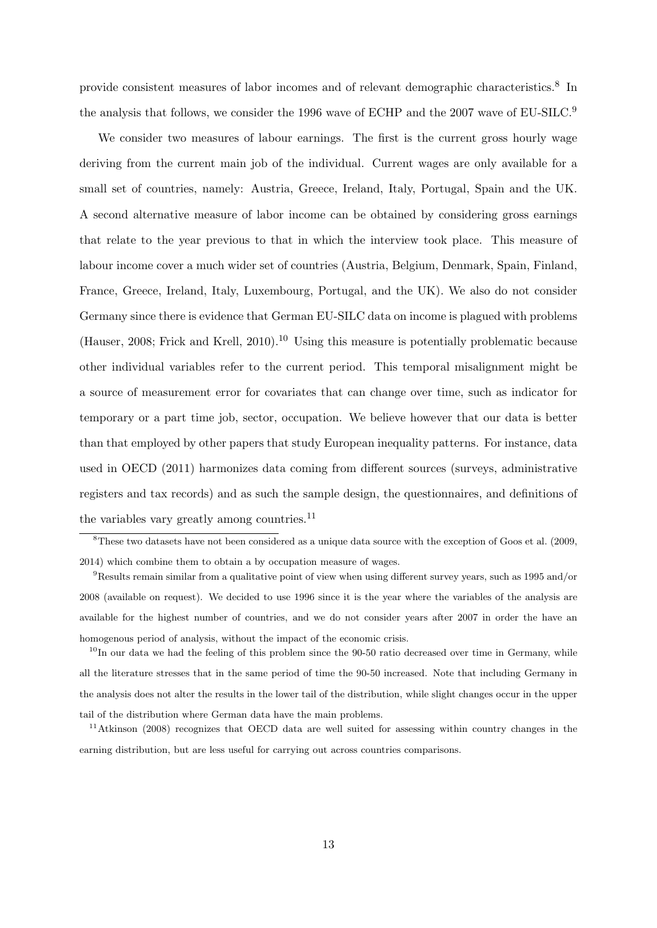provide consistent measures of labor incomes and of relevant demographic characteristics.<sup>8</sup> In the analysis that follows, we consider the 1996 wave of ECHP and the 2007 wave of EU-SILC.<sup>9</sup>

We consider two measures of labour earnings. The first is the current gross hourly wage deriving from the current main job of the individual. Current wages are only available for a small set of countries, namely: Austria, Greece, Ireland, Italy, Portugal, Spain and the UK. A second alternative measure of labor income can be obtained by considering gross earnings that relate to the year previous to that in which the interview took place. This measure of labour income cover a much wider set of countries (Austria, Belgium, Denmark, Spain, Finland, France, Greece, Ireland, Italy, Luxembourg, Portugal, and the UK). We also do not consider Germany since there is evidence that German EU-SILC data on income is plagued with problems [\(Hauser,](#page-30-8) [2008;](#page-30-8) [Frick and Krell,](#page-29-5) [2010\)](#page-29-5).<sup>10</sup> Using this measure is potentially problematic because other individual variables refer to the current period. This temporal misalignment might be a source of measurement error for covariates that can change over time, such as indicator for temporary or a part time job, sector, occupation. We believe however that our data is better than that employed by other papers that study European inequality patterns. For instance, data used in [OECD](#page-31-0) [\(2011\)](#page-31-0) harmonizes data coming from different sources (surveys, administrative registers and tax records) and as such the sample design, the questionnaires, and definitions of the variables vary greatly among countries.<sup>11</sup>

<sup>8</sup>These two datasets have not been considered as a unique data source with the exception of [Goos et al.](#page-30-0) [\(2009,](#page-30-0) [2014\)](#page-30-2) which combine them to obtain a by occupation measure of wages.

<sup>9</sup>Results remain similar from a qualitative point of view when using different survey years, such as 1995 and/or 2008 (available on request). We decided to use 1996 since it is the year where the variables of the analysis are available for the highest number of countries, and we do not consider years after 2007 in order the have an homogenous period of analysis, without the impact of the economic crisis.

 $10$ In our data we had the feeling of this problem since the 90-50 ratio decreased over time in Germany, while all the literature stresses that in the same period of time the 90-50 increased. Note that including Germany in the analysis does not alter the results in the lower tail of the distribution, while slight changes occur in the upper tail of the distribution where German data have the main problems.

<sup>11</sup>[Atkinson](#page-28-8) [\(2008\)](#page-28-8) recognizes that OECD data are well suited for assessing within country changes in the earning distribution, but are less useful for carrying out across countries comparisons.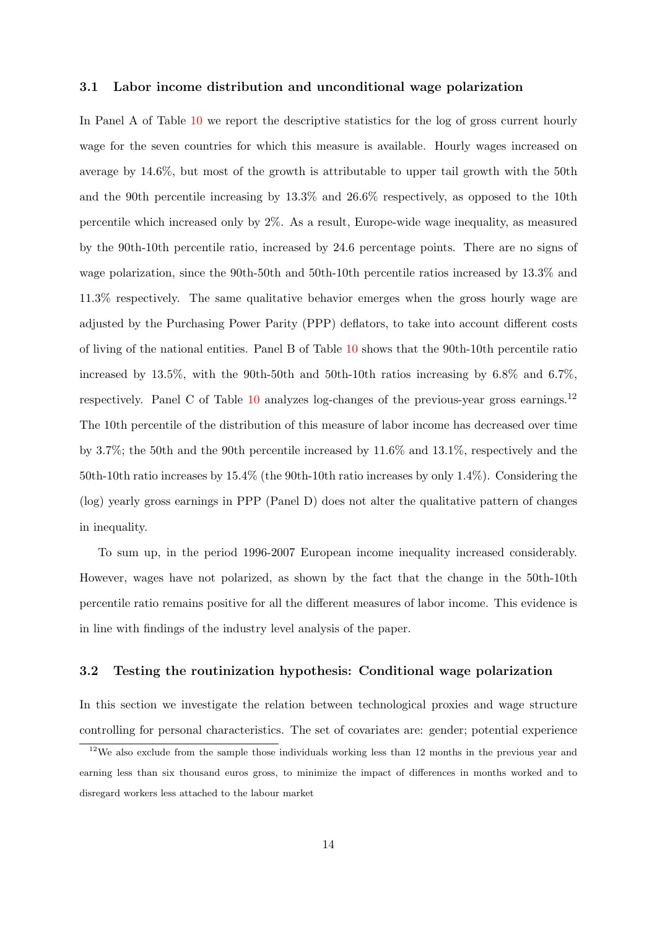#### 3.1 Labor income distribution and unconditional wage polarization

In Panel A of Table [10](#page-52-0) we report the descriptive statistics for the log of gross current hourly wage for the seven countries for which this measure is available. Hourly wages increased on average by 14.6%, but most of the growth is attributable to upper tail growth with the 50th and the 90th percentile increasing by 13.3% and 26.6% respectively, as opposed to the 10th percentile which increased only by 2%. As a result, Europe-wide wage inequality, as measured by the 90th-10th percentile ratio, increased by 24.6 percentage points. There are no signs of wage polarization, since the 90th-50th and 50th-10th percentile ratios increased by 13.3% and 11.3% respectively. The same qualitative behavior emerges when the gross hourly wage are adjusted by the Purchasing Power Parity (PPP) deflators, to take into account different costs of living of the national entities. Panel B of Table [10](#page-52-0) shows that the 90th-10th percentile ratio increased by 13.5%, with the 90th-50th and 50th-10th ratios increasing by 6.8% and 6.7%, respectively. Panel C of Table  $10$  analyzes log-changes of the previous-year gross earnings.<sup>12</sup> The 10th percentile of the distribution of this measure of labor income has decreased over time by 3.7%; the 50th and the 90th percentile increased by 11.6% and 13.1%, respectively and the 50th-10th ratio increases by 15.4% (the 90th-10th ratio increases by only 1.4%). Considering the (log) yearly gross earnings in PPP (Panel D) does not alter the qualitative pattern of changes in inequality.

To sum up, in the period 1996-2007 European income inequality increased considerably. However, wages have not polarized, as shown by the fact that the change in the 50th-10th percentile ratio remains positive for all the different measures of labor income. This evidence is in line with findings of the industry level analysis of the paper.

#### <span id="page-15-0"></span>3.2 Testing the routinization hypothesis: Conditional wage polarization

In this section we investigate the relation between technological proxies and wage structure controlling for personal characteristics. The set of covariates are: gender; potential experience

 $12$ We also exclude from the sample those individuals working less than 12 months in the previous year and earning less than six thousand euros gross, to minimize the impact of differences in months worked and to disregard workers less attached to the labour market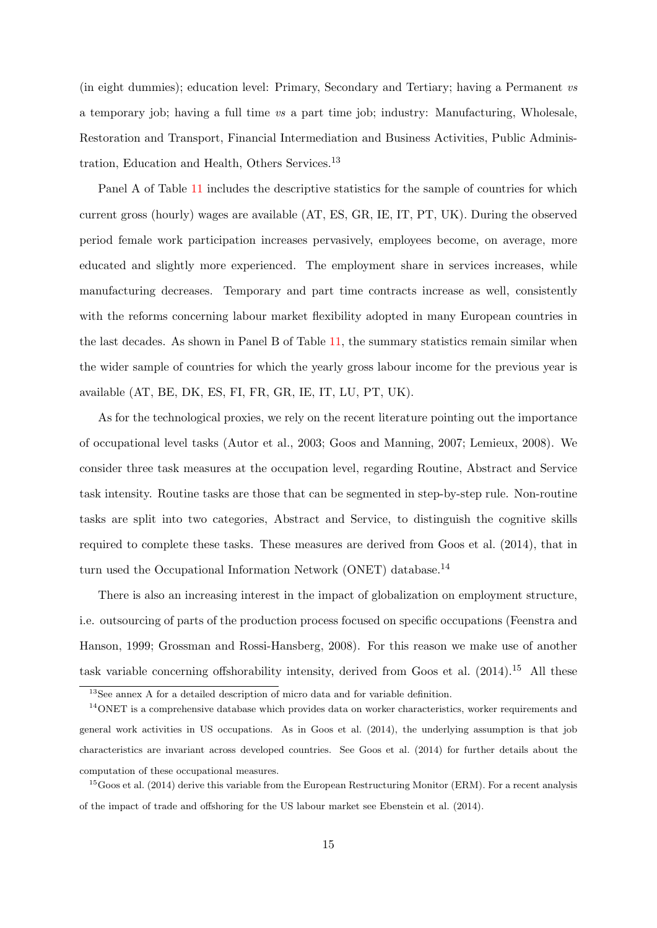(in eight dummies); education level: Primary, Secondary and Tertiary; having a Permanent vs a temporary job; having a full time vs a part time job; industry: Manufacturing, Wholesale, Restoration and Transport, Financial Intermediation and Business Activities, Public Administration, Education and Health, Others Services.<sup>13</sup>

Panel A of Table [11](#page-53-0) includes the descriptive statistics for the sample of countries for which current gross (hourly) wages are available (AT, ES, GR, IE, IT, PT, UK). During the observed period female work participation increases pervasively, employees become, on average, more educated and slightly more experienced. The employment share in services increases, while manufacturing decreases. Temporary and part time contracts increase as well, consistently with the reforms concerning labour market flexibility adopted in many European countries in the last decades. As shown in Panel B of Table [11,](#page-53-0) the summary statistics remain similar when the wider sample of countries for which the yearly gross labour income for the previous year is available (AT, BE, DK, ES, FI, FR, GR, IE, IT, LU, PT, UK).

As for the technological proxies, we rely on the recent literature pointing out the importance of occupational level tasks [\(Autor et al.,](#page-28-1) [2003;](#page-28-1) [Goos and Manning,](#page-29-0) [2007;](#page-29-0) [Lemieux,](#page-30-9) [2008\)](#page-30-9). We consider three task measures at the occupation level, regarding Routine, Abstract and Service task intensity. Routine tasks are those that can be segmented in step-by-step rule. Non-routine tasks are split into two categories, Abstract and Service, to distinguish the cognitive skills required to complete these tasks. These measures are derived from [Goos et al.](#page-30-2) [\(2014\)](#page-30-2), that in turn used the Occupational Information Network (ONET) database.<sup>14</sup>

There is also an increasing interest in the impact of globalization on employment structure, i.e. outsourcing of parts of the production process focused on specific occupations [\(Feenstra and](#page-29-6) [Hanson,](#page-29-6) [1999;](#page-29-6) [Grossman and Rossi-Hansberg,](#page-30-10) [2008\)](#page-30-10). For this reason we make use of another task variable concerning offshorability intensity, derived from [Goos et al.](#page-30-2)  $(2014)$ <sup>15</sup> All these

<sup>&</sup>lt;sup>13</sup>See annex A for a detailed description of micro data and for variable definition.

 $14$ ONET is a comprehensive database which provides data on worker characteristics, worker requirements and general work activities in US occupations. As in [Goos et al.](#page-30-2) [\(2014\)](#page-30-2), the underlying assumption is that job characteristics are invariant across developed countries. See [Goos et al.](#page-30-2) [\(2014\)](#page-30-2) for further details about the computation of these occupational measures.

 $15$ [Goos et al.](#page-30-2) [\(2014\)](#page-30-2) derive this variable from the European Restructuring Monitor (ERM). For a recent analysis of the impact of trade and offshoring for the US labour market see [Ebenstein et al.](#page-29-7) [\(2014\)](#page-29-7).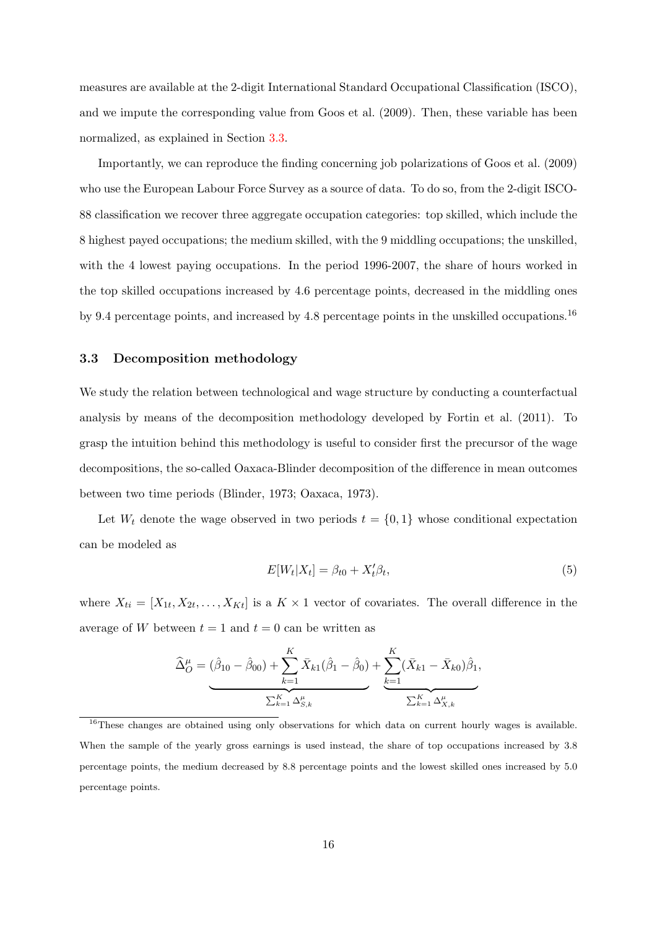measures are available at the 2-digit International Standard Occupational Classification (ISCO), and we impute the corresponding value from [Goos et al.](#page-30-0) [\(2009\)](#page-30-0). Then, these variable has been normalized, as explained in Section [3.3.](#page-17-0)

Importantly, we can reproduce the finding concerning job polarizations of [Goos et al.](#page-30-0) [\(2009\)](#page-30-0) who use the European Labour Force Survey as a source of data. To do so, from the 2-digit ISCO-88 classification we recover three aggregate occupation categories: top skilled, which include the 8 highest payed occupations; the medium skilled, with the 9 middling occupations; the unskilled, with the 4 lowest paying occupations. In the period 1996-2007, the share of hours worked in the top skilled occupations increased by 4.6 percentage points, decreased in the middling ones by 9.4 percentage points, and increased by 4.8 percentage points in the unskilled occupations.<sup>16</sup>

#### <span id="page-17-0"></span>3.3 Decomposition methodology

We study the relation between technological and wage structure by conducting a counterfactual analysis by means of the decomposition methodology developed by [Fortin et al.](#page-29-8) [\(2011\)](#page-29-8). To grasp the intuition behind this methodology is useful to consider first the precursor of the wage decompositions, the so-called Oaxaca-Blinder decomposition of the difference in mean outcomes between two time periods [\(Blinder,](#page-28-9) [1973;](#page-28-9) [Oaxaca,](#page-31-3) [1973\)](#page-31-3).

Let  $W_t$  denote the wage observed in two periods  $t = \{0, 1\}$  whose conditional expectation can be modeled as

<span id="page-17-1"></span>
$$
E[W_t|X_t] = \beta_{t0} + X_t'\beta_t,\tag{5}
$$

where  $X_{ti} = [X_{1t}, X_{2t}, \ldots, X_{Kt}]$  is a  $K \times 1$  vector of covariates. The overall difference in the average of W between  $t = 1$  and  $t = 0$  can be written as

$$
\widehat{\Delta}_{O}^{\mu} = (\widehat{\beta}_{10} - \widehat{\beta}_{00}) + \sum_{k=1}^{K} \bar{X}_{k1} (\widehat{\beta}_{1} - \widehat{\beta}_{0}) + \sum_{k=1}^{K} (\bar{X}_{k1} - \bar{X}_{k0}) \widehat{\beta}_{1},
$$
  

$$
\sum_{k=1}^{K} \Delta_{S,k}^{\mu}
$$

<sup>&</sup>lt;sup>16</sup>These changes are obtained using only observations for which data on current hourly wages is available. When the sample of the yearly gross earnings is used instead, the share of top occupations increased by 3.8 percentage points, the medium decreased by 8.8 percentage points and the lowest skilled ones increased by 5.0 percentage points.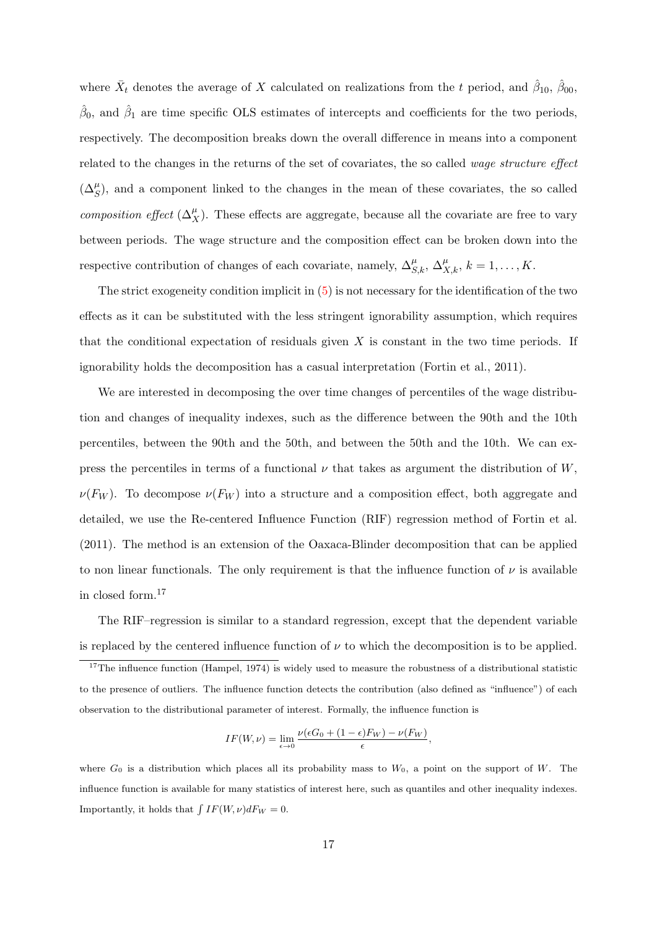where  $\bar{X}_t$  denotes the average of X calculated on realizations from the t period, and  $\hat{\beta}_{10}$ ,  $\hat{\beta}_{00}$ ,  $\hat{\beta}_0$ , and  $\hat{\beta}_1$  are time specific OLS estimates of intercepts and coefficients for the two periods, respectively. The decomposition breaks down the overall difference in means into a component related to the changes in the returns of the set of covariates, the so called wage structure effect  $(\Delta_S^{\mu})$ , and a component linked to the changes in the mean of these covariates, the so called composition effect  $(\Delta_X^{\mu})$ . These effects are aggregate, because all the covariate are free to vary between periods. The wage structure and the composition effect can be broken down into the respective contribution of changes of each covariate, namely,  $\Delta_{S,k}^{\mu}$ ,  $\Delta_{X,k}^{\mu}$ ,  $k = 1, ..., K$ .

The strict exogeneity condition implicit in  $(5)$  is not necessary for the identification of the two effects as it can be substituted with the less stringent ignorability assumption, which requires that the conditional expectation of residuals given  $X$  is constant in the two time periods. If ignorability holds the decomposition has a casual interpretation [\(Fortin et al.,](#page-29-8) [2011\)](#page-29-8).

We are interested in decomposing the over time changes of percentiles of the wage distribution and changes of inequality indexes, such as the difference between the 90th and the 10th percentiles, between the 90th and the 50th, and between the 50th and the 10th. We can express the percentiles in terms of a functional  $\nu$  that takes as argument the distribution of  $W$ ,  $\nu(F_W)$ . To decompose  $\nu(F_W)$  into a structure and a composition effect, both aggregate and detailed, we use the Re-centered Influence Function (RIF) regression method of [Fortin et al.](#page-29-8) [\(2011\)](#page-29-8). The method is an extension of the Oaxaca-Blinder decomposition that can be applied to non linear functionals. The only requirement is that the influence function of  $\nu$  is available in closed form.<sup>17</sup>

The RIF–regression is similar to a standard regression, except that the dependent variable is replaced by the centered influence function of  $\nu$  to which the decomposition is to be applied.

$$
IF(W,\nu) = \lim_{\epsilon \to 0} \frac{\nu(\epsilon G_0 + (1 - \epsilon)F_W) - \nu(F_W)}{\epsilon},
$$

where  $G_0$  is a distribution which places all its probability mass to  $W_0$ , a point on the support of W. The influence function is available for many statistics of interest here, such as quantiles and other inequality indexes. Importantly, it holds that  $\int IF(W, \nu)dF_W = 0$ .

<sup>&</sup>lt;sup>17</sup>The influence function [\(Hampel,](#page-30-11) [1974\)](#page-30-11) is widely used to measure the robustness of a distributional statistic to the presence of outliers. The influence function detects the contribution (also defined as "influence") of each observation to the distributional parameter of interest. Formally, the influence function is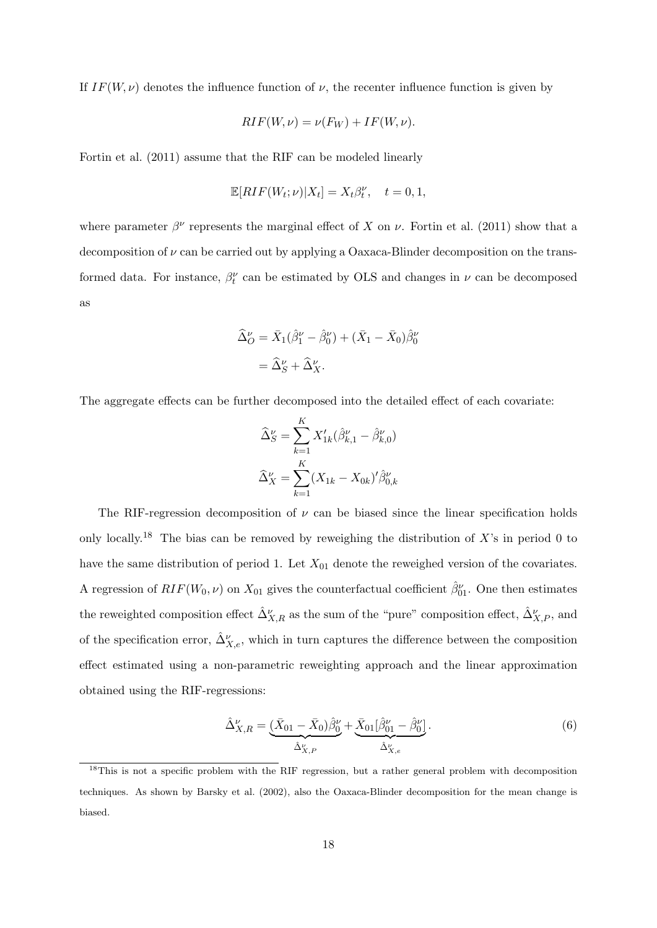If  $IF(W, \nu)$  denotes the influence function of  $\nu$ , the recenter influence function is given by

$$
RIF(W, \nu) = \nu(F_W) + IF(W, \nu).
$$

[Fortin et al.](#page-29-8) [\(2011\)](#page-29-8) assume that the RIF can be modeled linearly

$$
\mathbb{E}[RIF(W_t; \nu)|X_t] = X_t \beta_t^{\nu}, \quad t = 0, 1,
$$

where parameter  $\beta^{\nu}$  represents the marginal effect of X on  $\nu$ . [Fortin et al.](#page-29-8) [\(2011\)](#page-29-8) show that a decomposition of  $\nu$  can be carried out by applying a Oaxaca-Blinder decomposition on the transformed data. For instance,  $\beta_t^{\nu}$  can be estimated by OLS and changes in  $\nu$  can be decomposed as

$$
\begin{aligned} \widehat{\Delta}_O^\nu &= \bar{X}_1(\widehat{\beta}_1^\nu - \widehat{\beta}_0^\nu) + (\bar{X}_1 - \bar{X}_0)\widehat{\beta}_0^\nu \\ &= \widehat{\Delta}_S^\nu + \widehat{\Delta}_X^\nu. \end{aligned}
$$

The aggregate effects can be further decomposed into the detailed effect of each covariate:

$$
\widehat{\Delta}_{S}^{\nu} = \sum_{k=1}^{K} X'_{1k} (\widehat{\beta}_{k,1}^{\nu} - \widehat{\beta}_{k,0}^{\nu})
$$

$$
\widehat{\Delta}_{X}^{\nu} = \sum_{k=1}^{K} (X_{1k} - X_{0k})' \widehat{\beta}_{0,k}^{\nu}
$$

The RIF-regression decomposition of  $\nu$  can be biased since the linear specification holds only locally.<sup>18</sup> The bias can be removed by reweighing the distribution of  $X$ 's in period 0 to have the same distribution of period 1. Let  $X_{01}$  denote the reweighed version of the covariates. A regression of  $RIF(W_0, \nu)$  on  $X_{01}$  gives the counterfactual coefficient  $\hat{\beta}^{\nu}_{01}$ . One then estimates the reweighted composition effect  $\hat{\Delta}_{X,R}^{\nu}$  as the sum of the "pure" composition effect,  $\hat{\Delta}_{X,P}^{\nu}$ , and of the specification error,  $\hat{\Delta}_{X,e}^{\nu}$ , which in turn captures the difference between the composition effect estimated using a non-parametric reweighting approach and the linear approximation obtained using the RIF-regressions:

$$
\hat{\Delta}_{X,R}^{\nu} = \underbrace{(\bar{X}_{01} - \bar{X}_0)\hat{\beta}_0^{\nu}}_{\hat{\Delta}_{X,P}^{\nu}} + \underbrace{\bar{X}_{01}[\hat{\beta}_{01}^{\nu} - \hat{\beta}_0^{\nu}]}_{\hat{\Delta}_{X,e}^{\nu}}.
$$
\n(6)

<sup>&</sup>lt;sup>18</sup>This is not a specific problem with the RIF regression, but a rather general problem with decomposition techniques. As shown by [Barsky et al.](#page-28-10) [\(2002\)](#page-28-10), also the Oaxaca-Blinder decomposition for the mean change is biased.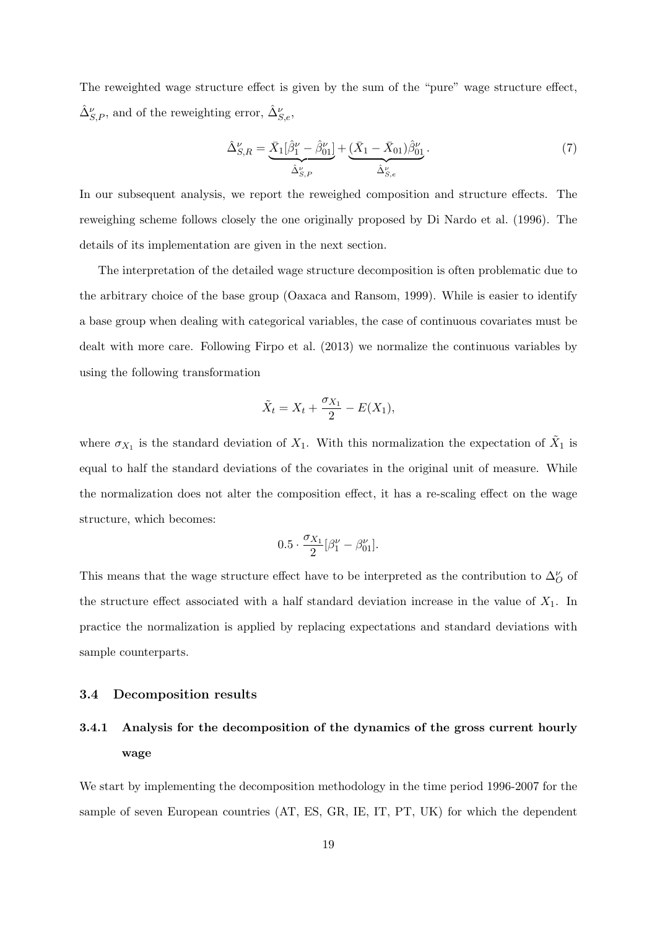The reweighted wage structure effect is given by the sum of the "pure" wage structure effect,  $\hat{\Delta}_{S,P}^{\nu},$  and of the reweighting error,  $\hat{\Delta}_{S,e}^{\nu},$ 

$$
\hat{\Delta}_{S,R}^{\nu} = \underbrace{\bar{X}_1[\hat{\beta}_1^{\nu} - \hat{\beta}_{01}^{\nu}]}_{\hat{\Delta}_{S,P}^{\nu}} + \underbrace{(\bar{X}_1 - \bar{X}_{01})\hat{\beta}_{01}^{\nu}}_{\hat{\Delta}_{S,e}^{\nu}}.
$$
\n(7)

In our subsequent analysis, we report the reweighed composition and structure effects. The reweighing scheme follows closely the one originally proposed by [Di Nardo et al.](#page-29-9) [\(1996\)](#page-29-9). The details of its implementation are given in the next section.

The interpretation of the detailed wage structure decomposition is often problematic due to the arbitrary choice of the base group [\(Oaxaca and Ransom,](#page-31-4) [1999\)](#page-31-4). While is easier to identify a base group when dealing with categorical variables, the case of continuous covariates must be dealt with more care. Following [Firpo et al.](#page-29-1) [\(2013\)](#page-29-1) we normalize the continuous variables by using the following transformation

$$
\tilde{X}_t = X_t + \frac{\sigma_{X_1}}{2} - E(X_1),
$$

where  $\sigma_{X_1}$  is the standard deviation of  $X_1$ . With this normalization the expectation of  $\tilde{X}_1$  is equal to half the standard deviations of the covariates in the original unit of measure. While the normalization does not alter the composition effect, it has a re-scaling effect on the wage structure, which becomes:

$$
0.5 \cdot \frac{\sigma_{X_1}}{2} [\beta_1^{\nu} - \beta_{01}^{\nu}].
$$

This means that the wage structure effect have to be interpreted as the contribution to  $\Delta_O^{\nu}$  of the structure effect associated with a half standard deviation increase in the value of  $X_1$ . In practice the normalization is applied by replacing expectations and standard deviations with sample counterparts.

#### 3.4 Decomposition results

# 3.4.1 Analysis for the decomposition of the dynamics of the gross current hourly wage

We start by implementing the decomposition methodology in the time period 1996-2007 for the sample of seven European countries (AT, ES, GR, IE, IT, PT, UK) for which the dependent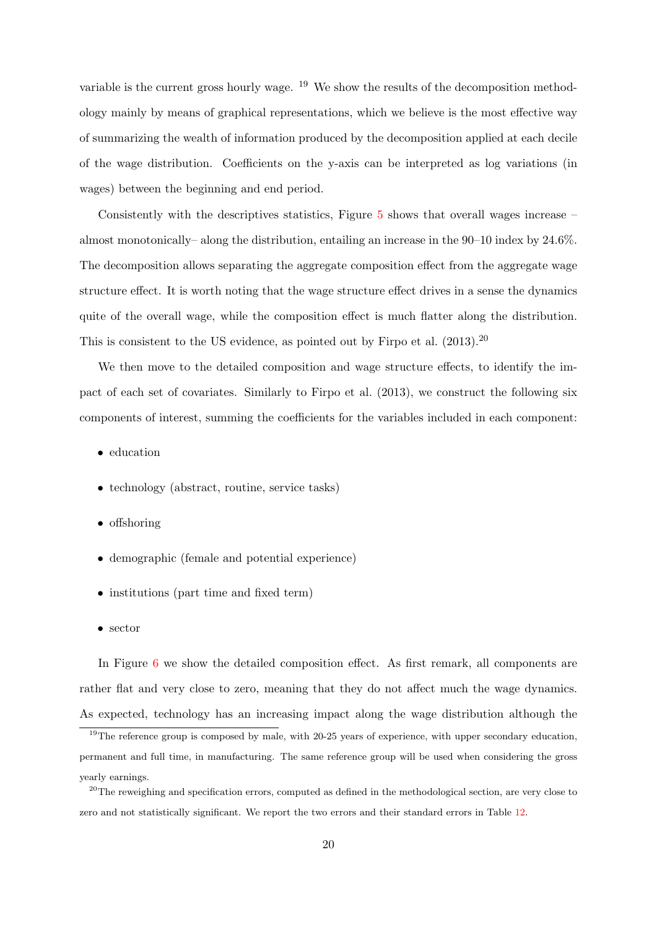variable is the current gross hourly wage. <sup>19</sup> We show the results of the decomposition methodology mainly by means of graphical representations, which we believe is the most effective way of summarizing the wealth of information produced by the decomposition applied at each decile of the wage distribution. Coefficients on the y-axis can be interpreted as log variations (in wages) between the beginning and end period.

Consistently with the descriptives statistics, Figure [5](#page-36-0) shows that overall wages increase – almost monotonically– along the distribution, entailing an increase in the 90–10 index by 24.6%. The decomposition allows separating the aggregate composition effect from the aggregate wage structure effect. It is worth noting that the wage structure effect drives in a sense the dynamics quite of the overall wage, while the composition effect is much flatter along the distribution. This is consistent to the US evidence, as pointed out by [Firpo et al.](#page-29-1)  $(2013).^{20}$  $(2013).^{20}$ 

We then move to the detailed composition and wage structure effects, to identify the impact of each set of covariates. Similarly to [Firpo et al.](#page-29-1) [\(2013\)](#page-29-1), we construct the following six components of interest, summing the coefficients for the variables included in each component:

- education
- technology (abstract, routine, service tasks)
- offshoring
- demographic (female and potential experience)
- institutions (part time and fixed term)
- sector

In Figure [6](#page-36-1) we show the detailed composition effect. As first remark, all components are rather flat and very close to zero, meaning that they do not affect much the wage dynamics. As expected, technology has an increasing impact along the wage distribution although the

<sup>&</sup>lt;sup>19</sup>The reference group is composed by male, with 20-25 years of experience, with upper secondary education, permanent and full time, in manufacturing. The same reference group will be used when considering the gross yearly earnings.

<sup>&</sup>lt;sup>20</sup>The reweighing and specification errors, computed as defined in the methodological section, are very close to zero and not statistically significant. We report the two errors and their standard errors in Table [12.](#page-54-0)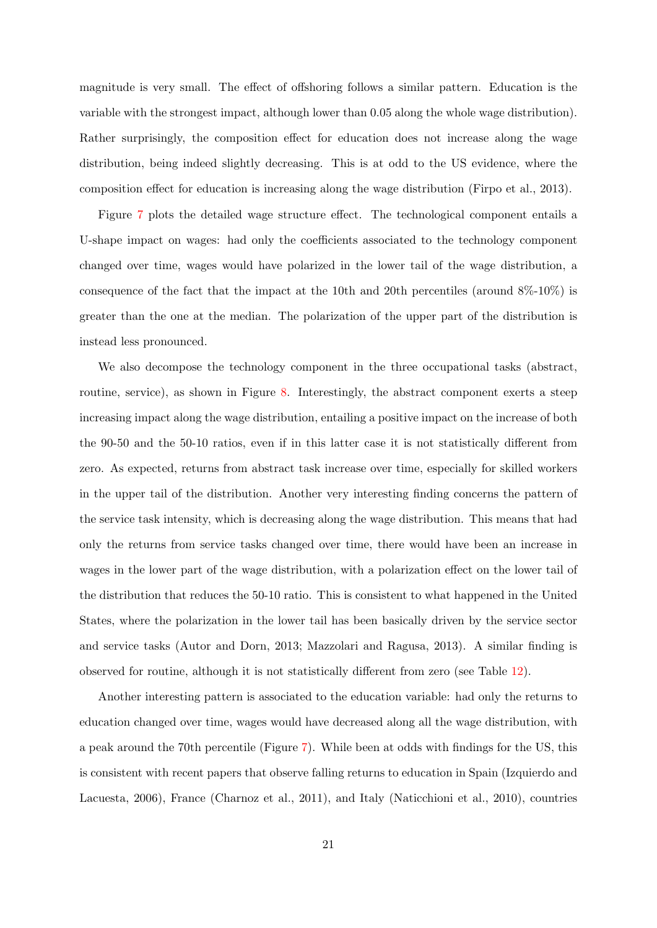magnitude is very small. The effect of offshoring follows a similar pattern. Education is the variable with the strongest impact, although lower than 0.05 along the whole wage distribution). Rather surprisingly, the composition effect for education does not increase along the wage distribution, being indeed slightly decreasing. This is at odd to the US evidence, where the composition effect for education is increasing along the wage distribution [\(Firpo et al.,](#page-29-1) [2013\)](#page-29-1).

Figure [7](#page-37-0) plots the detailed wage structure effect. The technological component entails a U-shape impact on wages: had only the coefficients associated to the technology component changed over time, wages would have polarized in the lower tail of the wage distribution, a consequence of the fact that the impact at the 10th and 20th percentiles (around  $8\%$ -10%) is greater than the one at the median. The polarization of the upper part of the distribution is instead less pronounced.

We also decompose the technology component in the three occupational tasks (abstract, routine, service), as shown in Figure [8.](#page-37-1) Interestingly, the abstract component exerts a steep increasing impact along the wage distribution, entailing a positive impact on the increase of both the 90-50 and the 50-10 ratios, even if in this latter case it is not statistically different from zero. As expected, returns from abstract task increase over time, especially for skilled workers in the upper tail of the distribution. Another very interesting finding concerns the pattern of the service task intensity, which is decreasing along the wage distribution. This means that had only the returns from service tasks changed over time, there would have been an increase in wages in the lower part of the wage distribution, with a polarization effect on the lower tail of the distribution that reduces the 50-10 ratio. This is consistent to what happened in the United States, where the polarization in the lower tail has been basically driven by the service sector and service tasks [\(Autor and Dorn,](#page-28-5) [2013;](#page-28-5) [Mazzolari and Ragusa,](#page-30-1) [2013\)](#page-30-1). A similar finding is observed for routine, although it is not statistically different from zero (see Table [12\)](#page-54-0).

Another interesting pattern is associated to the education variable: had only the returns to education changed over time, wages would have decreased along all the wage distribution, with a peak around the 70th percentile (Figure [7\)](#page-37-0). While been at odds with findings for the US, this is consistent with recent papers that observe falling returns to education in Spain [\(Izquierdo and](#page-30-6) [Lacuesta,](#page-30-6) [2006\)](#page-30-6), France [\(Charnoz et al.,](#page-29-4) [2011\)](#page-29-4), and Italy [\(Naticchioni et al.,](#page-31-5) [2010\)](#page-31-5), countries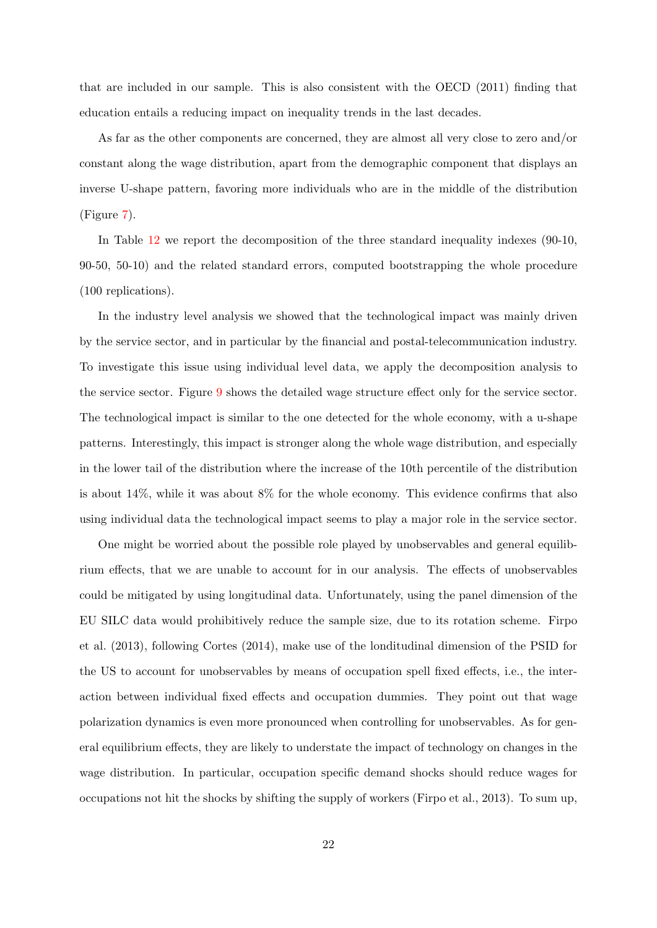that are included in our sample. This is also consistent with the [OECD](#page-31-0) [\(2011\)](#page-31-0) finding that education entails a reducing impact on inequality trends in the last decades.

As far as the other components are concerned, they are almost all very close to zero and/or constant along the wage distribution, apart from the demographic component that displays an inverse U-shape pattern, favoring more individuals who are in the middle of the distribution (Figure [7\)](#page-37-0).

In Table [12](#page-54-0) we report the decomposition of the three standard inequality indexes (90-10, 90-50, 50-10) and the related standard errors, computed bootstrapping the whole procedure (100 replications).

In the industry level analysis we showed that the technological impact was mainly driven by the service sector, and in particular by the financial and postal-telecommunication industry. To investigate this issue using individual level data, we apply the decomposition analysis to the service sector. Figure [9](#page-38-0) shows the detailed wage structure effect only for the service sector. The technological impact is similar to the one detected for the whole economy, with a u-shape patterns. Interestingly, this impact is stronger along the whole wage distribution, and especially in the lower tail of the distribution where the increase of the 10th percentile of the distribution is about 14%, while it was about 8% for the whole economy. This evidence confirms that also using individual data the technological impact seems to play a major role in the service sector.

One might be worried about the possible role played by unobservables and general equilibrium effects, that we are unable to account for in our analysis. The effects of unobservables could be mitigated by using longitudinal data. Unfortunately, using the panel dimension of the EU SILC data would prohibitively reduce the sample size, due to its rotation scheme. [Firpo](#page-29-1) [et al.](#page-29-1) [\(2013\)](#page-29-1), following [Cortes](#page-29-10) [\(2014\)](#page-29-10), make use of the londitudinal dimension of the PSID for the US to account for unobservables by means of occupation spell fixed effects, i.e., the interaction between individual fixed effects and occupation dummies. They point out that wage polarization dynamics is even more pronounced when controlling for unobservables. As for general equilibrium effects, they are likely to understate the impact of technology on changes in the wage distribution. In particular, occupation specific demand shocks should reduce wages for occupations not hit the shocks by shifting the supply of workers [\(Firpo et al.,](#page-29-1) [2013\)](#page-29-1). To sum up,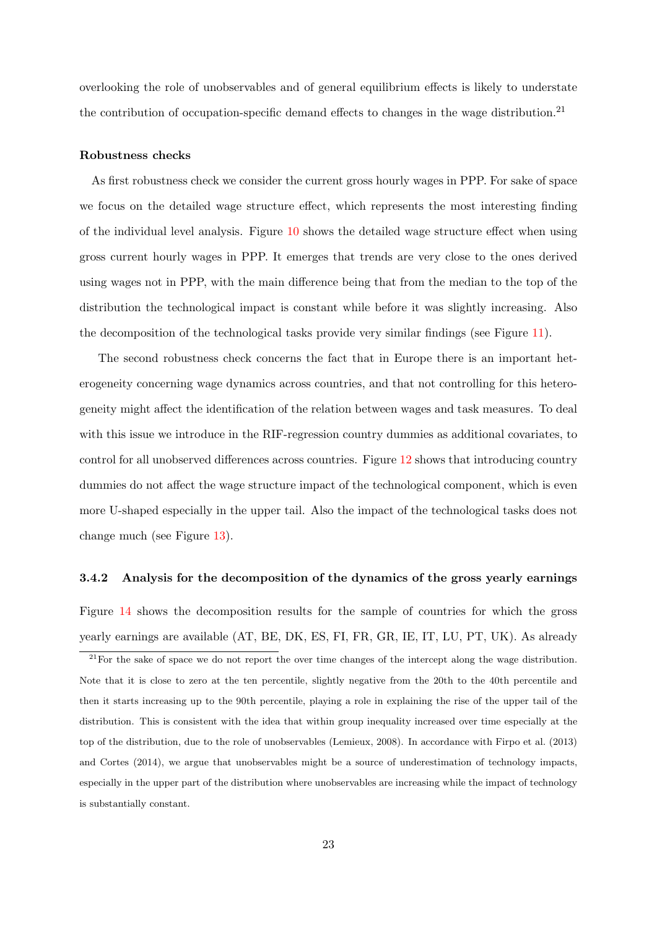overlooking the role of unobservables and of general equilibrium effects is likely to understate the contribution of occupation-specific demand effects to changes in the wage distribution.<sup>21</sup>

#### Robustness checks

As first robustness check we consider the current gross hourly wages in PPP. For sake of space we focus on the detailed wage structure effect, which represents the most interesting finding of the individual level analysis. Figure [10](#page-38-1) shows the detailed wage structure effect when using gross current hourly wages in PPP. It emerges that trends are very close to the ones derived using wages not in PPP, with the main difference being that from the median to the top of the distribution the technological impact is constant while before it was slightly increasing. Also the decomposition of the technological tasks provide very similar findings (see Figure [11\)](#page-39-0).

The second robustness check concerns the fact that in Europe there is an important heterogeneity concerning wage dynamics across countries, and that not controlling for this heterogeneity might affect the identification of the relation between wages and task measures. To deal with this issue we introduce in the RIF-regression country dummies as additional covariates, to control for all unobserved differences across countries. Figure [12](#page-39-1) shows that introducing country dummies do not affect the wage structure impact of the technological component, which is even more U-shaped especially in the upper tail. Also the impact of the technological tasks does not change much (see Figure [13\)](#page-40-0).

#### 3.4.2 Analysis for the decomposition of the dynamics of the gross yearly earnings

Figure [14](#page-40-1) shows the decomposition results for the sample of countries for which the gross yearly earnings are available (AT, BE, DK, ES, FI, FR, GR, IE, IT, LU, PT, UK). As already

<sup>&</sup>lt;sup>21</sup>For the sake of space we do not report the over time changes of the intercept along the wage distribution. Note that it is close to zero at the ten percentile, slightly negative from the 20th to the 40th percentile and then it starts increasing up to the 90th percentile, playing a role in explaining the rise of the upper tail of the distribution. This is consistent with the idea that within group inequality increased over time especially at the top of the distribution, due to the role of unobservables [\(Lemieux,](#page-30-9) [2008\)](#page-30-9). In accordance with [Firpo et al.](#page-29-1) [\(2013\)](#page-29-1) and [Cortes](#page-29-10) [\(2014\)](#page-29-10), we argue that unobservables might be a source of underestimation of technology impacts, especially in the upper part of the distribution where unobservables are increasing while the impact of technology is substantially constant.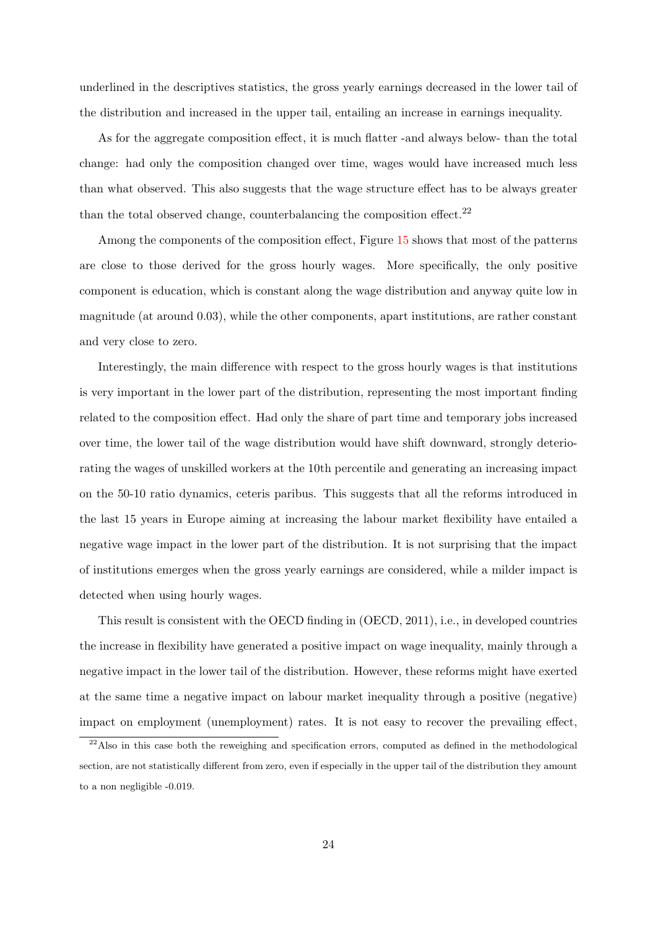underlined in the descriptives statistics, the gross yearly earnings decreased in the lower tail of the distribution and increased in the upper tail, entailing an increase in earnings inequality.

As for the aggregate composition effect, it is much flatter -and always below- than the total change: had only the composition changed over time, wages would have increased much less than what observed. This also suggests that the wage structure effect has to be always greater than the total observed change, counterbalancing the composition effect. $^{22}$ 

Among the components of the composition effect, Figure [15](#page-41-0) shows that most of the patterns are close to those derived for the gross hourly wages. More specifically, the only positive component is education, which is constant along the wage distribution and anyway quite low in magnitude (at around 0.03), while the other components, apart institutions, are rather constant and very close to zero.

Interestingly, the main difference with respect to the gross hourly wages is that institutions is very important in the lower part of the distribution, representing the most important finding related to the composition effect. Had only the share of part time and temporary jobs increased over time, the lower tail of the wage distribution would have shift downward, strongly deteriorating the wages of unskilled workers at the 10th percentile and generating an increasing impact on the 50-10 ratio dynamics, ceteris paribus. This suggests that all the reforms introduced in the last 15 years in Europe aiming at increasing the labour market flexibility have entailed a negative wage impact in the lower part of the distribution. It is not surprising that the impact of institutions emerges when the gross yearly earnings are considered, while a milder impact is detected when using hourly wages.

This result is consistent with the OECD finding in [\(OECD,](#page-31-0) [2011\)](#page-31-0), i.e., in developed countries the increase in flexibility have generated a positive impact on wage inequality, mainly through a negative impact in the lower tail of the distribution. However, these reforms might have exerted at the same time a negative impact on labour market inequality through a positive (negative) impact on employment (unemployment) rates. It is not easy to recover the prevailing effect,

<sup>&</sup>lt;sup>22</sup>Also in this case both the reweighing and specification errors, computed as defined in the methodological section, are not statistically different from zero, even if especially in the upper tail of the distribution they amount to a non negligible -0.019.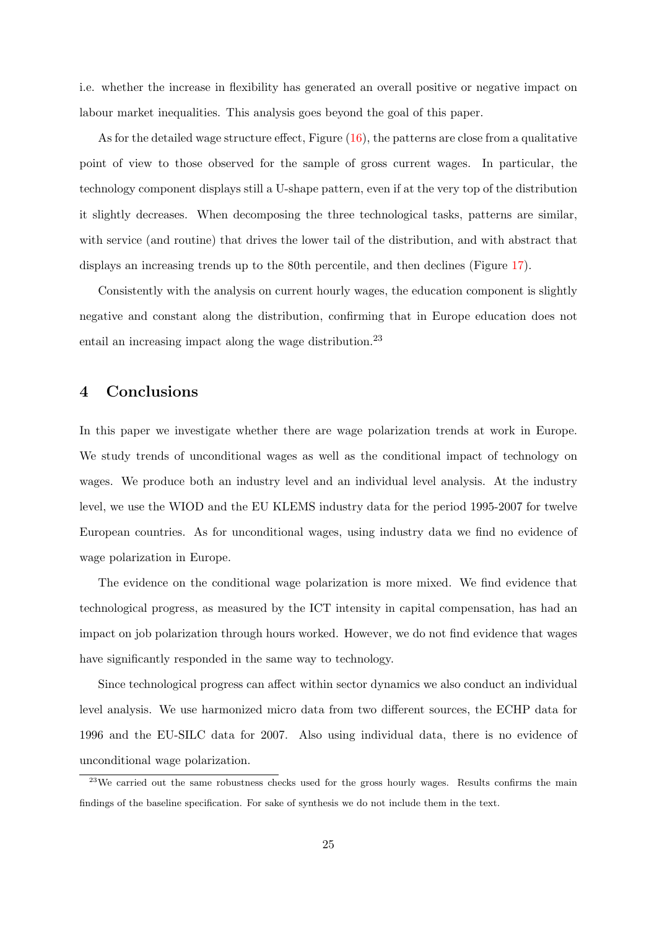i.e. whether the increase in flexibility has generated an overall positive or negative impact on labour market inequalities. This analysis goes beyond the goal of this paper.

As for the detailed wage structure effect, Figure  $(16)$ , the patterns are close from a qualitative point of view to those observed for the sample of gross current wages. In particular, the technology component displays still a U-shape pattern, even if at the very top of the distribution it slightly decreases. When decomposing the three technological tasks, patterns are similar, with service (and routine) that drives the lower tail of the distribution, and with abstract that displays an increasing trends up to the 80th percentile, and then declines (Figure [17\)](#page-42-0).

Consistently with the analysis on current hourly wages, the education component is slightly negative and constant along the distribution, confirming that in Europe education does not entail an increasing impact along the wage distribution.<sup>23</sup>

### 4 Conclusions

In this paper we investigate whether there are wage polarization trends at work in Europe. We study trends of unconditional wages as well as the conditional impact of technology on wages. We produce both an industry level and an individual level analysis. At the industry level, we use the WIOD and the EU KLEMS industry data for the period 1995-2007 for twelve European countries. As for unconditional wages, using industry data we find no evidence of wage polarization in Europe.

The evidence on the conditional wage polarization is more mixed. We find evidence that technological progress, as measured by the ICT intensity in capital compensation, has had an impact on job polarization through hours worked. However, we do not find evidence that wages have significantly responded in the same way to technology.

Since technological progress can affect within sector dynamics we also conduct an individual level analysis. We use harmonized micro data from two different sources, the ECHP data for 1996 and the EU-SILC data for 2007. Also using individual data, there is no evidence of unconditional wage polarization.

<sup>&</sup>lt;sup>23</sup>We carried out the same robustness checks used for the gross hourly wages. Results confirms the main findings of the baseline specification. For sake of synthesis we do not include them in the text.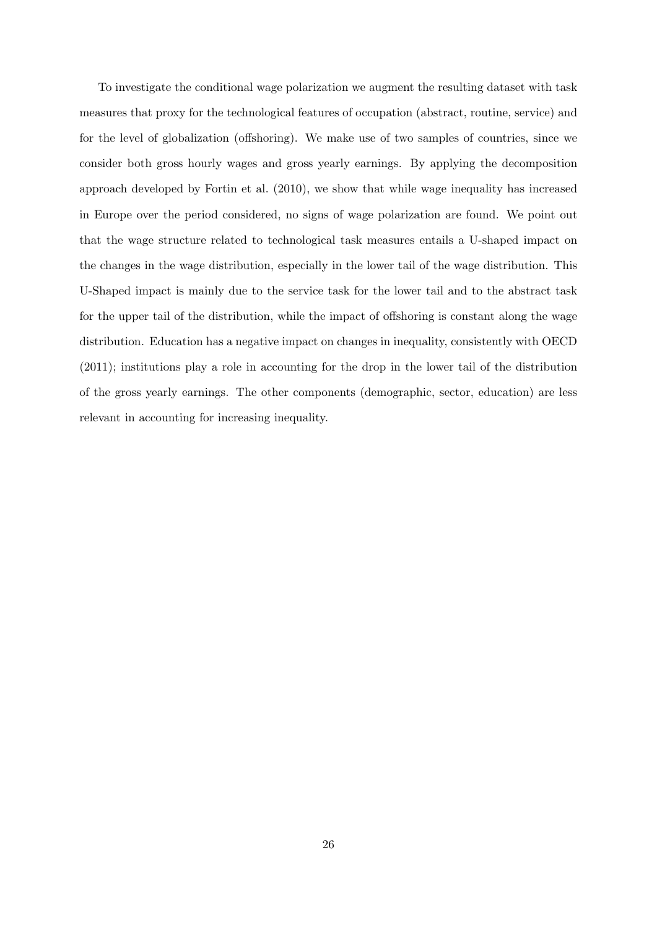To investigate the conditional wage polarization we augment the resulting dataset with task measures that proxy for the technological features of occupation (abstract, routine, service) and for the level of globalization (offshoring). We make use of two samples of countries, since we consider both gross hourly wages and gross yearly earnings. By applying the decomposition approach developed by [Fortin et al.](#page-29-3) [\(2010\)](#page-29-3), we show that while wage inequality has increased in Europe over the period considered, no signs of wage polarization are found. We point out that the wage structure related to technological task measures entails a U-shaped impact on the changes in the wage distribution, especially in the lower tail of the wage distribution. This U-Shaped impact is mainly due to the service task for the lower tail and to the abstract task for the upper tail of the distribution, while the impact of offshoring is constant along the wage distribution. Education has a negative impact on changes in inequality, consistently with [OECD](#page-31-0) [\(2011\)](#page-31-0); institutions play a role in accounting for the drop in the lower tail of the distribution of the gross yearly earnings. The other components (demographic, sector, education) are less relevant in accounting for increasing inequality.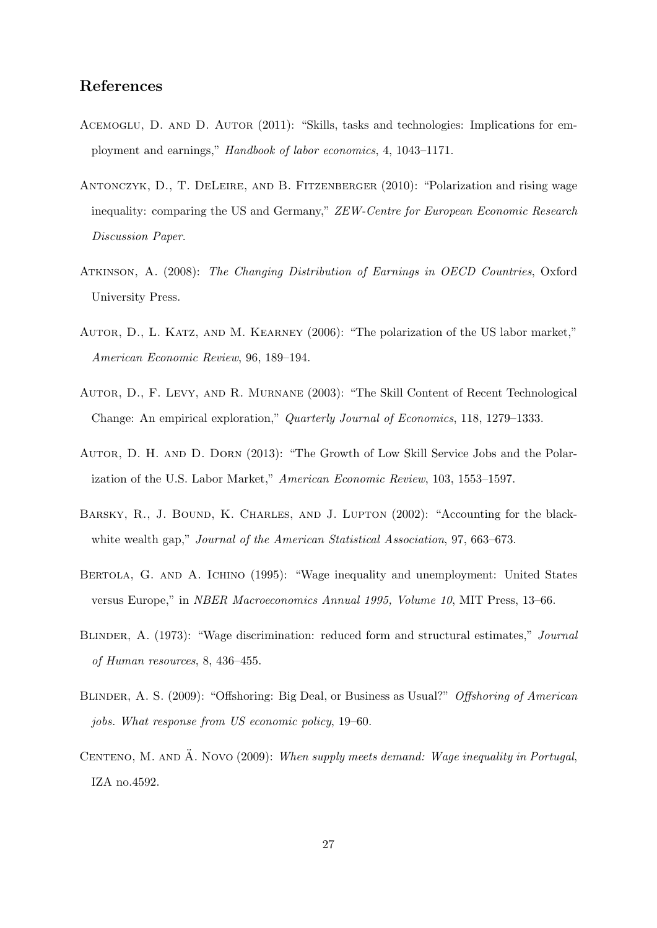### References

- <span id="page-28-3"></span>ACEMOGLU, D. AND D. AUTOR (2011): "Skills, tasks and technologies: Implications for employment and earnings," Handbook of labor economics, 4, 1043–1171.
- <span id="page-28-4"></span>Antonczyk, D., T. DeLeire, and B. Fitzenberger (2010): "Polarization and rising wage inequality: comparing the US and Germany," ZEW-Centre for European Economic Research Discussion Paper.
- <span id="page-28-8"></span>Atkinson, A. (2008): The Changing Distribution of Earnings in OECD Countries, Oxford University Press.
- <span id="page-28-0"></span>Autor, D., L. Katz, and M. Kearney (2006): "The polarization of the US labor market," American Economic Review, 96, 189–194.
- <span id="page-28-1"></span>Autor, D., F. Levy, and R. Murnane (2003): "The Skill Content of Recent Technological Change: An empirical exploration," Quarterly Journal of Economics, 118, 1279–1333.
- <span id="page-28-5"></span>Autor, D. H. and D. Dorn (2013): "The Growth of Low Skill Service Jobs and the Polarization of the U.S. Labor Market," American Economic Review, 103, 1553–1597.
- <span id="page-28-10"></span>BARSKY, R., J. BOUND, K. CHARLES, AND J. LUPTON (2002): "Accounting for the blackwhite wealth gap," Journal of the American Statistical Association, 97, 663–673.
- <span id="page-28-6"></span>BERTOLA, G. AND A. ICHINO (1995): "Wage inequality and unemployment: United States versus Europe," in NBER Macroeconomics Annual 1995, Volume 10, MIT Press, 13–66.
- <span id="page-28-9"></span>BLINDER, A. (1973): "Wage discrimination: reduced form and structural estimates," Journal of Human resources, 8, 436–455.
- <span id="page-28-2"></span>BLINDER, A. S. (2009): "Offshoring: Big Deal, or Business as Usual?" Offshoring of American jobs. What response from US economic policy, 19–60.
- <span id="page-28-7"></span>CENTENO, M. AND  $\ddot{A}$ . Novo (2009): When supply meets demand: Wage inequality in Portugal, IZA no.4592.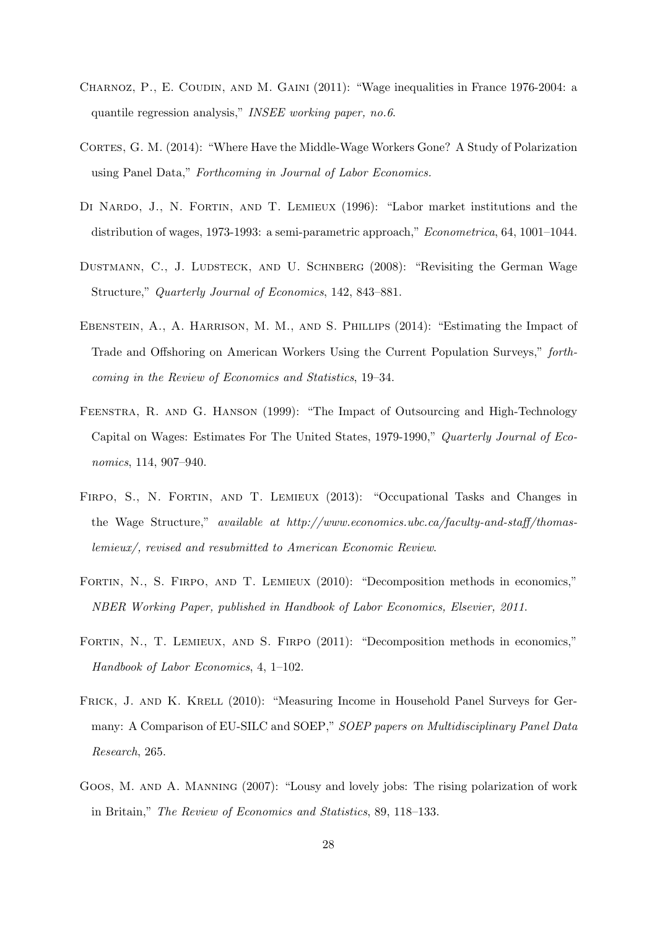- <span id="page-29-4"></span>CHARNOZ, P., E. COUDIN, AND M. GAINI (2011): "Wage inequalities in France 1976-2004: a quantile regression analysis," INSEE working paper, no.6.
- <span id="page-29-10"></span>CORTES, G. M. (2014): "Where Have the Middle-Wage Workers Gone? A Study of Polarization using Panel Data," Forthcoming in Journal of Labor Economics.
- <span id="page-29-9"></span>DI NARDO, J., N. FORTIN, AND T. LEMIEUX (1996): "Labor market institutions and the distribution of wages, 1973-1993: a semi-parametric approach," *Econometrica*, 64, 1001-1044.
- <span id="page-29-2"></span>DUSTMANN, C., J. LUDSTECK, AND U. SCHNBERG (2008): "Revisiting the German Wage Structure," Quarterly Journal of Economics, 142, 843–881.
- <span id="page-29-7"></span>Ebenstein, A., A. Harrison, M. M., and S. Phillips (2014): "Estimating the Impact of Trade and Offshoring on American Workers Using the Current Population Surveys," forthcoming in the Review of Economics and Statistics, 19–34.
- <span id="page-29-6"></span>Feenstra, R. and G. Hanson (1999): "The Impact of Outsourcing and High-Technology Capital on Wages: Estimates For The United States, 1979-1990," Quarterly Journal of Economics, 114, 907–940.
- <span id="page-29-1"></span>FIRPO, S., N. FORTIN, AND T. LEMIEUX (2013): "Occupational Tasks and Changes in the Wage Structure," available at http://www.economics.ubc.ca/faculty-and-staff/thomaslemieux/, revised and resubmitted to American Economic Review.
- <span id="page-29-3"></span>FORTIN, N., S. FIRPO, AND T. LEMIEUX (2010): "Decomposition methods in economics," NBER Working Paper, published in Handbook of Labor Economics, Elsevier, 2011.
- <span id="page-29-8"></span>FORTIN, N., T. LEMIEUX, AND S. FIRPO (2011): "Decomposition methods in economics," Handbook of Labor Economics, 4, 1–102.
- <span id="page-29-5"></span>FRICK, J. AND K. KRELL (2010): "Measuring Income in Household Panel Surveys for Germany: A Comparison of EU-SILC and SOEP," SOEP papers on Multidisciplinary Panel Data Research, 265.
- <span id="page-29-0"></span>Goos, M. and A. Manning (2007): "Lousy and lovely jobs: The rising polarization of work in Britain," The Review of Economics and Statistics, 89, 118–133.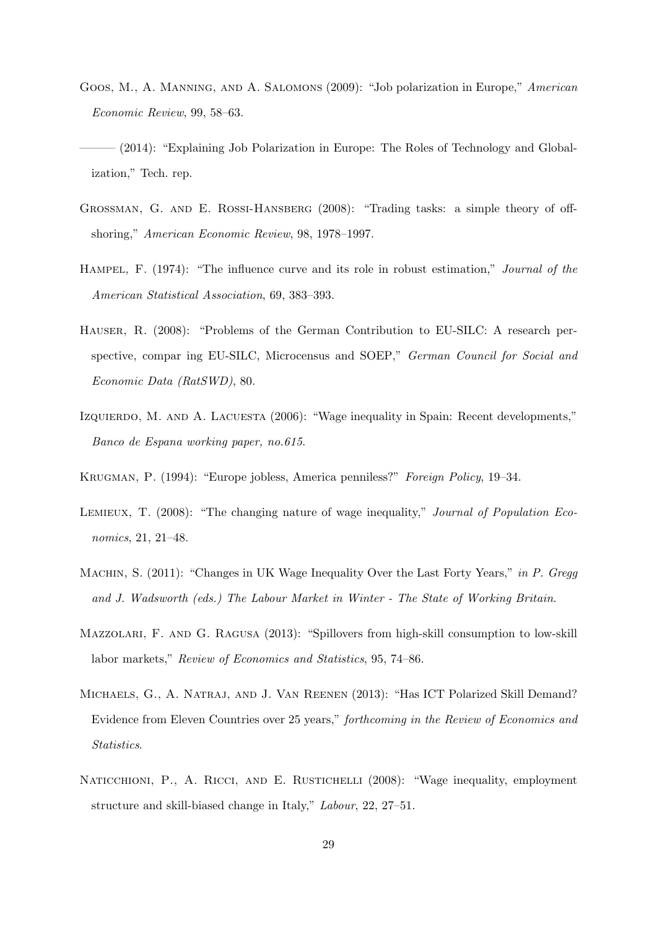- <span id="page-30-0"></span>Goos, M., A. Manning, and A. Salomons (2009): "Job polarization in Europe," American Economic Review, 99, 58–63.
- <span id="page-30-2"></span>– (2014): "Explaining Job Polarization in Europe: The Roles of Technology and Globalization," Tech. rep.
- <span id="page-30-10"></span>Grossman, G. and E. Rossi-Hansberg (2008): "Trading tasks: a simple theory of offshoring," American Economic Review, 98, 1978–1997.
- <span id="page-30-11"></span>Hampel, F. (1974): "The influence curve and its role in robust estimation," Journal of the American Statistical Association, 69, 383–393.
- <span id="page-30-8"></span>Hauser, R. (2008): "Problems of the German Contribution to EU-SILC: A research perspective, compar ing EU-SILC, Microcensus and SOEP," German Council for Social and Economic Data (RatSWD), 80.
- <span id="page-30-6"></span>Izquierdo, M. and A. Lacuesta (2006): "Wage inequality in Spain: Recent developments," Banco de Espana working paper, no.615.
- <span id="page-30-5"></span>Krugman, P. (1994): "Europe jobless, America penniless?" Foreign Policy, 19–34.
- <span id="page-30-9"></span>LEMIEUX, T. (2008): "The changing nature of wage inequality," Journal of Population Economics, 21, 21–48.
- <span id="page-30-3"></span>MACHIN, S. (2011): "Changes in UK Wage Inequality Over the Last Forty Years," in P. Gregg and J. Wadsworth (eds.) The Labour Market in Winter - The State of Working Britain.
- <span id="page-30-1"></span>Mazzolari, F. and G. Ragusa (2013): "Spillovers from high-skill consumption to low-skill labor markets," Review of Economics and Statistics, 95, 74–86.
- <span id="page-30-4"></span>Michaels, G., A. Natraj, and J. Van Reenen (2013): "Has ICT Polarized Skill Demand? Evidence from Eleven Countries over 25 years," forthcoming in the Review of Economics and Statistics.
- <span id="page-30-7"></span>NATICCHIONI, P., A. RICCI, AND E. RUSTICHELLI (2008): "Wage inequality, employment structure and skill-biased change in Italy," Labour, 22, 27–51.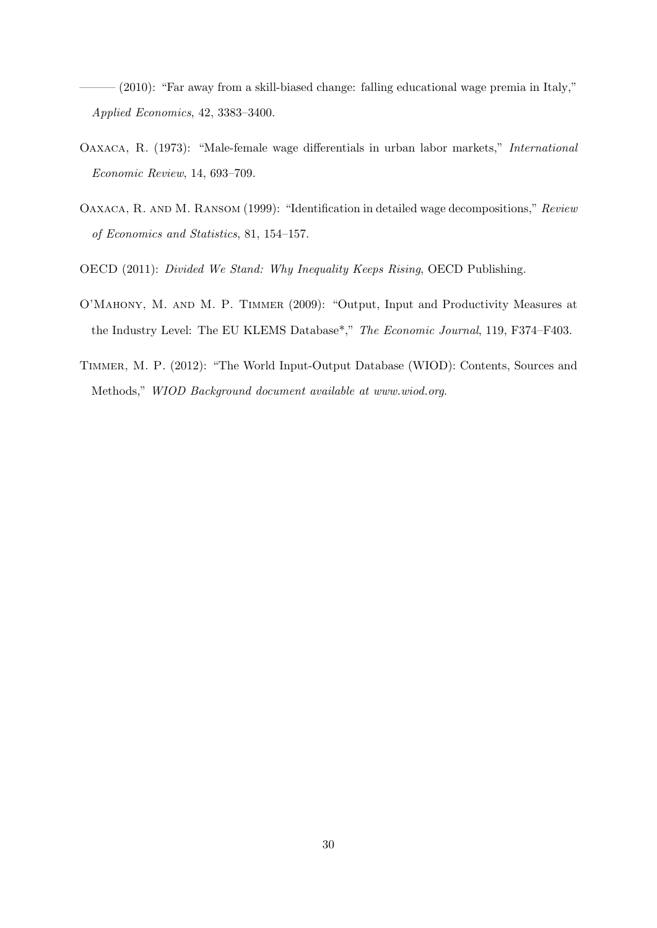<span id="page-31-5"></span> $-$  (2010): "Far away from a skill-biased change: falling educational wage premia in Italy," Applied Economics, 42, 3383–3400.

- <span id="page-31-3"></span>Oaxaca, R. (1973): "Male-female wage differentials in urban labor markets," International Economic Review, 14, 693–709.
- <span id="page-31-4"></span>OAXACA, R. AND M. RANSOM (1999): "Identification in detailed wage decompositions," Review of Economics and Statistics, 81, 154–157.
- <span id="page-31-0"></span>OECD (2011): Divided We Stand: Why Inequality Keeps Rising, OECD Publishing.
- <span id="page-31-1"></span>O'Mahony, M. and M. P. Timmer (2009): "Output, Input and Productivity Measures at the Industry Level: The EU KLEMS Database\*," The Economic Journal, 119, F374–F403.
- <span id="page-31-2"></span>Timmer, M. P. (2012): "The World Input-Output Database (WIOD): Contents, Sources and Methods," WIOD Background document available at www.wiod.org.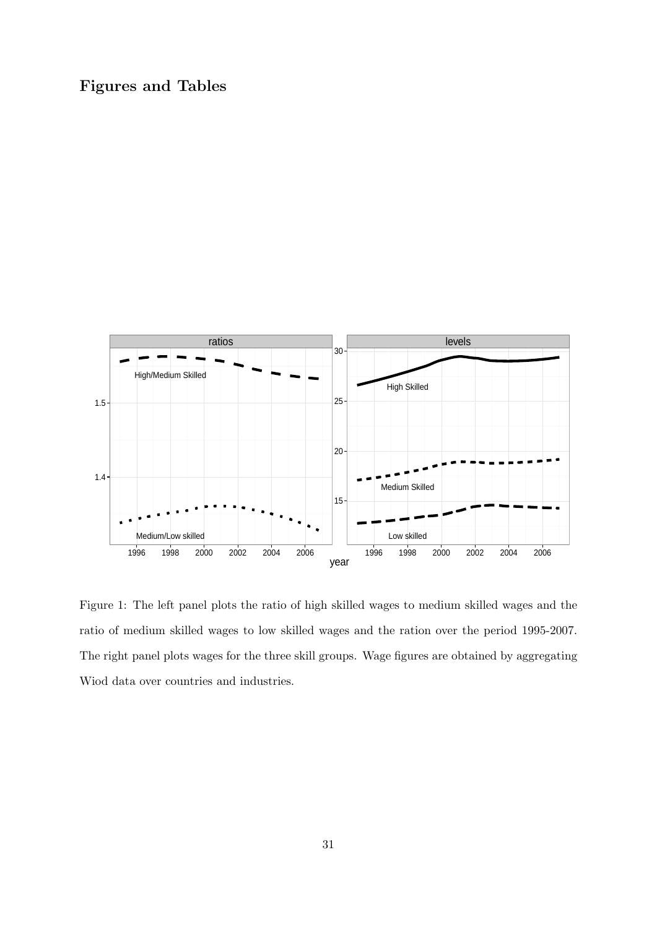# Figures and Tables



<span id="page-32-0"></span>Figure 1: The left panel plots the ratio of high skilled wages to medium skilled wages and the ratio of medium skilled wages to low skilled wages and the ration over the period 1995-2007. The right panel plots wages for the three skill groups. Wage figures are obtained by aggregating Wiod data over countries and industries.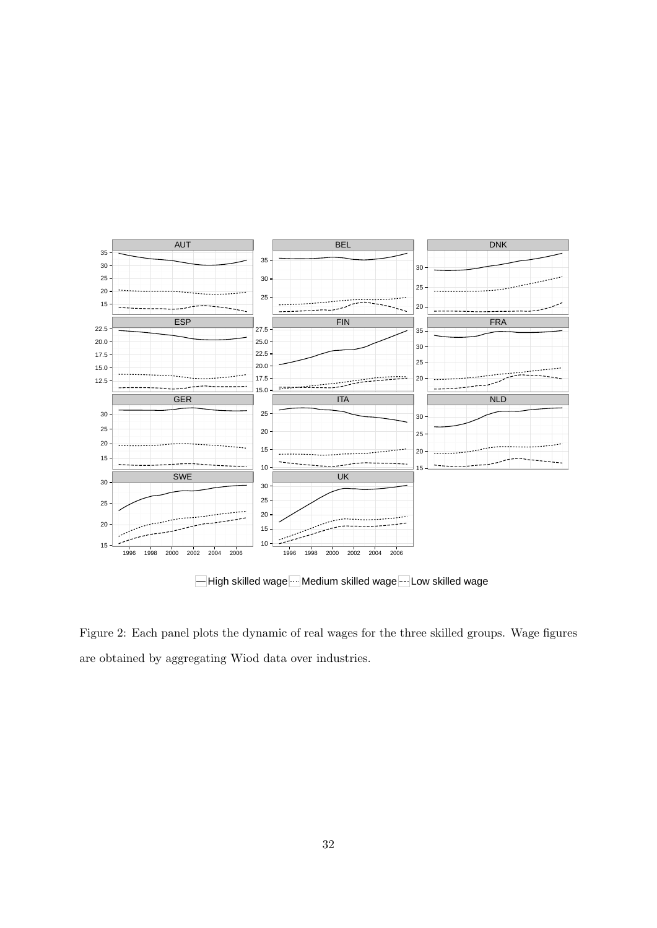

High skilled wage ... Medium skilled wage -- Low skilled wage

<span id="page-33-0"></span>Figure 2: Each panel plots the dynamic of real wages for the three skilled groups. Wage figures are obtained by aggregating Wiod data over industries.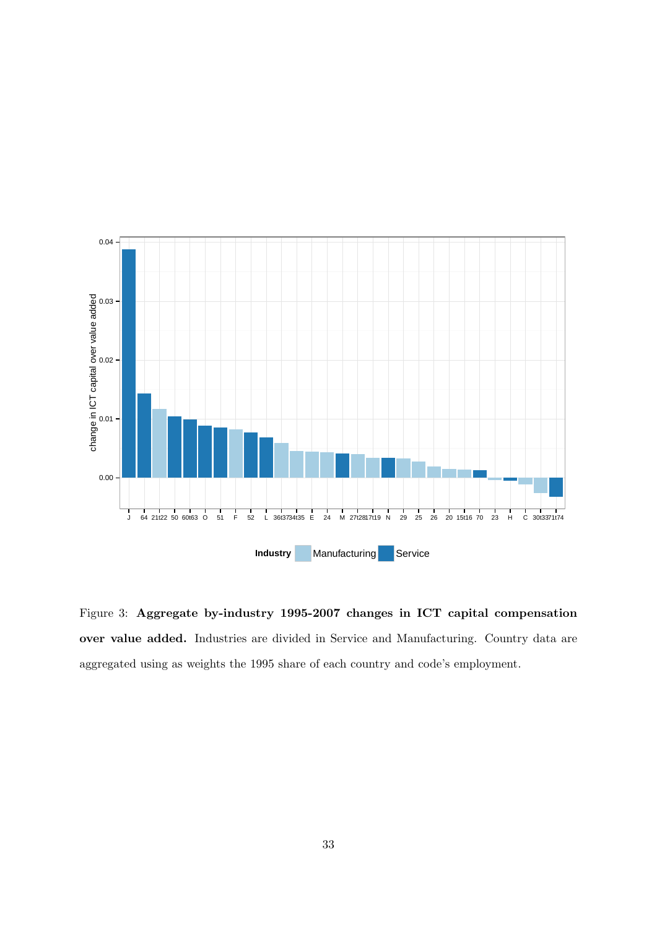

<span id="page-34-0"></span>Figure 3: Aggregate by-industry 1995-2007 changes in ICT capital compensation over value added. Industries are divided in Service and Manufacturing. Country data are aggregated using as weights the 1995 share of each country and code's employment.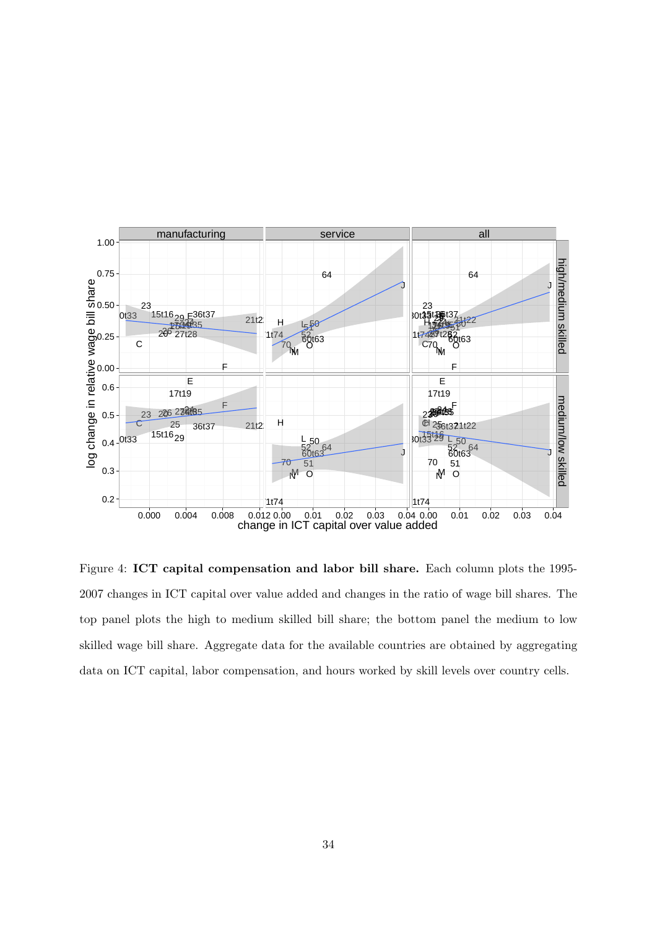

<span id="page-35-0"></span>Figure 4: ICT capital compensation and labor bill share. Each column plots the 1995- 2007 changes in ICT capital over value added and changes in the ratio of wage bill shares. The top panel plots the high to medium skilled bill share; the bottom panel the medium to low skilled wage bill share. Aggregate data for the available countries are obtained by aggregating data on ICT capital, labor compensation, and hours worked by skill levels over country cells.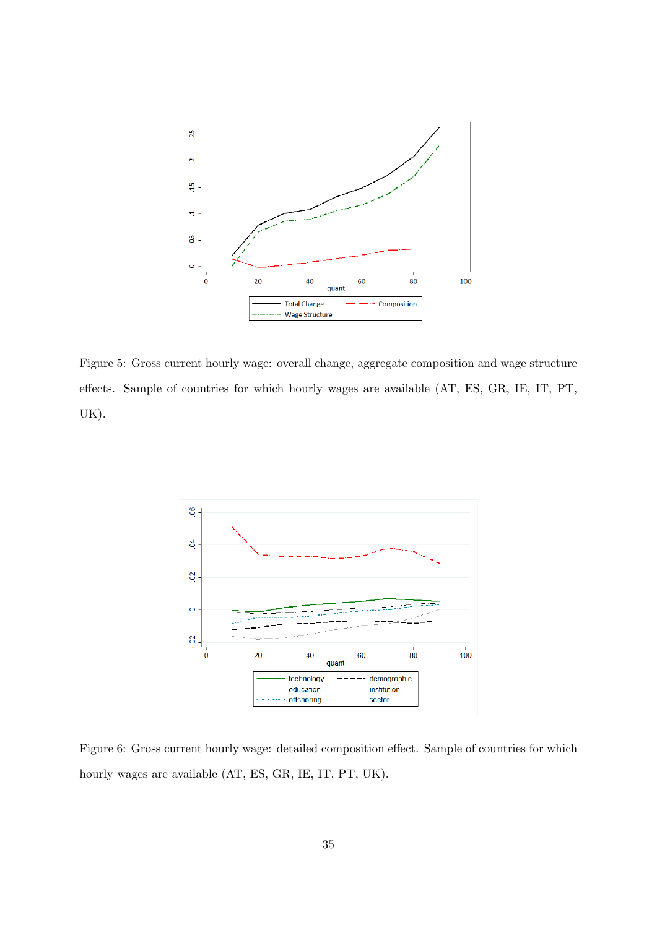

<span id="page-36-0"></span>Figure 5: Gross current hourly wage: overall change, aggregate composition and wage structure effects. Sample of countries for which hourly wages are available (AT, ES, GR, IE, IT, PT, UK).



<span id="page-36-1"></span>Figure 6: Gross current hourly wage: detailed composition effect. Sample of countries for which hourly wages are available (AT, ES, GR, IE, IT, PT, UK).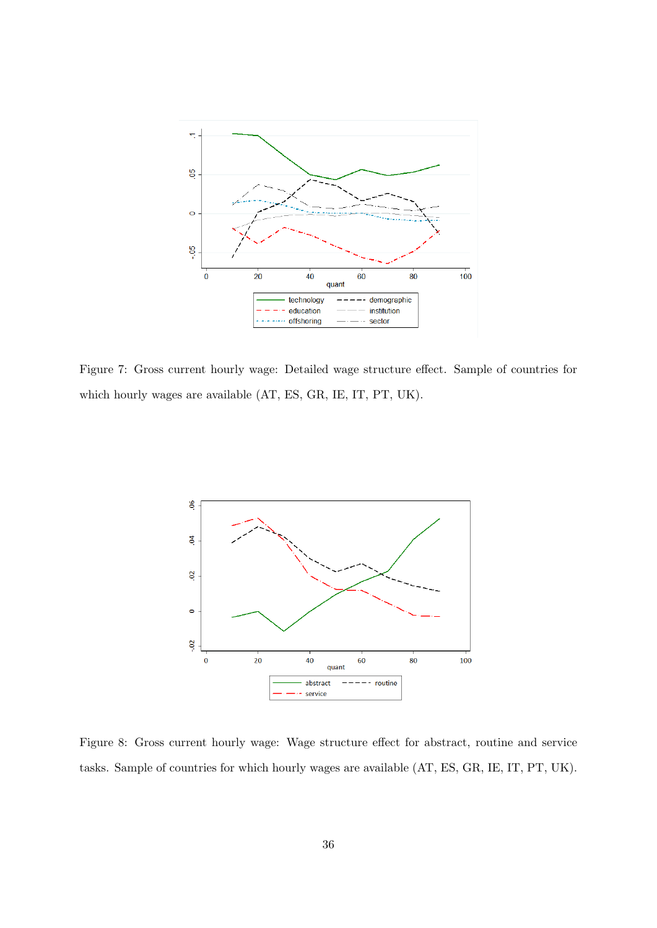

<span id="page-37-0"></span>Figure 7: Gross current hourly wage: Detailed wage structure effect. Sample of countries for which hourly wages are available (AT, ES, GR, IE, IT, PT, UK).



<span id="page-37-1"></span>Figure 8: Gross current hourly wage: Wage structure effect for abstract, routine and service tasks. Sample of countries for which hourly wages are available (AT, ES, GR, IE, IT, PT, UK).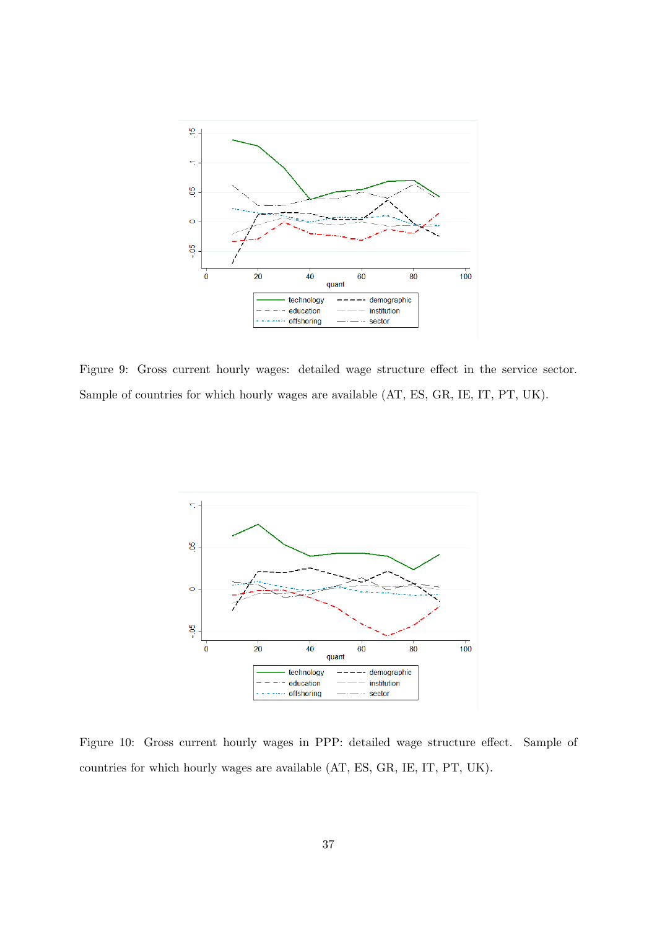

<span id="page-38-0"></span>Figure 9: Gross current hourly wages: detailed wage structure effect in the service sector. Sample of countries for which hourly wages are available (AT, ES, GR, IE, IT, PT, UK).



<span id="page-38-1"></span>Figure 10: Gross current hourly wages in PPP: detailed wage structure effect. Sample of countries for which hourly wages are available (AT, ES, GR, IE, IT, PT, UK).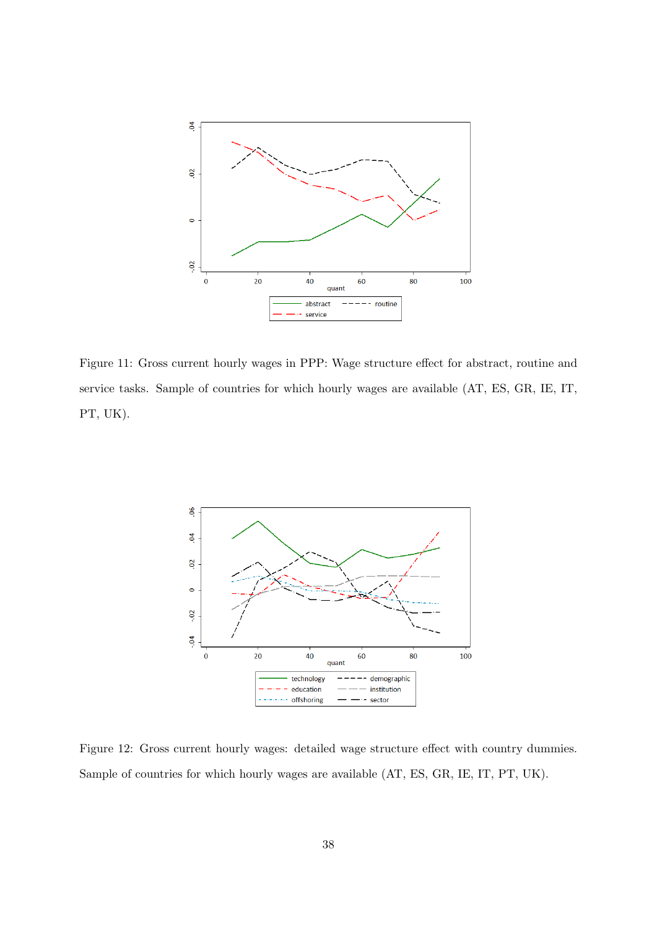

<span id="page-39-0"></span>Figure 11: Gross current hourly wages in PPP: Wage structure effect for abstract, routine and service tasks. Sample of countries for which hourly wages are available (AT, ES, GR, IE, IT, PT, UK).



<span id="page-39-1"></span>Figure 12: Gross current hourly wages: detailed wage structure effect with country dummies. Sample of countries for which hourly wages are available (AT, ES, GR, IE, IT, PT, UK).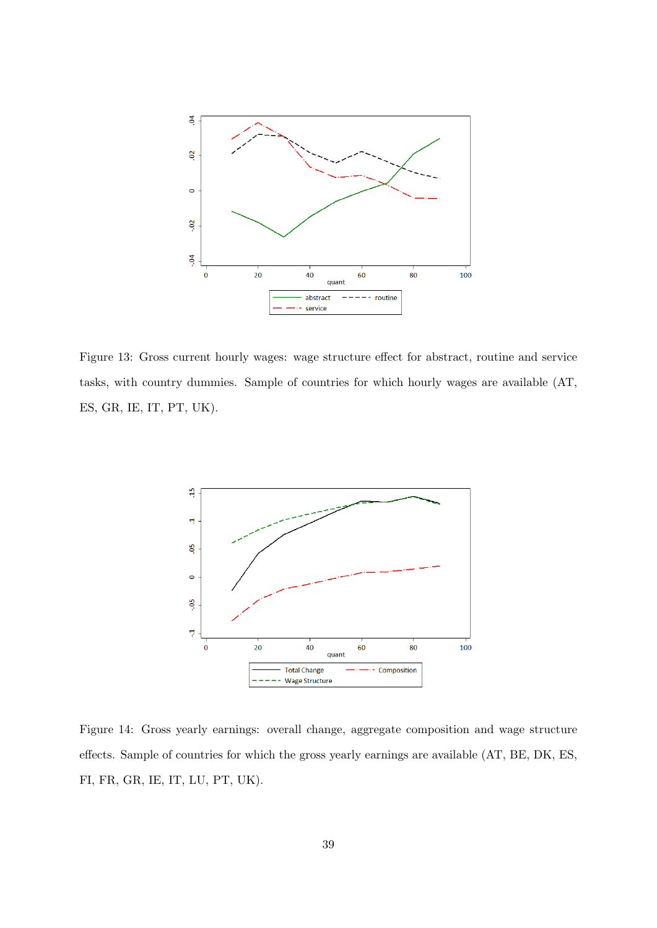

<span id="page-40-0"></span>Figure 13: Gross current hourly wages: wage structure effect for abstract, routine and service tasks, with country dummies. Sample of countries for which hourly wages are available (AT, ES, GR, IE, IT, PT, UK).



<span id="page-40-1"></span>Figure 14: Gross yearly earnings: overall change, aggregate composition and wage structure effects. Sample of countries for which the gross yearly earnings are available (AT, BE, DK, ES, FI, FR, GR, IE, IT, LU, PT, UK).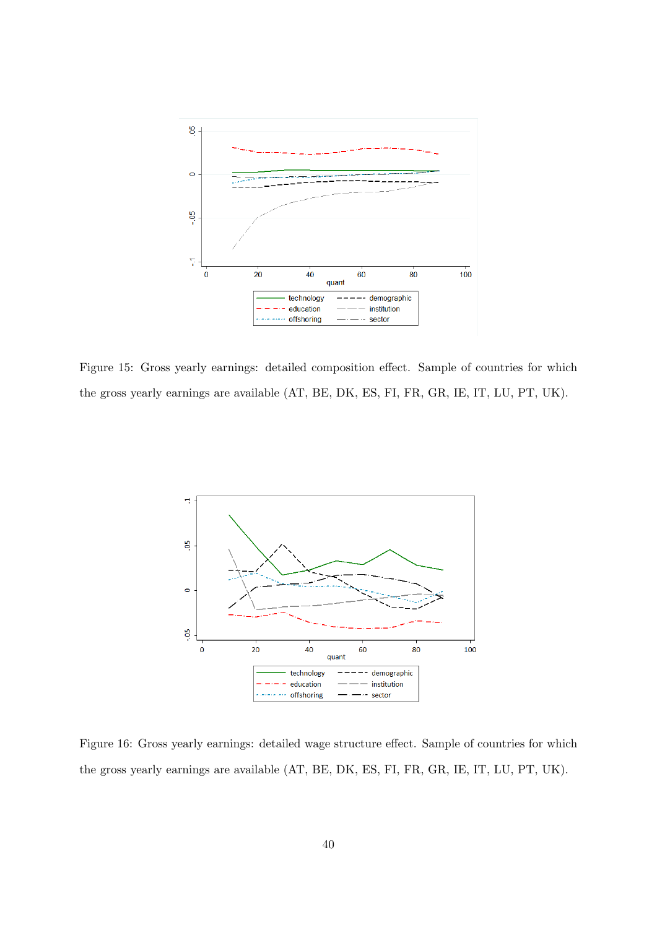

<span id="page-41-0"></span>Figure 15: Gross yearly earnings: detailed composition effect. Sample of countries for which the gross yearly earnings are available (AT, BE, DK, ES, FI, FR, GR, IE, IT, LU, PT, UK).



<span id="page-41-1"></span>Figure 16: Gross yearly earnings: detailed wage structure effect. Sample of countries for which the gross yearly earnings are available (AT, BE, DK, ES, FI, FR, GR, IE, IT, LU, PT, UK).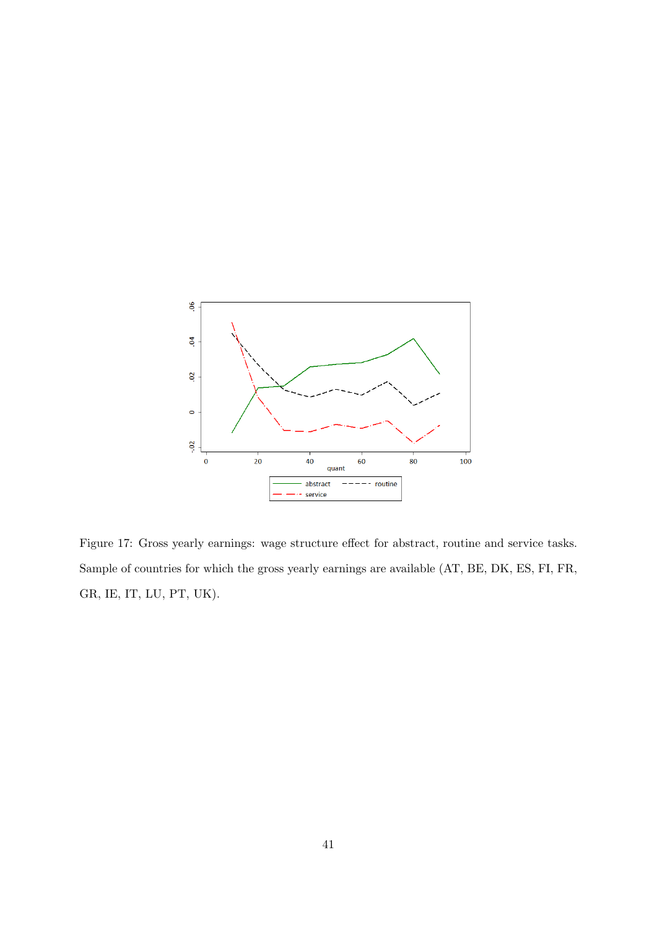

<span id="page-42-0"></span>Figure 17: Gross yearly earnings: wage structure effect for abstract, routine and service tasks. Sample of countries for which the gross yearly earnings are available (AT, BE, DK, ES, FI, FR, GR, IE, IT, LU, PT, UK).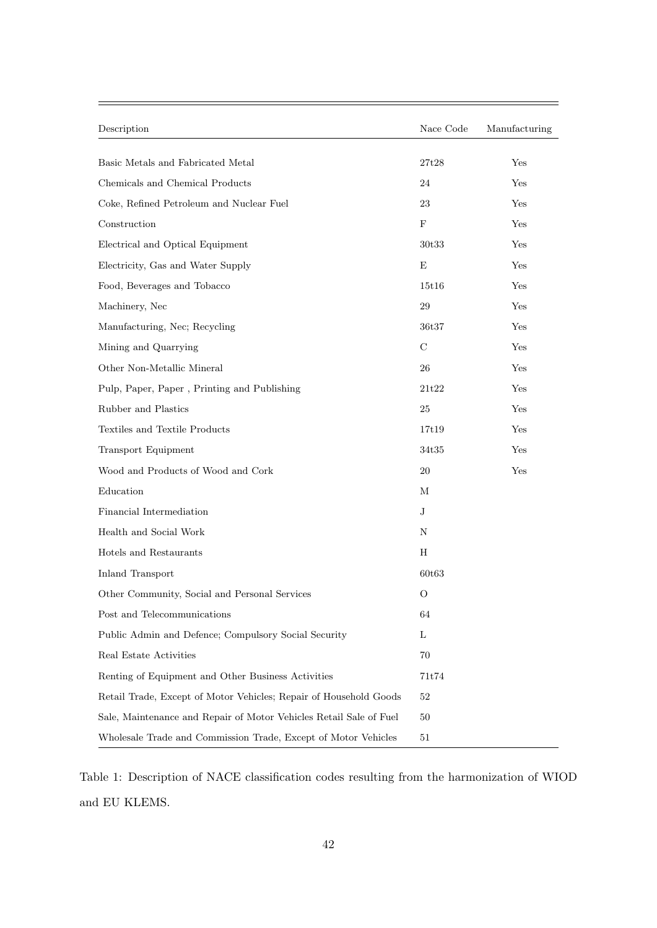| Description                                                        | Nace Code | Manufacturing |
|--------------------------------------------------------------------|-----------|---------------|
| Basic Metals and Fabricated Metal                                  | 27t28     | Yes           |
| Chemicals and Chemical Products                                    | 24        | Yes           |
| Coke, Refined Petroleum and Nuclear Fuel                           | 23        | Yes           |
| Construction                                                       | F         | Yes           |
| Electrical and Optical Equipment                                   | 30t33     | Yes           |
| Electricity, Gas and Water Supply                                  | E         | Yes           |
| Food, Beverages and Tobacco                                        | 15t16     | Yes           |
| Machinery, Nec                                                     | 29        | Yes           |
| Manufacturing, Nec; Recycling                                      | 36t37     | Yes           |
| Mining and Quarrying                                               | C         | Yes           |
| Other Non-Metallic Mineral                                         | 26        | Yes           |
| Pulp, Paper, Paper, Printing and Publishing                        | 21t22     | Yes           |
| Rubber and Plastics                                                | 25        | Yes           |
| Textiles and Textile Products                                      | 17t19     | Yes           |
| <b>Transport Equipment</b>                                         | 34t35     | Yes           |
| Wood and Products of Wood and Cork                                 | 20        | Yes           |
| Education                                                          | М         |               |
| Financial Intermediation                                           | J         |               |
| Health and Social Work                                             | Ν         |               |
| Hotels and Restaurants                                             | Н         |               |
| Inland Transport                                                   | 60t63     |               |
| Other Community, Social and Personal Services                      | O         |               |
| Post and Telecommunications                                        | 64        |               |
| Public Admin and Defence; Compulsory Social Security               | L         |               |
| Real Estate Activities                                             | 70        |               |
| Renting of Equipment and Other Business Activities                 | 71t74     |               |
| Retail Trade, Except of Motor Vehicles; Repair of Household Goods  | 52        |               |
| Sale, Maintenance and Repair of Motor Vehicles Retail Sale of Fuel | 50        |               |
| Wholesale Trade and Commission Trade, Except of Motor Vehicles     | 51        |               |

<span id="page-43-0"></span>Table 1: Description of NACE classification codes resulting from the harmonization of WIOD and EU KLEMS.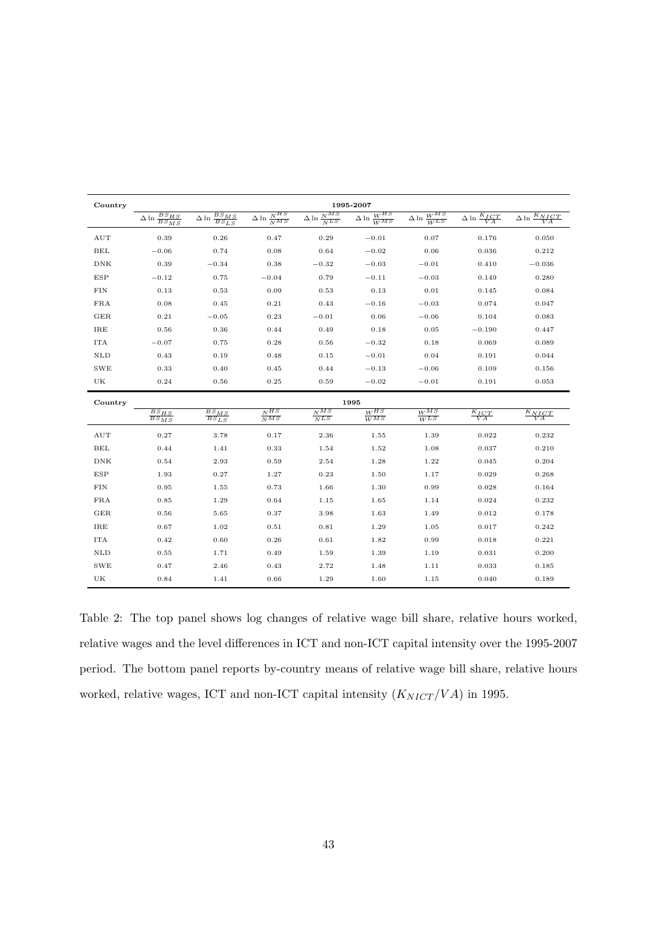| Country            |                                                 |                                                 |                                                    |                              | 1995-2007                                                                                    |                                    |                                         |                                             |
|--------------------|-------------------------------------------------|-------------------------------------------------|----------------------------------------------------|------------------------------|----------------------------------------------------------------------------------------------|------------------------------------|-----------------------------------------|---------------------------------------------|
|                    | $\overline{\Delta \ln \frac{BS_{HS}}{BS_{MS}}}$ | $\overline{\Delta \ln \frac{BS_{MS}}{BS_{LS}}}$ | $\Delta \ln \frac{N}{NMS}$                         | $\Delta \ln \frac{NMS}{NLS}$ | $\frac{\Delta \ln \frac{W^{HS}}{W^{MS}}}{\frac{}{W^{HS}}}{\Delta \ln \frac{W^{HS}}{W^{HS}}}$ | $\Delta \ln \frac{W^{MS}}{W^{LS}}$ | $\overline{\Delta \ln \frac{K_I}{V A}}$ | $\overline{\Delta \ln \frac{K_{NICT}}{VA}}$ |
| $\mathop{\rm AUT}$ | 0.39                                            | 0.26                                            | 0.47                                               | 0.29                         | $-0.01$                                                                                      | 0.07                               | 0.176                                   | 0.050                                       |
| BEL                | $-0.06$                                         | 0.74                                            | 0.08                                               | 0.64                         | $-0.02$                                                                                      | 0.06                               | 0.036                                   | 0.212                                       |
| DNK                | 0.39                                            | $-0.34$                                         | 0.38                                               | $-0.32$                      | $-0.03$                                                                                      | $-0.01$                            | 0.410                                   | $-0.036$                                    |
| <b>ESP</b>         | $-0.12$                                         | 0.75                                            | $-0.04$                                            | 0.79                         | $-0.11$                                                                                      | $-0.03$                            | 0.149                                   | 0.280                                       |
| FIN                | 0.13                                            | 0.53                                            | 0.09                                               | 0.53                         | 0.13                                                                                         | 0.01                               | 0.145                                   | 0.084                                       |
| <b>FRA</b>         | 0.08                                            | 0.45                                            | 0.21                                               | 0.43                         | $-0.16$                                                                                      | $-0.03$                            | 0.074                                   | 0.047                                       |
| GER                | 0.21                                            | $-0.05$                                         | 0.23                                               | $-0.01$                      | 0.06                                                                                         | $-0.06$                            | 0.104                                   | 0.083                                       |
| IRE                | 0.56                                            | 0.36                                            | 0.44                                               | 0.49                         | 0.18                                                                                         | 0.05                               | $-0.190$                                | 0.447                                       |
| <b>ITA</b>         | $-0.07$                                         | 0.75                                            | 0.28                                               | 0.56                         | $-0.32$                                                                                      | 0.18                               | 0.069                                   | 0.089                                       |
| $\mbox{NLD}$       | 0.43                                            | 0.19                                            | 0.48                                               | 0.15                         | $-0.01$                                                                                      | 0.04                               | 0.191                                   | 0.044                                       |
| <b>SWE</b>         | 0.33                                            | 0.40                                            | 0.45                                               | 0.44                         | $-0.13$                                                                                      | $-0.06$                            | 0.109                                   | 0.156                                       |
| UK                 | 0.24                                            | 0.56                                            | 0.25                                               | 0.59                         | $-0.02$                                                                                      | $-0.01$                            | 0.191                                   | 0.053                                       |
| Country            |                                                 |                                                 |                                                    |                              | 1995                                                                                         |                                    |                                         |                                             |
|                    | $\frac{BS_{HS}}{BS_{MS}}$                       | $\frac{BS_{MS}}{BS_{LS}}$                       | $\overline{N^{HS}}$<br>$\frac{1}{N} \overline{MS}$ | $\frac{N}{N}$<br>$_{NLS}$    | $W^{HS}$<br>$W^{\overline{MS}}$                                                              | $W^{MS}$<br>WLS                    | $\frac{K_{ICT}}{VA}$                    | $\frac{K_{NICT}}{VA}$                       |
| $\mathop{\rm AUT}$ | 0.27                                            | 3.78                                            | 0.17                                               | 2.36                         | 1.55                                                                                         | 1.39                               | 0.022                                   | 0.232                                       |
| BEL                | 0.44                                            | 1.41                                            | 0.33                                               | 1.54                         | 1.52                                                                                         | 1.08                               | 0.037                                   | 0.210                                       |
| DNK                | 0.54                                            | 2.93                                            | 0.59                                               | 2.54                         | 1.28                                                                                         | 1.22                               | 0.045                                   | 0.204                                       |
| <b>ESP</b>         | 1.93                                            | 0.27                                            | 1.27                                               | 0.23                         | 1.50                                                                                         | 1.17                               | 0.029                                   | 0.268                                       |
| FIN                | 0.95                                            | 1.55                                            | 0.73                                               | 1.66                         | 1.30                                                                                         | 0.99                               | 0.028                                   | 0.164                                       |
| <b>FRA</b>         | 0.85                                            | 1.29                                            | 0.64                                               | 1.15                         | 1.65                                                                                         | 1.14                               | 0.024                                   | 0.232                                       |
| GER                | 0.56                                            | 5.65                                            | 0.37                                               | 3.98                         | 1.63                                                                                         | 1.49                               | 0.012                                   | 0.178                                       |
| IRE                | 0.67                                            | 1.02                                            | 0.51                                               | 0.81                         | 1.29                                                                                         | 1.05                               | 0.017                                   | 0.242                                       |
| <b>ITA</b>         | 0.42                                            | 0.60                                            | 0.26                                               | 0.61                         | 1.82                                                                                         | 0.99                               | 0.018                                   | 0.221                                       |
| $\mbox{NLD}$       | 0.55                                            | 1.71                                            | 0.49                                               | 1.59                         | 1.39                                                                                         | 1.19                               | 0.031                                   | 0.200                                       |
| <b>SWE</b>         | 0.47                                            | 2.46                                            | 0.43                                               | 2.72                         | 1.48                                                                                         | 1.11                               | 0.033                                   | 0.185                                       |
| UK                 | 0.84                                            | 1.41                                            | 0.66                                               | 1.29                         | 1.60                                                                                         | 1.15                               | 0.040                                   | 0.189                                       |

<span id="page-44-0"></span>Table 2: The top panel shows log changes of relative wage bill share, relative hours worked, relative wages and the level differences in ICT and non-ICT capital intensity over the 1995-2007 period. The bottom panel reports by-country means of relative wage bill share, relative hours worked, relative wages, ICT and non-ICT capital intensity  $(K_{NICT}/VA)$  in 1995.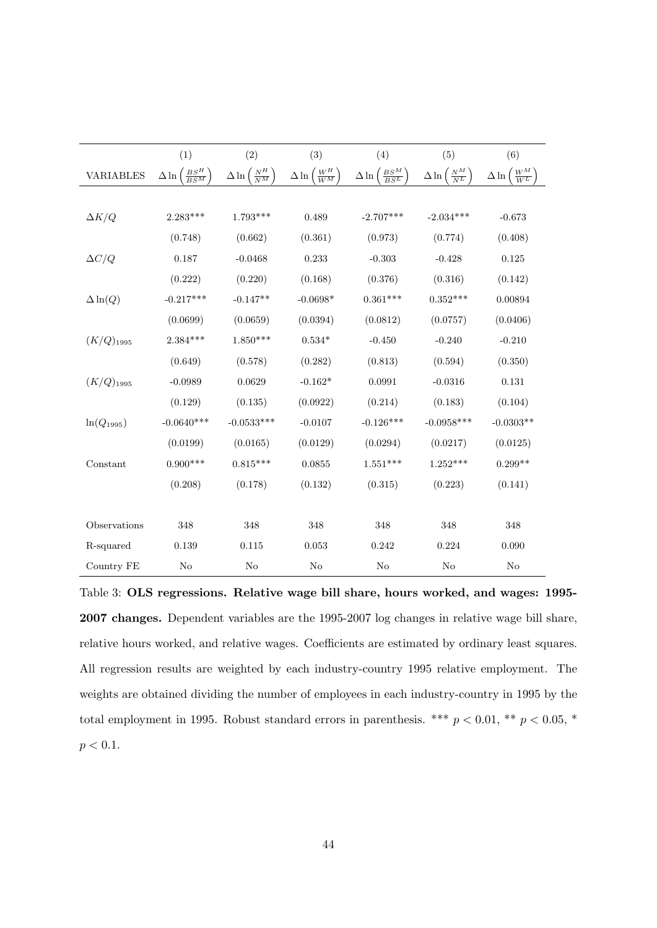|                  | (1)                                 | (2)                              | (3)                                | (4)                                    | (5)                              | (6)                               |
|------------------|-------------------------------------|----------------------------------|------------------------------------|----------------------------------------|----------------------------------|-----------------------------------|
| <b>VARIABLES</b> | $\frac{BS^H}{BS^M}$<br>$\Delta \ln$ | $\frac{N^H}{N^M}$<br>$\Delta\ln$ | ${W^H\over W^M}$<br>$\Delta \ln ($ | $\frac{BS^{M}}{BS^{L}}$<br>$\Delta\ln$ | $\frac{N^M}{N^L}$<br>$\Delta\ln$ | $\frac{W^M}{W^L}$<br>$\Delta \ln$ |
|                  |                                     |                                  |                                    |                                        |                                  |                                   |
| $\Delta K/Q$     | $2.283***$                          | $1.793***$                       | 0.489                              | $-2.707***$                            | $-2.034***$                      | $-0.673$                          |
|                  | (0.748)                             | (0.662)                          | (0.361)                            | (0.973)                                | (0.774)                          | (0.408)                           |
| $\Delta C/Q$     | 0.187                               | $-0.0468$                        | 0.233                              | $-0.303$                               | $-0.428$                         | 0.125                             |
|                  | (0.222)                             | (0.220)                          | (0.168)                            | (0.376)                                | (0.316)                          | (0.142)                           |
| $\Delta \ln(Q)$  | $-0.217***$                         | $-0.147**$                       | $-0.0698*$                         | $0.361***$                             | $0.352***$                       | 0.00894                           |
|                  | (0.0699)                            | (0.0659)                         | (0.0394)                           | (0.0812)                               | (0.0757)                         | (0.0406)                          |
| $(K/Q)_{1995}$   | $2.384***$                          | $1.850***$                       | $0.534*$                           | $-0.450$                               | $-0.240$                         | $-0.210$                          |
|                  | (0.649)                             | (0.578)                          | (0.282)                            | (0.813)                                | (0.594)                          | (0.350)                           |
| $(K/Q)_{1995}$   | $-0.0989$                           | 0.0629                           | $-0.162*$                          | 0.0991                                 | $-0.0316$                        | 0.131                             |
|                  | (0.129)                             | (0.135)                          | (0.0922)                           | (0.214)                                | (0.183)                          | (0.104)                           |
| $ln(Q_{1995})$   | $-0.0640***$                        | $-0.0533***$                     | $-0.0107$                          | $-0.126***$                            | $-0.0958***$                     | $-0.0303**$                       |
|                  | (0.0199)                            | (0.0165)                         | (0.0129)                           | (0.0294)                               | (0.0217)                         | (0.0125)                          |
| Constant         | $0.900***$                          | $0.815***$                       | 0.0855                             | $1.551***$                             | $1.252***$                       | $0.299**$                         |
|                  | (0.208)                             | (0.178)                          | (0.132)                            | (0.315)                                | (0.223)                          | (0.141)                           |
|                  |                                     |                                  |                                    |                                        |                                  |                                   |
| Observations     | 348                                 | 348                              | 348                                | 348                                    | 348                              | 348                               |
| R-squared        | 0.139                               | 0.115                            | 0.053                              | 0.242                                  | 0.224                            | 0.090                             |
| Country FE       | $\rm No$                            | $\rm No$                         | N <sub>o</sub>                     | $\rm No$                               | N <sub>o</sub>                   | N <sub>o</sub>                    |

<span id="page-45-0"></span>Table 3: OLS regressions. Relative wage bill share, hours worked, and wages: 1995- 2007 changes. Dependent variables are the 1995-2007 log changes in relative wage bill share, relative hours worked, and relative wages. Coefficients are estimated by ordinary least squares. All regression results are weighted by each industry-country 1995 relative employment. The weights are obtained dividing the number of employees in each industry-country in 1995 by the total employment in 1995. Robust standard errors in parenthesis. \*\*\* $p < 0.01,$ \*\* $p < 0.05,$ \*  $p < 0.1$ .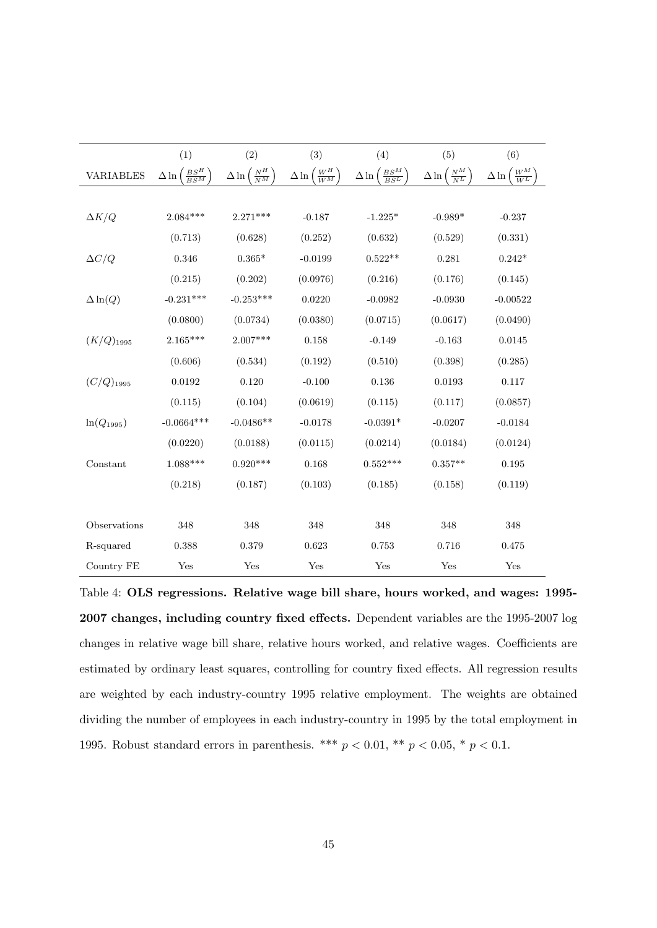|                  | (1)                                 | (2)                              | (3)                                | (4)                                     | (5)                              | (6)                                 |
|------------------|-------------------------------------|----------------------------------|------------------------------------|-----------------------------------------|----------------------------------|-------------------------------------|
| <b>VARIABLES</b> | $\frac{BS^H}{BS^M}$<br>$\Delta \ln$ | $\frac{N^H}{N^M}$<br>$\Delta\ln$ | ${W^H\over W^M}$<br>$\Delta \ln ($ | $\frac{BS^{M}}{BS^{L}}$<br>$\Delta \ln$ | $\frac{N^M}{N^L}$<br>$\Delta\ln$ | $\frac{W^M}{W^L}$<br>$\Delta \ln  $ |
|                  |                                     |                                  |                                    |                                         |                                  |                                     |
| $\Delta K/Q$     | $2.084***$                          | $2.271***$                       | $-0.187$                           | $-1.225*$                               | $-0.989*$                        | $-0.237$                            |
|                  | (0.713)                             | (0.628)                          | (0.252)                            | (0.632)                                 | (0.529)                          | (0.331)                             |
| $\Delta C/Q$     | 0.346                               | $0.365*$                         | $-0.0199$                          | $0.522**$                               | 0.281                            | $0.242*$                            |
|                  | (0.215)                             | (0.202)                          | (0.0976)                           | (0.216)                                 | (0.176)                          | (0.145)                             |
| $\Delta \ln(Q)$  | $-0.231***$                         | $-0.253***$                      | 0.0220                             | $-0.0982$                               | $-0.0930$                        | $-0.00522$                          |
|                  | (0.0800)                            | (0.0734)                         | (0.0380)                           | (0.0715)                                | (0.0617)                         | (0.0490)                            |
| $(K/Q)_{1995}$   | $2.165***$                          | $2.007***$                       | 0.158                              | $-0.149$                                | $-0.163$                         | 0.0145                              |
|                  | (0.606)                             | (0.534)                          | (0.192)                            | (0.510)                                 | (0.398)                          | (0.285)                             |
| $(C/Q)_{1995}$   | 0.0192                              | 0.120                            | $-0.100$                           | 0.136                                   | 0.0193                           | 0.117                               |
|                  | (0.115)                             | (0.104)                          | (0.0619)                           | (0.115)                                 | (0.117)                          | (0.0857)                            |
| $ln(Q_{1995})$   | $-0.0664***$                        | $-0.0486**$                      | $-0.0178$                          | $-0.0391*$                              | $-0.0207$                        | $-0.0184$                           |
|                  | (0.0220)                            | (0.0188)                         | (0.0115)                           | (0.0214)                                | (0.0184)                         | (0.0124)                            |
| Constant         | $1.088***$                          | $0.920***$                       | 0.168                              | $0.552***$                              | $0.357**$                        | 0.195                               |
|                  | (0.218)                             | (0.187)                          | (0.103)                            | (0.185)                                 | (0.158)                          | (0.119)                             |
|                  |                                     |                                  |                                    |                                         |                                  |                                     |
| Observations     | 348                                 | 348                              | 348                                | 348                                     | 348                              | 348                                 |
| R-squared        | 0.388                               | 0.379                            | 0.623                              | 0.753                                   | 0.716                            | 0.475                               |
| Country FE       | Yes                                 | Yes                              | Yes                                | Yes                                     | Yes                              | Yes                                 |

<span id="page-46-0"></span>Table 4: OLS regressions. Relative wage bill share, hours worked, and wages: 1995- 2007 changes, including country fixed effects. Dependent variables are the 1995-2007 log changes in relative wage bill share, relative hours worked, and relative wages. Coefficients are estimated by ordinary least squares, controlling for country fixed effects. All regression results are weighted by each industry-country 1995 relative employment. The weights are obtained dividing the number of employees in each industry-country in 1995 by the total employment in 1995. Robust standard errors in parenthesis. \*\*\* $p < 0.01,$ \*\* $p < 0.05,$ \* $p < 0.1.$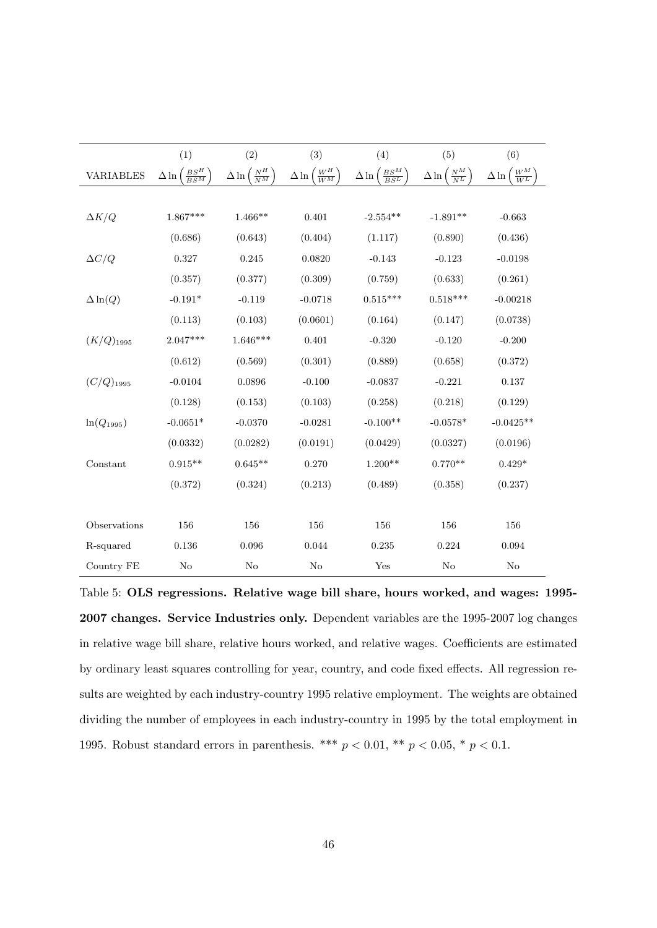|                  | (1)                                 | (2)                              | (3)                                | (4)                                     | (5)                              | (6)                               |
|------------------|-------------------------------------|----------------------------------|------------------------------------|-----------------------------------------|----------------------------------|-----------------------------------|
| <b>VARIABLES</b> | $\frac{BS^H}{BS^M}$<br>$\Delta \ln$ | $\frac{N^H}{N^M}$<br>$\Delta\ln$ | ${W^H\over W^M}$<br>$\Delta \ln ($ | $\frac{BS^{M}}{BS^{L}}$<br>$\Delta \ln$ | $\frac{N^M}{N^L}$<br>$\Delta\ln$ | $\frac{W^M}{W^L}$<br>$\Delta \ln$ |
|                  |                                     |                                  |                                    |                                         |                                  |                                   |
| $\Delta K/Q$     | $1.867***$                          | $1.466**$                        | 0.401                              | $-2.554**$                              | $-1.891**$                       | $-0.663$                          |
|                  | (0.686)                             | (0.643)                          | (0.404)                            | (1.117)                                 | (0.890)                          | (0.436)                           |
| $\Delta C/Q$     | 0.327                               | 0.245                            | 0.0820                             | $-0.143$                                | $-0.123$                         | $-0.0198$                         |
|                  | (0.357)                             | (0.377)                          | (0.309)                            | (0.759)                                 | (0.633)                          | (0.261)                           |
| $\Delta \ln(Q)$  | $-0.191*$                           | $-0.119$                         | $-0.0718$                          | $0.515***$                              | $0.518***$                       | $-0.00218$                        |
|                  | (0.113)                             | (0.103)                          | (0.0601)                           | (0.164)                                 | (0.147)                          | (0.0738)                          |
| $(K/Q)_{1995}$   | $2.047***$                          | $1.646***$                       | 0.401                              | $-0.320$                                | $-0.120$                         | $-0.200$                          |
|                  | (0.612)                             | (0.569)                          | (0.301)                            | (0.889)                                 | (0.658)                          | (0.372)                           |
| $(C/Q)_{1995}$   | $-0.0104$                           | 0.0896                           | $-0.100$                           | $-0.0837$                               | $-0.221$                         | 0.137                             |
|                  | (0.128)                             | (0.153)                          | (0.103)                            | (0.258)                                 | (0.218)                          | (0.129)                           |
| $ln(Q_{1995})$   | $-0.0651*$                          | $-0.0370$                        | $-0.0281$                          | $-0.100**$                              | $-0.0578*$                       | $-0.0425**$                       |
|                  | (0.0332)                            | (0.0282)                         | (0.0191)                           | (0.0429)                                | (0.0327)                         | (0.0196)                          |
| Constant         | $0.915**$                           | $0.645**$                        | 0.270                              | $1.200**$                               | $0.770**$                        | $0.429*$                          |
|                  | (0.372)                             | (0.324)                          | (0.213)                            | (0.489)                                 | (0.358)                          | (0.237)                           |
|                  |                                     |                                  |                                    |                                         |                                  |                                   |
| Observations     | 156                                 | 156                              | 156                                | 156                                     | 156                              | 156                               |
| R-squared        | 0.136                               | 0.096                            | 0.044                              | 0.235                                   | 0.224                            | 0.094                             |
| Country FE       | No                                  | No                               | $\rm No$                           | Yes                                     | No                               | No                                |

<span id="page-47-0"></span>Table 5: OLS regressions. Relative wage bill share, hours worked, and wages: 1995- 2007 changes. Service Industries only. Dependent variables are the 1995-2007 log changes in relative wage bill share, relative hours worked, and relative wages. Coefficients are estimated by ordinary least squares controlling for year, country, and code fixed effects. All regression results are weighted by each industry-country 1995 relative employment. The weights are obtained dividing the number of employees in each industry-country in 1995 by the total employment in 1995. Robust standard errors in parenthesis. \*\*\* $p < 0.01,$ \*\* $p < 0.05,$ \* $p < 0.1.$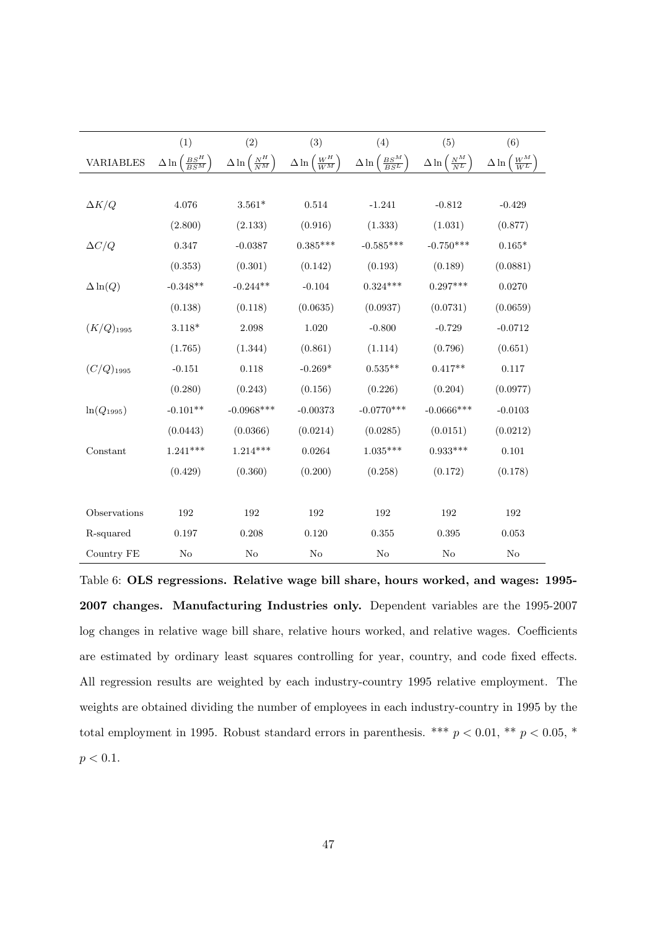|                  | (1)                                 | (2)                                         | (3)                              | (4)                                 | (5)                               | (6)                                 |
|------------------|-------------------------------------|---------------------------------------------|----------------------------------|-------------------------------------|-----------------------------------|-------------------------------------|
| <b>VARIABLES</b> | $\frac{BS^H}{BS^M}$<br>$\Delta \ln$ | $\Delta \ln \left( \frac{N^H}{N^M} \right)$ | ${W^H\over W^M}$<br>$\Delta \ln$ | $\frac{BS^M}{BS^L}$<br>$\Delta \ln$ | $\frac{N^M}{N^L}$<br>$\Delta \ln$ | $\frac{W^M}{W^L}$<br>$\Delta \ln ($ |
|                  |                                     |                                             |                                  |                                     |                                   |                                     |
| $\Delta K/Q$     | 4.076                               | $3.561*$                                    | 0.514                            | $-1.241$                            | $-0.812$                          | $-0.429$                            |
|                  | (2.800)                             | (2.133)                                     | (0.916)                          | (1.333)                             | (1.031)                           | (0.877)                             |
| $\Delta C/Q$     | 0.347                               | $-0.0387$                                   | $0.385***$                       | $-0.585***$                         | $-0.750***$                       | $0.165*$                            |
|                  | (0.353)                             | (0.301)                                     | (0.142)                          | (0.193)                             | (0.189)                           | (0.0881)                            |
| $\Delta \ln(Q)$  | $-0.348**$                          | $-0.244**$                                  | $-0.104$                         | $0.324***$                          | $0.297***$                        | 0.0270                              |
|                  | (0.138)                             | (0.118)                                     | (0.0635)                         | (0.0937)                            | (0.0731)                          | (0.0659)                            |
| $(K/Q)_{1995}$   | $3.118*$                            | 2.098                                       | 1.020                            | $-0.800$                            | $-0.729$                          | $-0.0712$                           |
|                  | (1.765)                             | (1.344)                                     | (0.861)                          | (1.114)                             | (0.796)                           | (0.651)                             |
| $(C/Q)_{1995}$   | $-0.151$                            | 0.118                                       | $-0.269*$                        | $0.535**$                           | $0.417**$                         | 0.117                               |
|                  | (0.280)                             | (0.243)                                     | (0.156)                          | (0.226)                             | (0.204)                           | (0.0977)                            |
| $ln(Q_{1995})$   | $-0.101**$                          | $-0.0968***$                                | $-0.00373$                       | $-0.0770***$                        | $-0.0666***$                      | $-0.0103$                           |
|                  | (0.0443)                            | (0.0366)                                    | (0.0214)                         | (0.0285)                            | (0.0151)                          | (0.0212)                            |
| Constant         | $1.241***$                          | $1.214***$                                  | 0.0264                           | $1.035***$                          | $0.933***$                        | 0.101                               |
|                  | (0.429)                             | (0.360)                                     | (0.200)                          | (0.258)                             | (0.172)                           | (0.178)                             |
|                  |                                     |                                             |                                  |                                     |                                   |                                     |
| Observations     | 192                                 | 192                                         | 192                              | 192                                 | 192                               | 192                                 |
| R-squared        | 0.197                               | 0.208                                       | 0.120                            | 0.355                               | 0.395                             | 0.053                               |
| Country FE       | No                                  | No                                          | No                               | No                                  | No                                | No                                  |

<span id="page-48-0"></span>Table 6: OLS regressions. Relative wage bill share, hours worked, and wages: 1995- 2007 changes. Manufacturing Industries only. Dependent variables are the 1995-2007 log changes in relative wage bill share, relative hours worked, and relative wages. Coefficients are estimated by ordinary least squares controlling for year, country, and code fixed effects. All regression results are weighted by each industry-country 1995 relative employment. The weights are obtained dividing the number of employees in each industry-country in 1995 by the total employment in 1995. Robust standard errors in parenthesis. \*\*\* $p < 0.01,$ \*\* $p < 0.05,$ \*  $p < 0.1$ .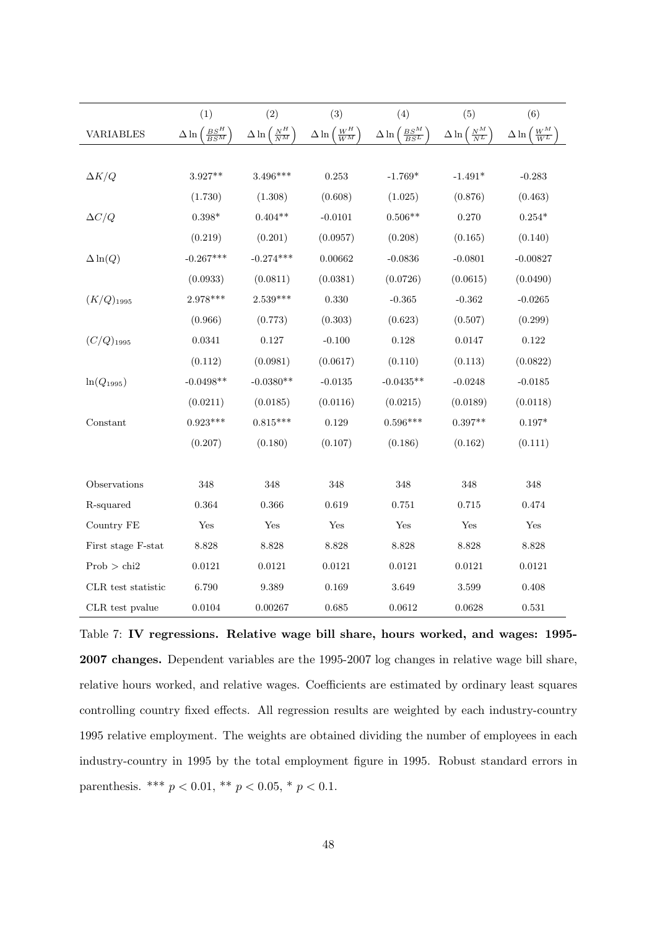|                    | (1)                                | (2)                                         | (3)                                         | (4)                                                 | (5)                                         | (6)                                            |
|--------------------|------------------------------------|---------------------------------------------|---------------------------------------------|-----------------------------------------------------|---------------------------------------------|------------------------------------------------|
| <b>VARIABLES</b>   | $\frac{BS^H}{BS^M}$<br>$\Delta\ln$ | $\Delta \ln \left( \frac{N^H}{N^M} \right.$ | $\Delta \ln \left( \frac{W^H}{W^M} \right)$ | $\Delta \ln \left( \frac{B S^{M}}{B S^{L}} \right)$ | $\Delta \ln \left( \frac{N^M}{N^L} \right)$ | $\left(\frac{W^M}{W^L}\right)$<br>$\Delta \ln$ |
|                    |                                    |                                             |                                             |                                                     |                                             |                                                |
| $\Delta K/Q$       | $3.927**$                          | $3.496***$                                  | 0.253                                       | $-1.769*$                                           | $-1.491*$                                   | $-0.283$                                       |
|                    | (1.730)                            | (1.308)                                     | (0.608)                                     | (1.025)                                             | (0.876)                                     | (0.463)                                        |
| $\Delta C/Q$       | $0.398*$                           | $0.404**$                                   | $-0.0101$                                   | $0.506**$                                           | 0.270                                       | $0.254*$                                       |
|                    | (0.219)                            | (0.201)                                     | (0.0957)                                    | (0.208)                                             | (0.165)                                     | (0.140)                                        |
| $\Delta \ln(Q)$    | $-0.267***$                        | $-0.274***$                                 | 0.00662                                     | $-0.0836$                                           | $-0.0801$                                   | $-0.00827$                                     |
|                    | (0.0933)                           | (0.0811)                                    | (0.0381)                                    | (0.0726)                                            | (0.0615)                                    | (0.0490)                                       |
| $(K/Q)_{1995}$     | 2.978***                           | $2.539***$                                  | 0.330                                       | $-0.365$                                            | $-0.362$                                    | $-0.0265$                                      |
|                    | (0.966)                            | (0.773)                                     | (0.303)                                     | (0.623)                                             | (0.507)                                     | (0.299)                                        |
| $(C/Q)_{1995}$     | 0.0341                             | 0.127                                       | $-0.100$                                    | 0.128                                               | $0.0147\,$                                  | 0.122                                          |
|                    | (0.112)                            | (0.0981)                                    | (0.0617)                                    | (0.110)                                             | (0.113)                                     | (0.0822)                                       |
| $ln(Q_{1995})$     | $-0.0498**$                        | $-0.0380**$                                 | $-0.0135$                                   | $-0.0435**$                                         | $-0.0248$                                   | $-0.0185$                                      |
|                    | (0.0211)                           | (0.0185)                                    | (0.0116)                                    | (0.0215)                                            | (0.0189)                                    | (0.0118)                                       |
| Constant           | $0.923***$                         | $0.815***$                                  | 0.129                                       | $0.596***$                                          | $0.397**$                                   | $0.197*$                                       |
|                    | (0.207)                            | (0.180)                                     | (0.107)                                     | (0.186)                                             | (0.162)                                     | (0.111)                                        |
|                    |                                    |                                             |                                             |                                                     |                                             |                                                |
| Observations       | 348                                | 348                                         | 348                                         | 348                                                 | 348                                         | 348                                            |
| R-squared          | 0.364                              | 0.366                                       | 0.619                                       | 0.751                                               | 0.715                                       | 0.474                                          |
| Country FE         | Yes                                | Yes                                         | Yes                                         | $\operatorname{Yes}$                                | $\operatorname{Yes}$                        | Yes                                            |
| First stage F-stat | 8.828                              | 8.828                                       | 8.828                                       | 8.828                                               | 8.828                                       | 8.828                                          |
| Prob > chi2        | 0.0121                             | 0.0121                                      | 0.0121                                      | 0.0121                                              | 0.0121                                      | 0.0121                                         |
| CLR test statistic | 6.790                              | 9.389                                       | 0.169                                       | 3.649                                               | 3.599                                       | 0.408                                          |
| CLR test pralue    | 0.0104                             | 0.00267                                     | 0.685                                       | 0.0612                                              | 0.0628                                      | 0.531                                          |

<span id="page-49-0"></span>Table 7: IV regressions. Relative wage bill share, hours worked, and wages: 1995- 2007 changes. Dependent variables are the 1995-2007 log changes in relative wage bill share, relative hours worked, and relative wages. Coefficients are estimated by ordinary least squares controlling country fixed effects. All regression results are weighted by each industry-country 1995 relative employment. The weights are obtained dividing the number of employees in each industry-country in 1995 by the total employment figure in 1995. Robust standard errors in parenthesis. \*\*\*  $p < 0.01$ , \*\*  $p < 0.05$ , \*  $p < 0.1$ .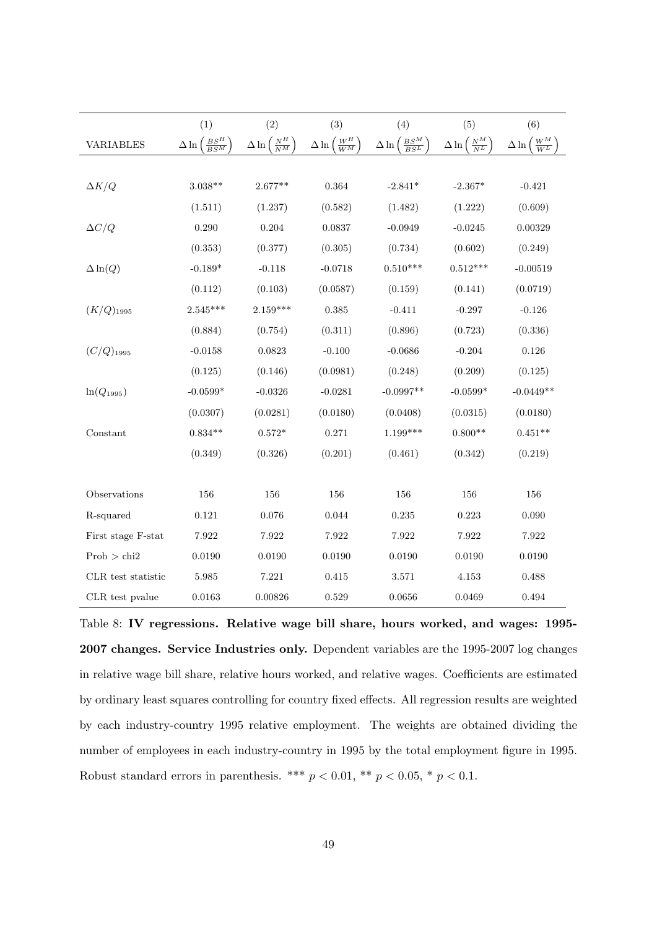|                    | (1)                                 | (2)                                         | (3)                                         | (4)                                           | (5)                                         | (6)                                         |
|--------------------|-------------------------------------|---------------------------------------------|---------------------------------------------|-----------------------------------------------|---------------------------------------------|---------------------------------------------|
| <b>VARIABLES</b>   | $\frac{BS^H}{BS^M}$<br>$\Delta \ln$ | $\Delta \ln \left( \frac{N^H}{N^M} \right)$ | $\Delta \ln \left( \frac{W^H}{W^M} \right)$ | $\Delta \ln \left( \frac{BS^M}{BS^L} \right)$ | $\Delta \ln \left( \frac{N^M}{N^L} \right)$ | $\Delta \ln \left( \frac{W^M}{W^L} \right.$ |
|                    |                                     |                                             |                                             |                                               |                                             |                                             |
| $\Delta K/Q$       | $3.038**$                           | $2.677**$                                   | 0.364                                       | $-2.841*$                                     | $-2.367*$                                   | $-0.421$                                    |
|                    | (1.511)                             | (1.237)                                     | (0.582)                                     | (1.482)                                       | (1.222)                                     | (0.609)                                     |
| $\Delta C/Q$       | 0.290                               | 0.204                                       | 0.0837                                      | $-0.0949$                                     | $-0.0245$                                   | 0.00329                                     |
|                    | (0.353)                             | (0.377)                                     | (0.305)                                     | (0.734)                                       | (0.602)                                     | (0.249)                                     |
| $\Delta \ln(Q)$    | $-0.189*$                           | $-0.118$                                    | $-0.0718$                                   | $0.510***$                                    | $0.512***$                                  | $-0.00519$                                  |
|                    | (0.112)                             | (0.103)                                     | (0.0587)                                    | (0.159)                                       | (0.141)                                     | (0.0719)                                    |
| $(K/Q)_{1995}$     | $2.545***$                          | $2.159***$                                  | $\,0.385\,$                                 | $-0.411$                                      | $-0.297$                                    | $-0.126$                                    |
|                    | (0.884)                             | (0.754)                                     | (0.311)                                     | (0.896)                                       | (0.723)                                     | (0.336)                                     |
| $(C/Q)_{1995}$     | $-0.0158$                           | 0.0823                                      | $-0.100$                                    | $-0.0686$                                     | $-0.204$                                    | 0.126                                       |
|                    | (0.125)                             | (0.146)                                     | (0.0981)                                    | (0.248)                                       | (0.209)                                     | (0.125)                                     |
| $ln(Q_{1995})$     | $-0.0599*$                          | $-0.0326$                                   | $-0.0281$                                   | $-0.0997**$                                   | $-0.0599*$                                  | $-0.0449**$                                 |
|                    | (0.0307)                            | (0.0281)                                    | (0.0180)                                    | (0.0408)                                      | (0.0315)                                    | (0.0180)                                    |
| Constant           | $0.834**$                           | $0.572*$                                    | 0.271                                       | $1.199***$                                    | $0.800**$                                   | $0.451**$                                   |
|                    | (0.349)                             | (0.326)                                     | (0.201)                                     | (0.461)                                       | (0.342)                                     | (0.219)                                     |
|                    |                                     |                                             |                                             |                                               |                                             |                                             |
| Observations       | 156                                 | 156                                         | 156                                         | $156\,$                                       | $156\,$                                     | 156                                         |
| R-squared          | 0.121                               | 0.076                                       | 0.044                                       | 0.235                                         | 0.223                                       | 0.090                                       |
| First stage F-stat | 7.922                               | 7.922                                       | 7.922                                       | 7.922                                         | 7.922                                       | 7.922                                       |
| Prob > chi2        | 0.0190                              | 0.0190                                      | 0.0190                                      | 0.0190                                        | 0.0190                                      | 0.0190                                      |
| CLR test statistic | 5.985                               | 7.221                                       | 0.415                                       | 3.571                                         | 4.153                                       | 0.488                                       |
| CLR test pvalue    | 0.0163                              | 0.00826                                     | 0.529                                       | 0.0656                                        | 0.0469                                      | 0.494                                       |

<span id="page-50-0"></span>Table 8: IV regressions. Relative wage bill share, hours worked, and wages: 1995- 2007 changes. Service Industries only. Dependent variables are the 1995-2007 log changes in relative wage bill share, relative hours worked, and relative wages. Coefficients are estimated by ordinary least squares controlling for country fixed effects. All regression results are weighted by each industry-country 1995 relative employment. The weights are obtained dividing the number of employees in each industry-country in 1995 by the total employment figure in 1995. Robust standard errors in parenthesis. \*\*\* $p < 0.01,$ \*\* $p < 0.05,$ \* $p < 0.1.$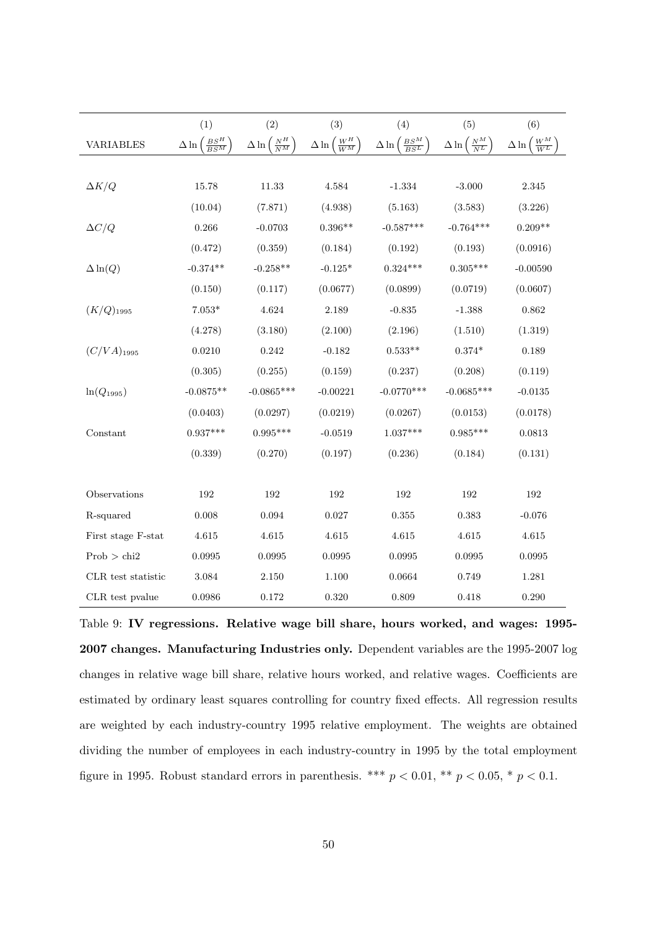|                    | (1)                                 | (2)                                         | (3)                                         | (4)                                           | (5)                                         | (6)                                         |
|--------------------|-------------------------------------|---------------------------------------------|---------------------------------------------|-----------------------------------------------|---------------------------------------------|---------------------------------------------|
| <b>VARIABLES</b>   | $\frac{BS^H}{BS^M}$<br>$\Delta \ln$ | $\Delta \ln \left( \frac{N^H}{N^M} \right)$ | $\Delta \ln \left( \frac{W^H}{W^M} \right)$ | $\Delta \ln \left( \frac{BS^M}{BS^L} \right)$ | $\Delta \ln \left( \frac{N^M}{N^L} \right)$ | $\Delta \ln \left( \frac{W^M}{W^L} \right)$ |
|                    |                                     |                                             |                                             |                                               |                                             |                                             |
| $\Delta K/Q$       | 15.78                               | 11.33                                       | 4.584                                       | $-1.334$                                      | $-3.000$                                    | $\phantom{-}2.345$                          |
|                    | (10.04)                             | (7.871)                                     | (4.938)                                     | (5.163)                                       | (3.583)                                     | (3.226)                                     |
| $\Delta C/Q$       | 0.266                               | $-0.0703$                                   | $0.396**$                                   | $-0.587***$                                   | $-0.764***$                                 | $0.209**$                                   |
|                    | (0.472)                             | (0.359)                                     | (0.184)                                     | (0.192)                                       | (0.193)                                     | (0.0916)                                    |
| $\Delta \ln(Q)$    | $-0.374**$                          | $-0.258**$                                  | $-0.125*$                                   | $0.324***$                                    | $0.305***$                                  | $-0.00590$                                  |
|                    | (0.150)                             | (0.117)                                     | (0.0677)                                    | (0.0899)                                      | (0.0719)                                    | (0.0607)                                    |
| $(K/Q)_{1995}$     | $7.053*$                            | 4.624                                       | 2.189                                       | $-0.835$                                      | $-1.388$                                    | $\,0.862\,$                                 |
|                    | (4.278)                             | (3.180)                                     | (2.100)                                     | (2.196)                                       | (1.510)                                     | (1.319)                                     |
| $(C/VA)_{1995}$    | 0.0210                              | 0.242                                       | $-0.182$                                    | $0.533**$                                     | $0.374^{\ast}$                              | 0.189                                       |
|                    | (0.305)                             | (0.255)                                     | (0.159)                                     | (0.237)                                       | (0.208)                                     | (0.119)                                     |
| $ln(Q_{1995})$     | $-0.0875**$                         | $-0.0865***$                                | $-0.00221$                                  | $-0.0770***$                                  | $-0.0685***$                                | $-0.0135$                                   |
|                    | (0.0403)                            | (0.0297)                                    | (0.0219)                                    | (0.0267)                                      | (0.0153)                                    | (0.0178)                                    |
| Constant           | $0.937***$                          | $0.995***$                                  | $-0.0519$                                   | $1.037***$                                    | $0.985***$                                  | 0.0813                                      |
|                    | (0.339)                             | (0.270)                                     | (0.197)                                     | (0.236)                                       | (0.184)                                     | (0.131)                                     |
|                    |                                     |                                             |                                             |                                               |                                             |                                             |
| Observations       | 192                                 | 192                                         | 192                                         | 192                                           | 192                                         | 192                                         |
| R-squared          | 0.008                               | 0.094                                       | 0.027                                       | 0.355                                         | 0.383                                       | $-0.076$                                    |
| First stage F-stat | $4.615\,$                           | 4.615                                       | $4.615\,$                                   | 4.615                                         | 4.615                                       | $4.615\,$                                   |
| Prob > chi2        | $\,0.0995\,$                        | ${0.0995}$                                  | ${0.0995}$                                  | 0.0995                                        | 0.0995                                      | 0.0995                                      |
| CLR test statistic | 3.084                               | 2.150                                       | 1.100                                       | 0.0664                                        | 0.749                                       | 1.281                                       |
| CLR test pvalue    | 0.0986                              | $0.172\,$                                   | $0.320\,$                                   | 0.809                                         | 0.418                                       | 0.290                                       |

<span id="page-51-0"></span>Table 9: IV regressions. Relative wage bill share, hours worked, and wages: 1995- 2007 changes. Manufacturing Industries only. Dependent variables are the 1995-2007 log changes in relative wage bill share, relative hours worked, and relative wages. Coefficients are estimated by ordinary least squares controlling for country fixed effects. All regression results are weighted by each industry-country 1995 relative employment. The weights are obtained dividing the number of employees in each industry-country in 1995 by the total employment figure in 1995. Robust standard errors in parenthesis. \*\*\*  $p < 0.01$ , \*\*  $p < 0.05$ , \*  $p < 0.1$ .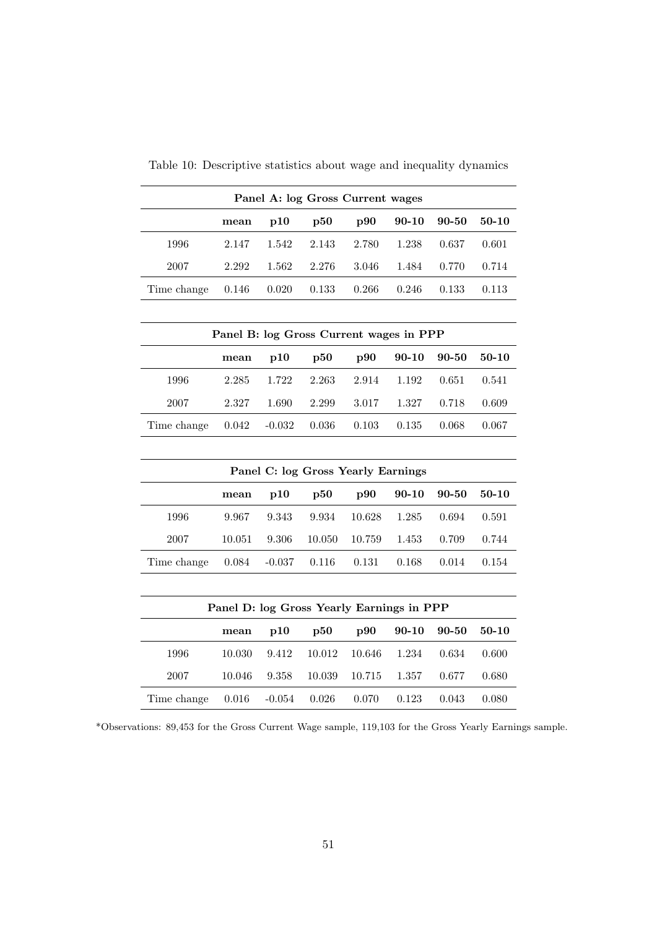|             | Panel A: log Gross Current wages |                                         |       |           |           |           |           |  |  |  |
|-------------|----------------------------------|-----------------------------------------|-------|-----------|-----------|-----------|-----------|--|--|--|
|             | mean                             | p10                                     | p50   | $\bf p90$ | $90 - 10$ | $90 - 50$ | 50-10     |  |  |  |
| 1996        | 2.147                            | 1.542                                   | 2.143 | 2.780     | 1.238     | 0.637     | 0.601     |  |  |  |
| 2007        | 2.292                            | 1.562                                   | 2.276 | 3.046     | 1.484     | 0.770     | 0.714     |  |  |  |
| Time change | 0.146                            | 0.020                                   | 0.133 | 0.266     | 0.246     | 0.133     | 0.113     |  |  |  |
|             |                                  |                                         |       |           |           |           |           |  |  |  |
|             |                                  | Panel B: log Gross Current wages in PPP |       |           |           |           |           |  |  |  |
|             | mean                             | p10                                     | p50   | $\bf p90$ | $90 - 10$ | 90-50     | $50 - 10$ |  |  |  |
| 1996        | 2.285                            | 1.722                                   | 2.263 | 2.914     | 1.192     | 0.651     | 0.541     |  |  |  |
| 2007        | 2.327                            | 1.690                                   | 2.299 | 3.017     | 1.327     | 0.718     | 0.609     |  |  |  |
| Time change | 0.042                            | $-0.032$                                | 0.036 | 0.103     | 0.135     | 0.068     | 0.067     |  |  |  |

<span id="page-52-0"></span>Table 10: Descriptive statistics about wage and inequality dynamics

| Panel C: log Gross Yearly Earnings                                    |        |        |        |        |       |       |       |  |  |
|-----------------------------------------------------------------------|--------|--------|--------|--------|-------|-------|-------|--|--|
| p90<br>$90 - 10$<br>90-50<br>$\mathbf{p50}$<br>$50-10$<br>p10<br>mean |        |        |        |        |       |       |       |  |  |
| 1996                                                                  | 9.967  | 9.343  | 9.934  | 10.628 | 1.285 | 0.694 | 0.591 |  |  |
| 2007                                                                  | 10.051 | 9.306  | 10.050 | 10.759 | 1.453 | 0.709 | 0.744 |  |  |
| Time change                                                           | 0.084  | -0.037 | 0.116  | 0.131  | 0.168 | 0.014 | 0.154 |  |  |

| Panel D: log Gross Yearly Earnings in PPP |        |          |                |                 |           |       |         |  |  |
|-------------------------------------------|--------|----------|----------------|-----------------|-----------|-------|---------|--|--|
|                                           | mean   | p10      | $\mathbf{p50}$ | $_{\text{D}}90$ | $90 - 10$ | 90-50 | $50-10$ |  |  |
| 1996                                      | 10.030 | 9.412    | 10.012         | -10.646         | 1.234     | 0.634 | 0.600   |  |  |
| 2007                                      | 10.046 | 9.358    | 10.039         | 10.715          | 1.357     | 0.677 | 0.680   |  |  |
| Time change                               | 0.016  | $-0.054$ | 0.026          | 0.070           | 0.123     | 0.043 | 0.080   |  |  |

\*Observations: 89,453 for the Gross Current Wage sample, 119,103 for the Gross Yearly Earnings sample.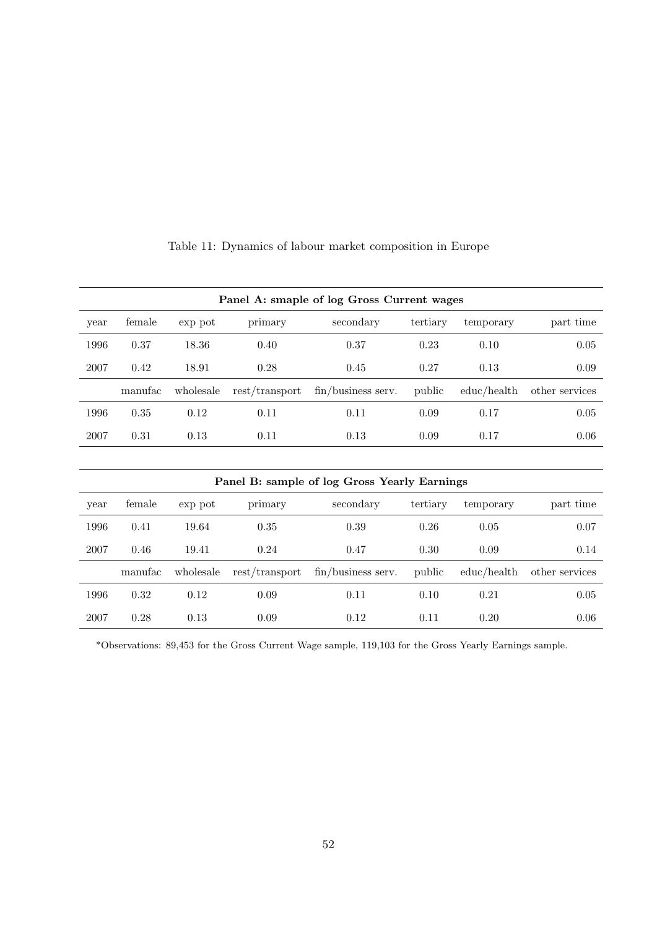| Panel A: smaple of log Gross Current wages   |          |           |                |                       |          |             |                |  |  |
|----------------------------------------------|----------|-----------|----------------|-----------------------|----------|-------------|----------------|--|--|
| year                                         | female   | exp pot   | primary        | secondary             | tertiary | temporary   | part time      |  |  |
| 1996                                         | 0.37     | 18.36     | 0.40           | 0.37                  | 0.23     | 0.10        | 0.05           |  |  |
| 2007                                         | 0.42     | 18.91     | 0.28           | 0.45                  | 0.27     | 0.13        | 0.09           |  |  |
|                                              | manufac  | wholesale | rest/transport | $fin/business$ serv.  | public   | educ/health | other services |  |  |
| 1996                                         | $0.35\,$ | 0.12      | 0.11           | 0.11                  | 0.09     | 0.17        | 0.05           |  |  |
| 2007                                         | 0.31     | 0.13      | 0.11           | 0.13                  | 0.09     | 0.17        | 0.06           |  |  |
|                                              |          |           |                |                       |          |             |                |  |  |
| Panel B: sample of log Gross Yearly Earnings |          |           |                |                       |          |             |                |  |  |
| year                                         | female   | exp pot   | primary        | secondary<br>tertiary |          | temporary   | part time      |  |  |
| 1996                                         | 0.41     | 19.64     | 0.35           | 0.39                  | 0.26     | 0.05        | 0.07           |  |  |
| 2007                                         | 0.46     | 19.41     | 0.24           | 0.47                  | 0.30     | 0.09        | 0.14           |  |  |
|                                              | manufac  | wholesale | rest/transport | $fin/business$ serv.  | public   | educ/health | other services |  |  |
| 1996                                         | 0.32     | 0.12      | 0.09           | 0.11                  | 0.10     | 0.21        | 0.05           |  |  |
| 2007                                         | 0.28     | 0.13      | 0.09           | 0.12                  | 0.11     | 0.20        | 0.06           |  |  |

<span id="page-53-0"></span>Table 11: Dynamics of labour market composition in Europe

\*Observations: 89,453 for the Gross Current Wage sample, 119,103 for the Gross Yearly Earnings sample.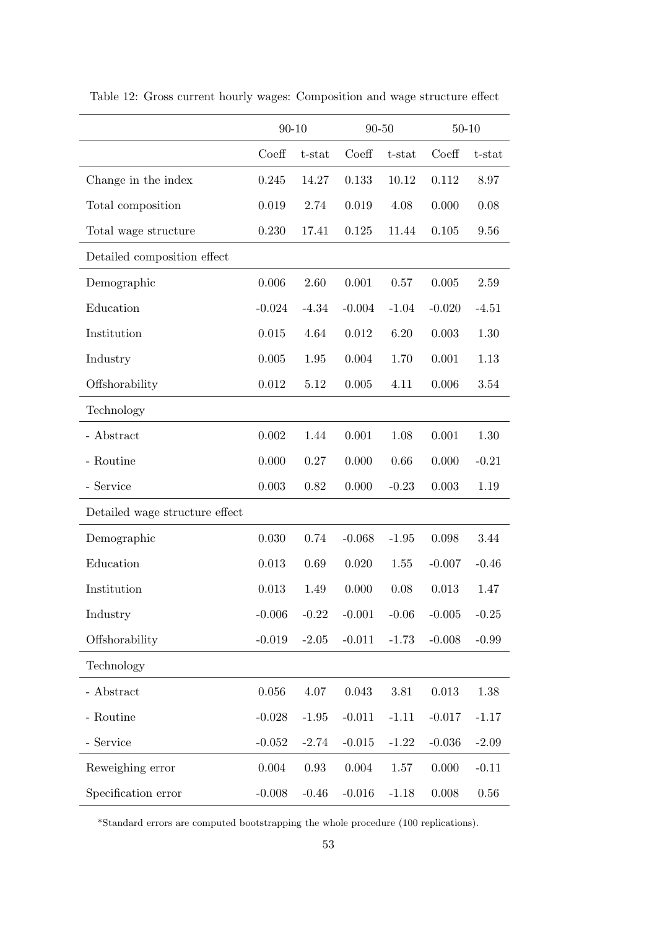|                                | $90 - 10$ |           | $90 - 50$ |           | $50 - 10$ |          |
|--------------------------------|-----------|-----------|-----------|-----------|-----------|----------|
|                                | Coeff     | $t$ -stat | Coeff     | $t$ -stat | Coeff     | t-stat   |
| Change in the index            | 0.245     | 14.27     | 0.133     | 10.12     | 0.112     | 8.97     |
| Total composition              | 0.019     | 2.74      | 0.019     | 4.08      | 0.000     | 0.08     |
| Total wage structure           | 0.230     | 17.41     | 0.125     | 11.44     | 0.105     | 9.56     |
| Detailed composition effect    |           |           |           |           |           |          |
| Demographic                    | 0.006     | 2.60      | 0.001     | 0.57      | 0.005     | 2.59     |
| Education                      | $-0.024$  | $-4.34$   | $-0.004$  | $-1.04$   | $-0.020$  | $-4.51$  |
| Institution                    | 0.015     | 4.64      | 0.012     | 6.20      | 0.003     | 1.30     |
| Industry                       | $0.005\,$ | 1.95      | 0.004     | 1.70      | 0.001     | 1.13     |
| Offshorability                 | 0.012     | 5.12      | 0.005     | 4.11      | 0.006     | 3.54     |
| Technology                     |           |           |           |           |           |          |
| - Abstract                     | 0.002     | 1.44      | 0.001     | 1.08      | 0.001     | 1.30     |
| - Routine                      | 0.000     | 0.27      | 0.000     | 0.66      | 0.000     | $-0.21$  |
| - Service                      | 0.003     | 0.82      | 0.000     | $-0.23$   | 0.003     | 1.19     |
| Detailed wage structure effect |           |           |           |           |           |          |
| Demographic                    | 0.030     | 0.74      | $-0.068$  | $-1.95$   | 0.098     | 3.44     |
| Education                      | 0.013     | 0.69      | 0.020     | 1.55      | $-0.007$  | $-0.46$  |
| Institution                    | 0.013     | 1.49      | 0.000     | 0.08      | 0.013     | 1.47     |
| Industry                       | $-0.006$  | $-0.22$   | $-0.001$  | $-0.06$   | $-0.005$  | $-0.25$  |
| Offshorability                 | $-0.019$  | $-2.05$   | $-0.011$  | $-1.73$   | $-0.008$  | $-0.99$  |
| Technology                     |           |           |           |           |           |          |
| - Abstract                     | 0.056     | 4.07      | 0.043     | $3.81\,$  | 0.013     | 1.38     |
| - Routine                      | $-0.028$  | $-1.95$   | $-0.011$  | $-1.11$   | $-0.017$  | $-1.17$  |
| - Service                      | $-0.052$  | $-2.74$   | $-0.015$  | $-1.22$   | $-0.036$  | $-2.09$  |
| Reweighing error               | 0.004     | 0.93      | 0.004     | 1.57      | 0.000     | $-0.11$  |
| Specification error            | $-0.008$  | $-0.46$   | $-0.016$  | $-1.18$   | $0.008\,$ | $0.56\,$ |

<span id="page-54-0"></span>Table 12: Gross current hourly wages: Composition and wage structure effect

\*Standard errors are computed bootstrapping the whole procedure (100 replications).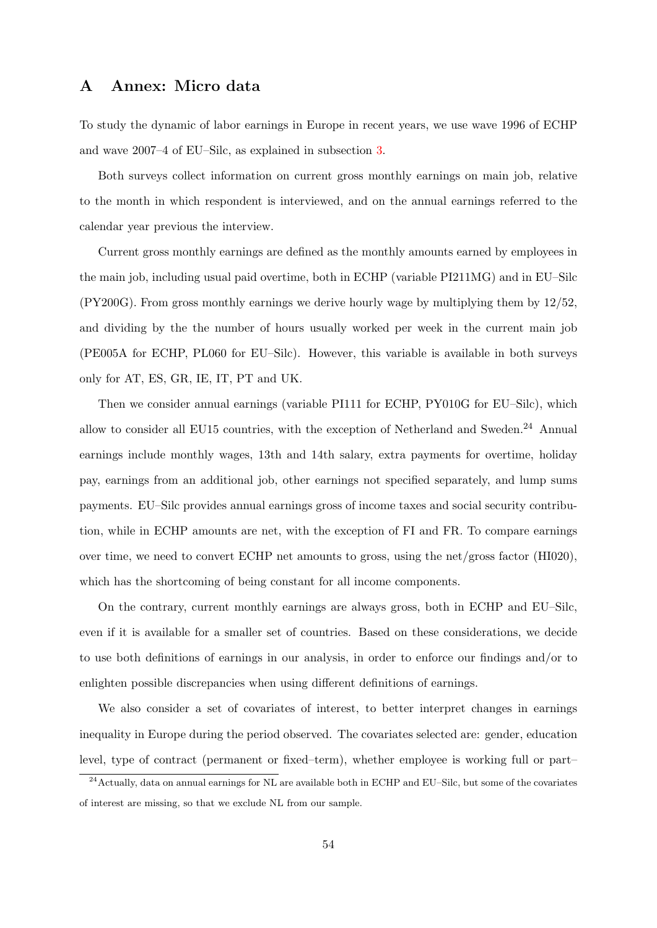### A Annex: Micro data

To study the dynamic of labor earnings in Europe in recent years, we use wave 1996 of ECHP and wave 2007–4 of EU–Silc, as explained in subsection [3.](#page-13-0)

Both surveys collect information on current gross monthly earnings on main job, relative to the month in which respondent is interviewed, and on the annual earnings referred to the calendar year previous the interview.

Current gross monthly earnings are defined as the monthly amounts earned by employees in the main job, including usual paid overtime, both in ECHP (variable PI211MG) and in EU–Silc (PY200G). From gross monthly earnings we derive hourly wage by multiplying them by 12/52, and dividing by the the number of hours usually worked per week in the current main job (PE005A for ECHP, PL060 for EU–Silc). However, this variable is available in both surveys only for AT, ES, GR, IE, IT, PT and UK.

Then we consider annual earnings (variable PI111 for ECHP, PY010G for EU–Silc), which allow to consider all EU15 countries, with the exception of Netherland and Sweden.<sup>24</sup> Annual earnings include monthly wages, 13th and 14th salary, extra payments for overtime, holiday pay, earnings from an additional job, other earnings not specified separately, and lump sums payments. EU–Silc provides annual earnings gross of income taxes and social security contribution, while in ECHP amounts are net, with the exception of FI and FR. To compare earnings over time, we need to convert ECHP net amounts to gross, using the net/gross factor (HI020), which has the shortcoming of being constant for all income components.

On the contrary, current monthly earnings are always gross, both in ECHP and EU–Silc, even if it is available for a smaller set of countries. Based on these considerations, we decide to use both definitions of earnings in our analysis, in order to enforce our findings and/or to enlighten possible discrepancies when using different definitions of earnings.

We also consider a set of covariates of interest, to better interpret changes in earnings inequality in Europe during the period observed. The covariates selected are: gender, education level, type of contract (permanent or fixed–term), whether employee is working full or part–

<sup>&</sup>lt;sup>24</sup> Actually, data on annual earnings for NL are available both in ECHP and EU–Silc, but some of the covariates of interest are missing, so that we exclude NL from our sample.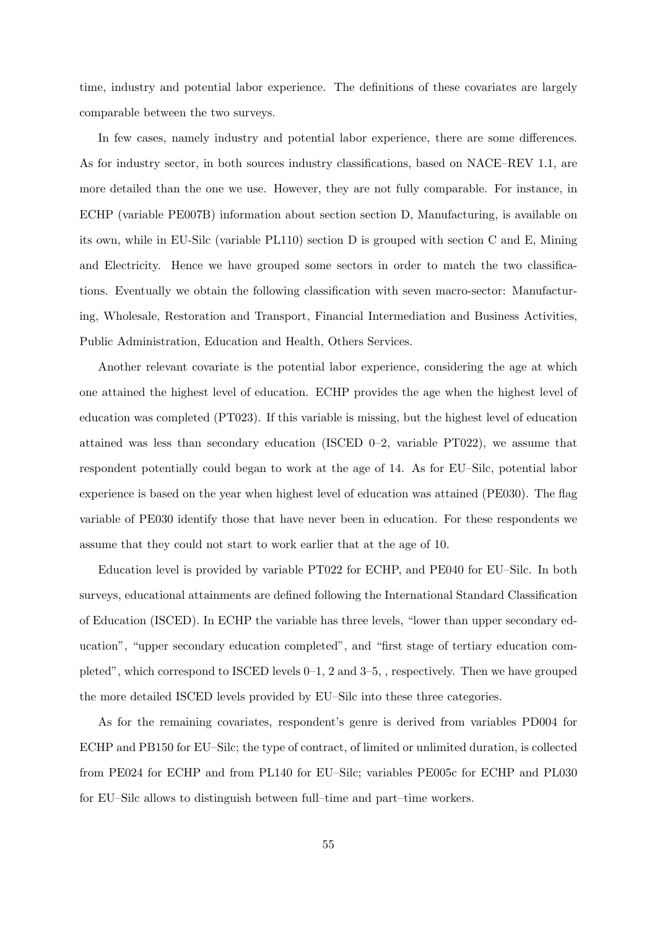time, industry and potential labor experience. The definitions of these covariates are largely comparable between the two surveys.

In few cases, namely industry and potential labor experience, there are some differences. As for industry sector, in both sources industry classifications, based on NACE–REV 1.1, are more detailed than the one we use. However, they are not fully comparable. For instance, in ECHP (variable PE007B) information about section section D, Manufacturing, is available on its own, while in EU-Silc (variable PL110) section D is grouped with section C and E, Mining and Electricity. Hence we have grouped some sectors in order to match the two classifications. Eventually we obtain the following classification with seven macro-sector: Manufacturing, Wholesale, Restoration and Transport, Financial Intermediation and Business Activities, Public Administration, Education and Health, Others Services.

Another relevant covariate is the potential labor experience, considering the age at which one attained the highest level of education. ECHP provides the age when the highest level of education was completed (PT023). If this variable is missing, but the highest level of education attained was less than secondary education (ISCED 0–2, variable PT022), we assume that respondent potentially could began to work at the age of 14. As for EU–Silc, potential labor experience is based on the year when highest level of education was attained (PE030). The flag variable of PE030 identify those that have never been in education. For these respondents we assume that they could not start to work earlier that at the age of 10.

Education level is provided by variable PT022 for ECHP, and PE040 for EU–Silc. In both surveys, educational attainments are defined following the International Standard Classification of Education (ISCED). In ECHP the variable has three levels, "lower than upper secondary education", "upper secondary education completed", and "first stage of tertiary education completed", which correspond to ISCED levels 0–1, 2 and 3–5, , respectively. Then we have grouped the more detailed ISCED levels provided by EU–Silc into these three categories.

As for the remaining covariates, respondent's genre is derived from variables PD004 for ECHP and PB150 for EU–Silc; the type of contract, of limited or unlimited duration, is collected from PE024 for ECHP and from PL140 for EU–Silc; variables PE005c for ECHP and PL030 for EU–Silc allows to distinguish between full–time and part–time workers.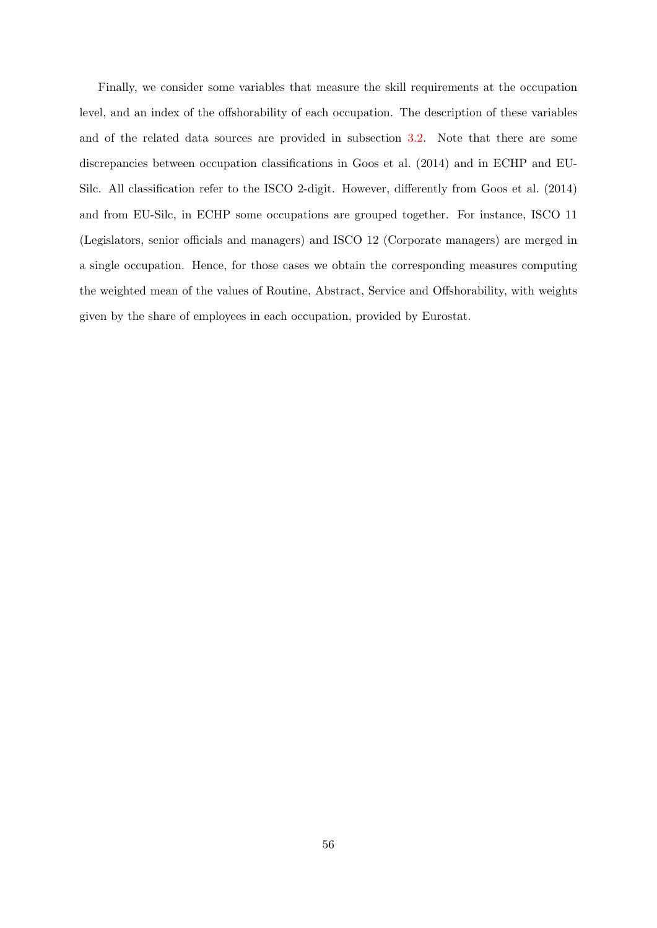Finally, we consider some variables that measure the skill requirements at the occupation level, and an index of the offshorability of each occupation. The description of these variables and of the related data sources are provided in subsection [3.2.](#page-15-0) Note that there are some discrepancies between occupation classifications in [Goos et al.](#page-30-2) [\(2014\)](#page-30-2) and in ECHP and EU-Silc. All classification refer to the ISCO 2-digit. However, differently from [Goos et al.](#page-30-2) [\(2014\)](#page-30-2) and from EU-Silc, in ECHP some occupations are grouped together. For instance, ISCO 11 (Legislators, senior officials and managers) and ISCO 12 (Corporate managers) are merged in a single occupation. Hence, for those cases we obtain the corresponding measures computing the weighted mean of the values of Routine, Abstract, Service and Offshorability, with weights given by the share of employees in each occupation, provided by Eurostat.